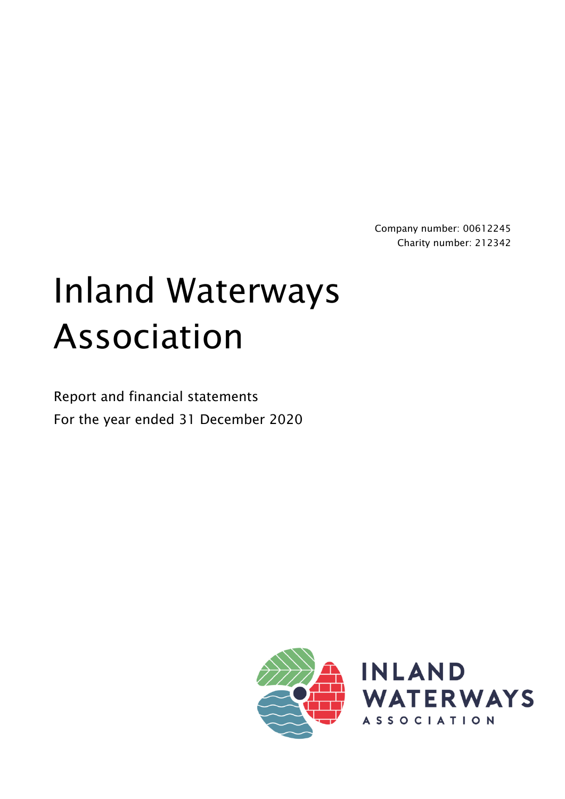Company number: 00612245 Charity number: 212342

# Inland Waterways Association

Report and financial statements For the year ended 31 December 2020



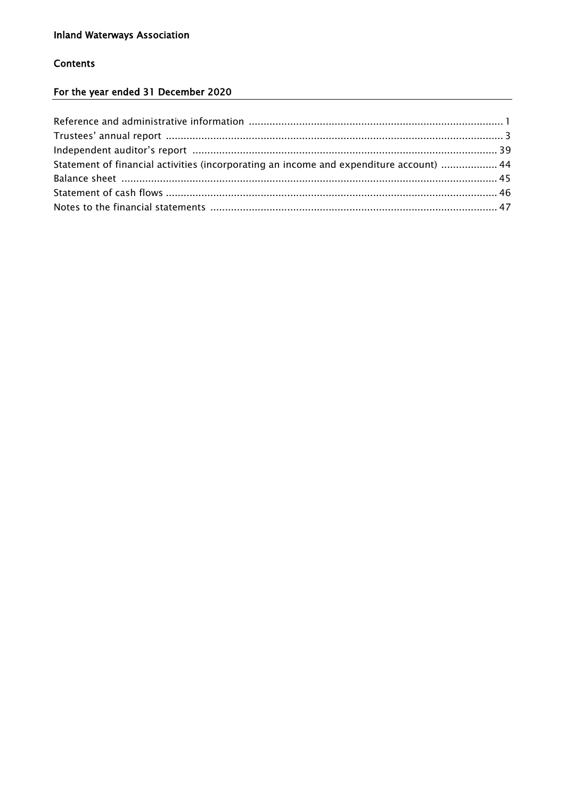#### **Contents**

### For the year ended 31 December 2020

| Statement of financial activities (incorporating an income and expenditure account)  44 |  |
|-----------------------------------------------------------------------------------------|--|
|                                                                                         |  |
|                                                                                         |  |
|                                                                                         |  |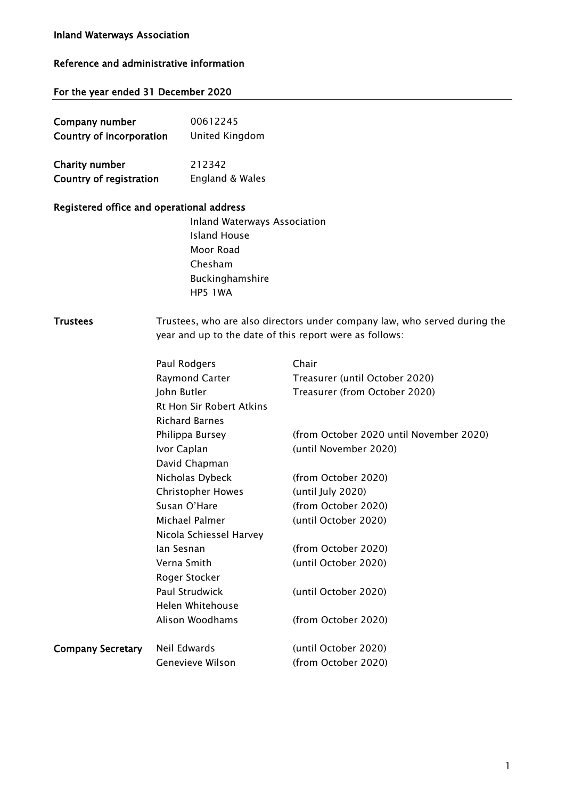#### Inland Waterways Association

#### Reference and administrative information

#### For the year ended 31 December 2020

| Company number           | 00612245        |
|--------------------------|-----------------|
| Country of incorporation | United Kingdom  |
| Charity number           | 212342          |
| Country of registration  | England & Wales |

#### Registered office and operational address

Inland Waterways Association Island House Moor Road Chesham Buckinghamshire HP5 1WA

Trustees Trustees, who are also directors under company law, who served during the year and up to the date of this report were as follows:

|                          | Paul Rodgers                    | Chair                                   |
|--------------------------|---------------------------------|-----------------------------------------|
|                          | Raymond Carter                  | Treasurer (until October 2020)          |
|                          | John Butler                     | Treasurer (from October 2020)           |
|                          | <b>Rt Hon Sir Robert Atkins</b> |                                         |
|                          | <b>Richard Barnes</b>           |                                         |
|                          | Philippa Bursey                 | (from October 2020 until November 2020) |
|                          | Ivor Caplan                     | (until November 2020)                   |
|                          | David Chapman                   |                                         |
|                          | Nicholas Dybeck                 | (from October 2020)                     |
|                          | <b>Christopher Howes</b>        | (until July 2020)                       |
|                          | Susan O'Hare                    | (from October 2020)                     |
|                          | Michael Palmer                  | (until October 2020)                    |
|                          | Nicola Schiessel Harvey         |                                         |
|                          | lan Sesnan                      | (from October 2020)                     |
|                          | Verna Smith                     | (until October 2020)                    |
|                          | Roger Stocker                   |                                         |
|                          | Paul Strudwick                  | (until October 2020)                    |
|                          | Helen Whitehouse                |                                         |
|                          | Alison Woodhams                 | (from October 2020)                     |
| <b>Company Secretary</b> | Neil Edwards                    | (until October 2020)                    |
|                          | Genevieve Wilson                | (from October 2020)                     |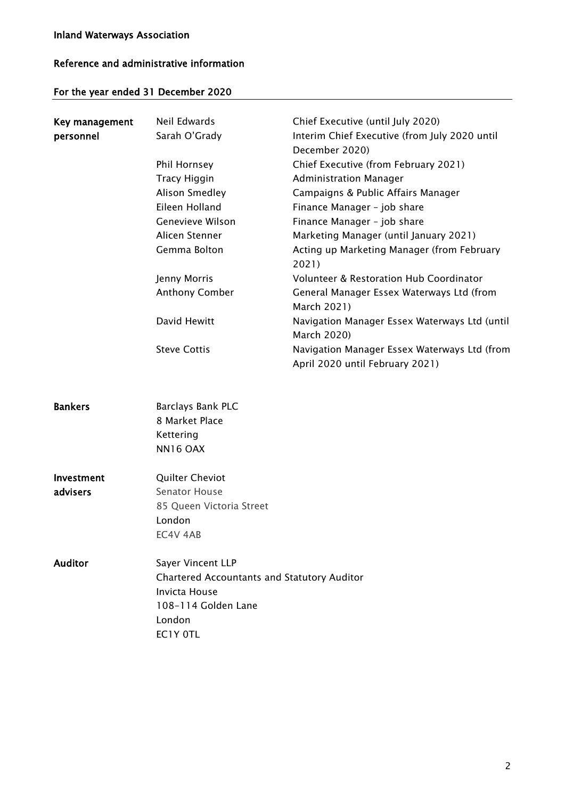### Reference and administrative information

### For the year ended 31 December 2020

| Key management<br>personnel | Neil Edwards<br>Sarah O'Grady<br>Phil Hornsey<br><b>Tracy Higgin</b><br>Alison Smedley<br>Eileen Holland<br>Genevieve Wilson<br>Alicen Stenner<br>Gemma Bolton<br>Jenny Morris<br>Anthony Comber<br>David Hewitt<br><b>Steve Cottis</b> | Chief Executive (until July 2020)<br>Interim Chief Executive (from July 2020 until<br>December 2020)<br>Chief Executive (from February 2021)<br><b>Administration Manager</b><br>Campaigns & Public Affairs Manager<br>Finance Manager - job share<br>Finance Manager - job share<br>Marketing Manager (until January 2021)<br>Acting up Marketing Manager (from February<br>2021)<br><b>Volunteer &amp; Restoration Hub Coordinator</b><br>General Manager Essex Waterways Ltd (from<br>March 2021)<br>Navigation Manager Essex Waterways Ltd (until<br>March 2020)<br>Navigation Manager Essex Waterways Ltd (from<br>April 2020 until February 2021) |
|-----------------------------|-----------------------------------------------------------------------------------------------------------------------------------------------------------------------------------------------------------------------------------------|---------------------------------------------------------------------------------------------------------------------------------------------------------------------------------------------------------------------------------------------------------------------------------------------------------------------------------------------------------------------------------------------------------------------------------------------------------------------------------------------------------------------------------------------------------------------------------------------------------------------------------------------------------|
| <b>Bankers</b>              | Barclays Bank PLC<br>8 Market Place<br>Kettering<br>NN16 OAX                                                                                                                                                                            |                                                                                                                                                                                                                                                                                                                                                                                                                                                                                                                                                                                                                                                         |
| Investment<br>advisers      | Quilter Cheviot<br>Senator House<br>85 Queen Victoria Street<br>London<br>EC4V 4AB                                                                                                                                                      |                                                                                                                                                                                                                                                                                                                                                                                                                                                                                                                                                                                                                                                         |
| <b>Auditor</b>              | Sayer Vincent LLP<br><b>Chartered Accountants and Statutory Auditor</b><br>Invicta House<br>108-114 Golden Lane<br>London<br>EC1Y OTL                                                                                                   |                                                                                                                                                                                                                                                                                                                                                                                                                                                                                                                                                                                                                                                         |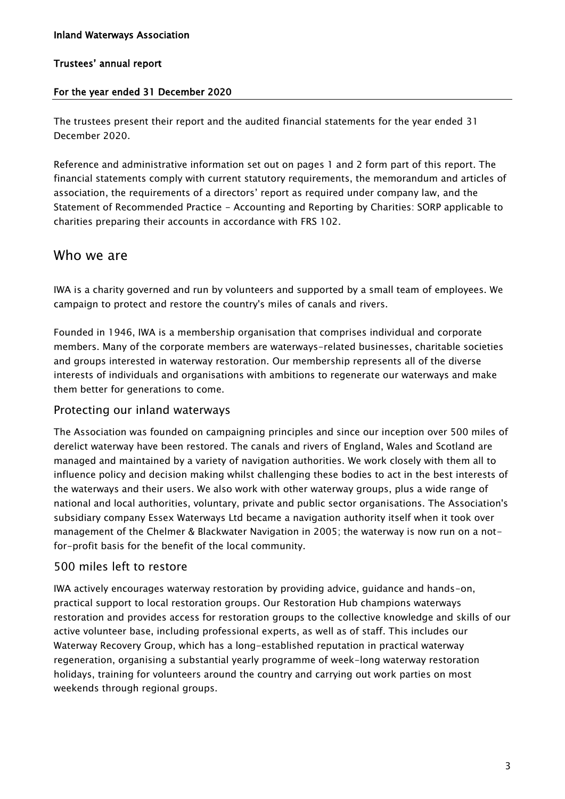#### For the year ended 31 December 2020

The trustees present their report and the audited financial statements for the year ended 31 December 2020.

Reference and administrative information set out on pages 1 and 2 form part of this report. The financial statements comply with current statutory requirements, the memorandum and articles of association, the requirements of a directors' report as required under company law, and the Statement of Recommended Practice - Accounting and Reporting by Charities: SORP applicable to charities preparing their accounts in accordance with FRS 102.

### Who we are

IWA is a charity governed and run by volunteers and supported by a small team of employees. We campaign to protect and restore the country's miles of canals and rivers.

Founded in 1946, IWA is a membership organisation that comprises individual and corporate members. Many of the corporate members are waterways-related businesses, charitable societies and groups interested in waterway restoration. Our membership represents all of the diverse interests of individuals and organisations with ambitions to regenerate our waterways and make them better for generations to come.

#### Protecting our inland waterways

The Association was founded on campaigning principles and since our inception over 500 miles of derelict waterway have been restored. The canals and rivers of England, Wales and Scotland are managed and maintained by a variety of navigation authorities. We work closely with them all to influence policy and decision making whilst challenging these bodies to act in the best interests of the waterways and their users. We also work with other waterway groups, plus a wide range of national and local authorities, voluntary, private and public sector organisations. The Association's subsidiary company Essex Waterways Ltd became a navigation authority itself when it took over management of the Chelmer & Blackwater Navigation in 2005; the waterway is now run on a notfor-profit basis for the benefit of the local community.

#### 500 miles left to restore

IWA actively encourages waterway restoration by providing advice, guidance and hands-on, practical support to local restoration groups. Our Restoration Hub champions waterways restoration and provides access for restoration groups to the collective knowledge and skills of our active volunteer base, including professional experts, as well as of staff. This includes our Waterway Recovery Group, which has a long-established reputation in practical waterway regeneration, organising a substantial yearly programme of week-long waterway restoration holidays, training for volunteers around the country and carrying out work parties on most weekends through regional groups.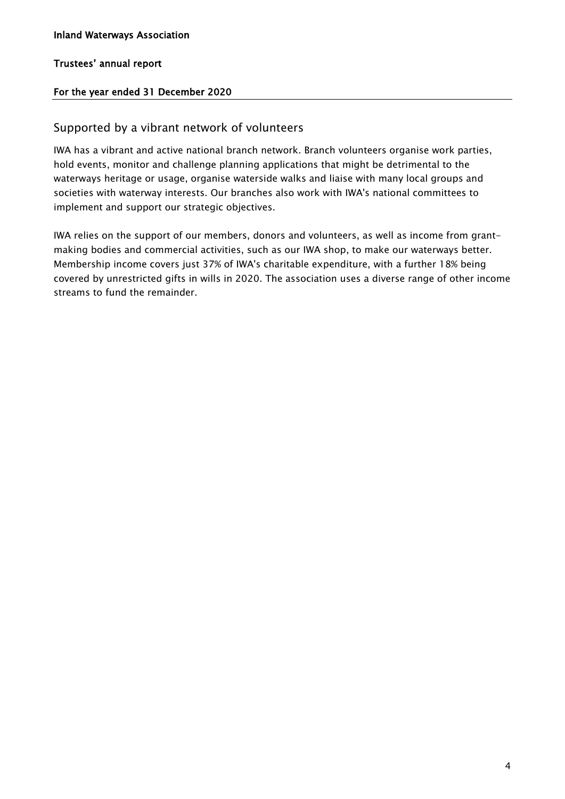#### For the year ended 31 December 2020

#### Supported by a vibrant network of volunteers

IWA has a vibrant and active national branch network. Branch volunteers organise work parties, hold events, monitor and challenge planning applications that might be detrimental to the waterways heritage or usage, organise waterside walks and liaise with many local groups and societies with waterway interests. Our branches also work with IWA's national committees to implement and support our strategic objectives.

IWA relies on the support of our members, donors and volunteers, as well as income from grantmaking bodies and commercial activities, such as our IWA shop, to make our waterways better. Membership income covers just 37% of IWA's charitable expenditure, with a further 18% being covered by unrestricted gifts in wills in 2020. The association uses a diverse range of other income streams to fund the remainder.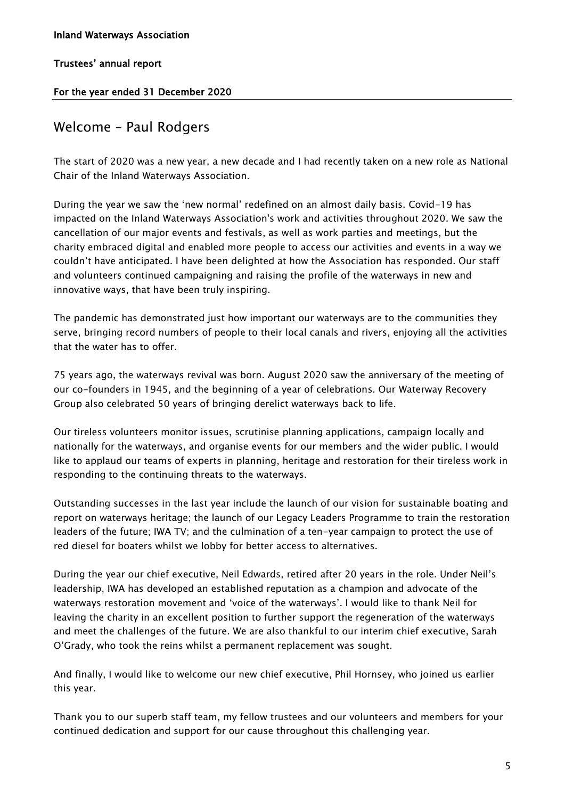#### For the year ended 31 December 2020

### Welcome – Paul Rodgers

The start of 2020 was a new year, a new decade and I had recently taken on a new role as National Chair of the Inland Waterways Association.

During the year we saw the 'new normal' redefined on an almost daily basis. Covid-19 has impacted on the Inland Waterways Association's work and activities throughout 2020. We saw the cancellation of our major events and festivals, as well as work parties and meetings, but the charity embraced digital and enabled more people to access our activities and events in a way we couldn't have anticipated. I have been delighted at how the Association has responded. Our staff and volunteers continued campaigning and raising the profile of the waterways in new and innovative ways, that have been truly inspiring.

The pandemic has demonstrated just how important our waterways are to the communities they serve, bringing record numbers of people to their local canals and rivers, enjoying all the activities that the water has to offer.

75 years ago, the waterways revival was born. August 2020 saw the anniversary of the meeting of our co-founders in 1945, and the beginning of a year of celebrations. Our Waterway Recovery Group also celebrated 50 years of bringing derelict waterways back to life.

Our tireless volunteers monitor issues, scrutinise planning applications, campaign locally and nationally for the waterways, and organise events for our members and the wider public. I would like to applaud our teams of experts in planning, heritage and restoration for their tireless work in responding to the continuing threats to the waterways.

Outstanding successes in the last year include the launch of our vision for sustainable boating and report on waterways heritage; the launch of our Legacy Leaders Programme to train the restoration leaders of the future; IWA TV; and the culmination of a ten-year campaign to protect the use of red diesel for boaters whilst we lobby for better access to alternatives.

During the year our chief executive, Neil Edwards, retired after 20 years in the role. Under Neil's leadership, IWA has developed an established reputation as a champion and advocate of the waterways restoration movement and 'voice of the waterways'. I would like to thank Neil for leaving the charity in an excellent position to further support the regeneration of the waterways and meet the challenges of the future. We are also thankful to our interim chief executive, Sarah O'Grady, who took the reins whilst a permanent replacement was sought.

And finally, I would like to welcome our new chief executive, Phil Hornsey, who joined us earlier this year.

Thank you to our superb staff team, my fellow trustees and our volunteers and members for your continued dedication and support for our cause throughout this challenging year.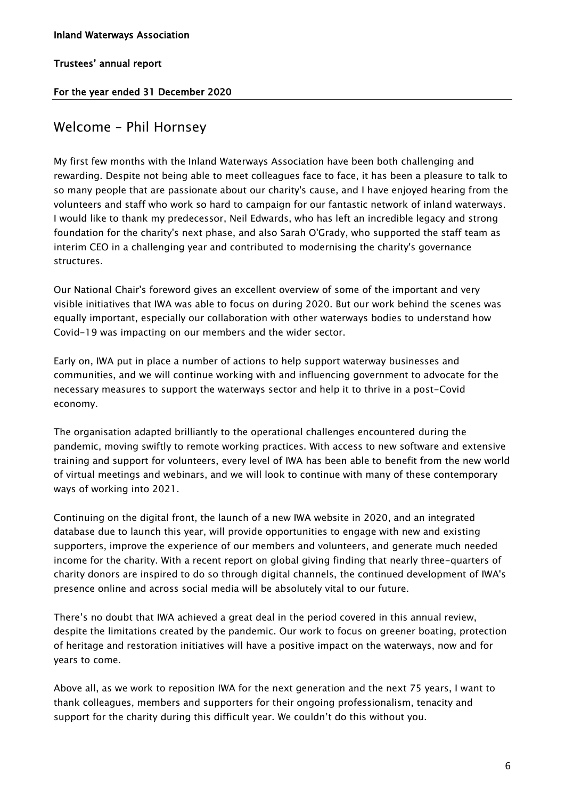#### For the year ended 31 December 2020

### Welcome – Phil Hornsey

My first few months with the Inland Waterways Association have been both challenging and rewarding. Despite not being able to meet colleagues face to face, it has been a pleasure to talk to so many people that are passionate about our charity's cause, and I have enjoyed hearing from the volunteers and staff who work so hard to campaign for our fantastic network of inland waterways. I would like to thank my predecessor, Neil Edwards, who has left an incredible legacy and strong foundation for the charity's next phase, and also Sarah O'Grady, who supported the staff team as interim CEO in a challenging year and contributed to modernising the charity's governance structures.

Our National Chair's foreword gives an excellent overview of some of the important and very visible initiatives that IWA was able to focus on during 2020. But our work behind the scenes was equally important, especially our collaboration with other waterways bodies to understand how Covid-19 was impacting on our members and the wider sector.

Early on, IWA put in place a number of actions to help support waterway businesses and communities, and we will continue working with and influencing government to advocate for the necessary measures to support the waterways sector and help it to thrive in a post-Covid economy.

The organisation adapted brilliantly to the operational challenges encountered during the pandemic, moving swiftly to remote working practices. With access to new software and extensive training and support for volunteers, every level of IWA has been able to benefit from the new world of virtual meetings and webinars, and we will look to continue with many of these contemporary ways of working into 2021.

Continuing on the digital front, the launch of a new IWA website in 2020, and an integrated database due to launch this year, will provide opportunities to engage with new and existing supporters, improve the experience of our members and volunteers, and generate much needed income for the charity. With a recent report on global giving finding that nearly three-quarters of charity donors are inspired to do so through digital channels, the continued development of IWA's presence online and across social media will be absolutely vital to our future.

There's no doubt that IWA achieved a great deal in the period covered in this annual review, despite the limitations created by the pandemic. Our work to focus on greener boating, protection of heritage and restoration initiatives will have a positive impact on the waterways, now and for years to come.

Above all, as we work to reposition IWA for the next generation and the next 75 years, I want to thank colleagues, members and supporters for their ongoing professionalism, tenacity and support for the charity during this difficult year. We couldn't do this without you.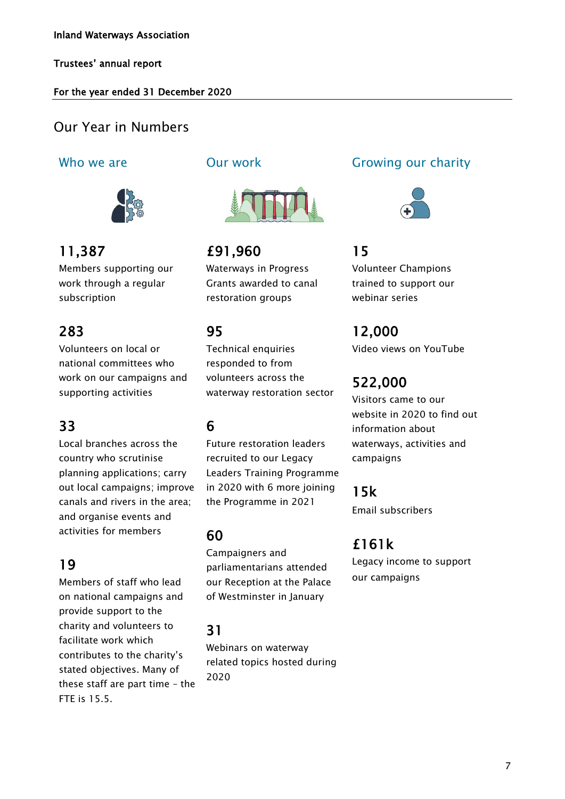#### For the year ended 31 December 2020

### Our Year in Numbers

### Who we are **Our work**



### 11,387

Members supporting our work through a regular subscription

### 283

Volunteers on local or national committees who work on our campaigns and supporting activities

### 33

Local branches across the country who scrutinise planning applications; carry out local campaigns; improve canals and rivers in the area; and organise events and activities for members

### 19

Members of staff who lead on national campaigns and provide support to the charity and volunteers to facilitate work which contributes to the charity's stated objectives. Many of these staff are part time – the FTE is 15.5.



£91,960 Waterways in Progress Grants awarded to canal restoration groups

### 95

Technical enquiries responded to from volunteers across the waterway restoration sector

### 6

Future restoration leaders recruited to our Legacy Leaders Training Programme in 2020 with 6 more joining the Programme in 2021

60

Campaigners and parliamentarians attended our Reception at the Palace of Westminster in January

### 31

Webinars on waterway related topics hosted during 2020

### Growing our charity



### 15

Volunteer Champions trained to support our webinar series

### 12,000

Video views on YouTube

## 522,000

Visitors came to our website in 2020 to find out information about waterways, activities and campaigns

15k

Email subscribers

### £161k

Legacy income to support our campaigns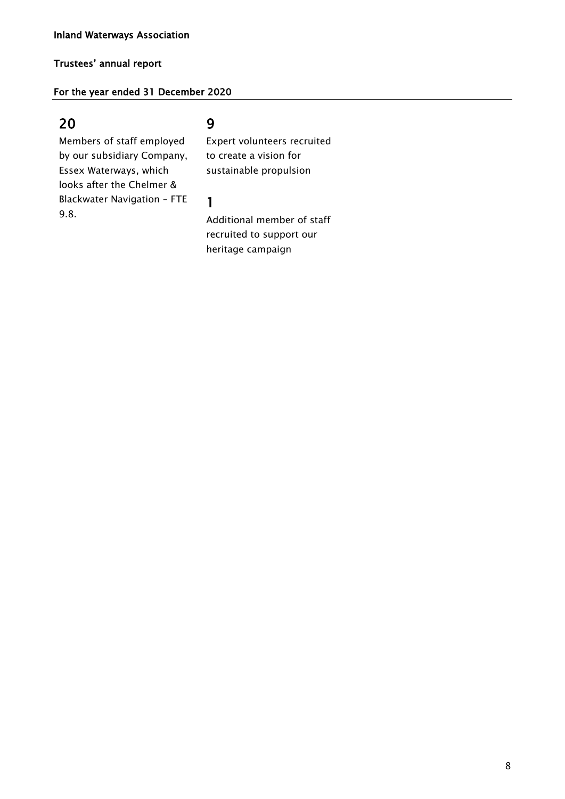#### For the year ended 31 December 2020

### 20

### 9

Members of staff employed by our subsidiary Company, Essex Waterways, which looks after the Chelmer & Blackwater Navigation – FTE 9.8.

Expert volunteers recruited to create a vision for sustainable propulsion

#### 1

Additional member of staff recruited to support our heritage campaign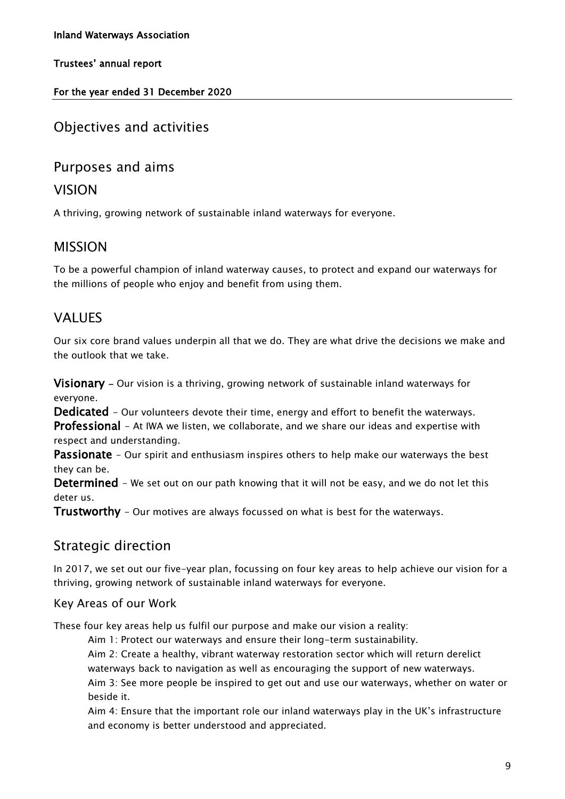#### For the year ended 31 December 2020

### Objectives and activities

### Purposes and aims

### VISION

A thriving, growing network of sustainable inland waterways for everyone.

### MISSION

To be a powerful champion of inland waterway causes, to protect and expand our waterways for the millions of people who enjoy and benefit from using them.

### VALUES

Our six core brand values underpin all that we do. They are what drive the decisions we make and the outlook that we take.

**Visionary** – Our vision is a thriving, growing network of sustainable inland waterways for everyone.

Dedicated - Our volunteers devote their time, energy and effort to benefit the waterways.

**Professional** – At IWA we listen, we collaborate, and we share our ideas and expertise with respect and understanding.

**Passionate** - Our spirit and enthusiasm inspires others to help make our waterways the best they can be.

Determined - We set out on our path knowing that it will not be easy, and we do not let this deter us.

**Trustworthy** - Our motives are always focussed on what is best for the waterways.

### Strategic direction

In 2017, we set out our five-year plan, focussing on four key areas to help achieve our vision for a thriving, growing network of sustainable inland waterways for everyone.

#### Key Areas of our Work

These four key areas help us fulfil our purpose and make our vision a reality:

Aim 1: Protect our waterways and ensure their long-term sustainability.

Aim 2: Create a healthy, vibrant waterway restoration sector which will return derelict waterways back to navigation as well as encouraging the support of new waterways.

Aim 3: See more people be inspired to get out and use our waterways, whether on water or beside it.

Aim 4: Ensure that the important role our inland waterways play in the UK's infrastructure and economy is better understood and appreciated.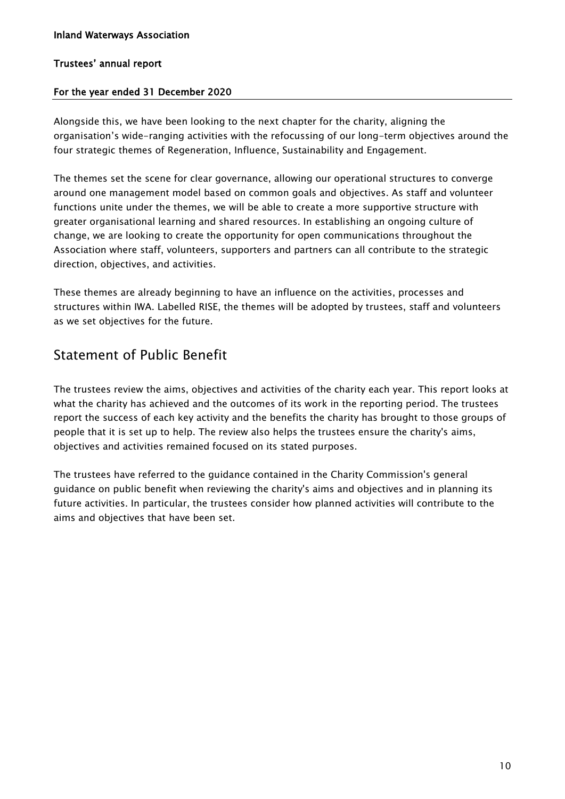#### For the year ended 31 December 2020

Alongside this, we have been looking to the next chapter for the charity, aligning the organisation's wide-ranging activities with the refocussing of our long-term objectives around the four strategic themes of Regeneration, Influence, Sustainability and Engagement.

The themes set the scene for clear governance, allowing our operational structures to converge around one management model based on common goals and objectives. As staff and volunteer functions unite under the themes, we will be able to create a more supportive structure with greater organisational learning and shared resources. In establishing an ongoing culture of change, we are looking to create the opportunity for open communications throughout the Association where staff, volunteers, supporters and partners can all contribute to the strategic direction, objectives, and activities.

These themes are already beginning to have an influence on the activities, processes and structures within IWA. Labelled RISE, the themes will be adopted by trustees, staff and volunteers as we set objectives for the future.

### Statement of Public Benefit

The trustees review the aims, objectives and activities of the charity each year. This report looks at what the charity has achieved and the outcomes of its work in the reporting period. The trustees report the success of each key activity and the benefits the charity has brought to those groups of people that it is set up to help. The review also helps the trustees ensure the charity's aims, objectives and activities remained focused on its stated purposes.

The trustees have referred to the guidance contained in the Charity Commission's general guidance on public benefit when reviewing the charity's aims and objectives and in planning its future activities. In particular, the trustees consider how planned activities will contribute to the aims and objectives that have been set.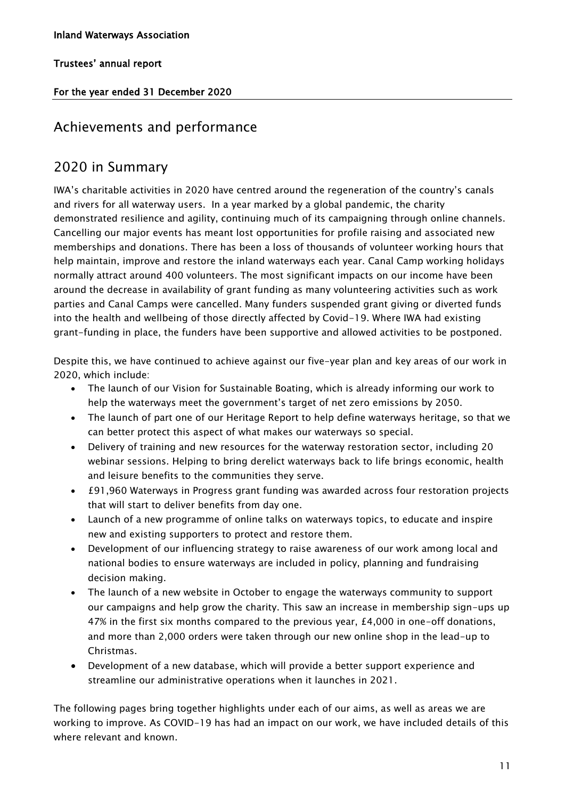#### For the year ended 31 December 2020

### Achievements and performance

### 2020 in Summary

IWA's charitable activities in 2020 have centred around the regeneration of the country's canals and rivers for all waterway users. In a year marked by a global pandemic, the charity demonstrated resilience and agility, continuing much of its campaigning through online channels. Cancelling our major events has meant lost opportunities for profile raising and associated new memberships and donations. There has been a loss of thousands of volunteer working hours that help maintain, improve and restore the inland waterways each year. Canal Camp working holidays normally attract around 400 volunteers. The most significant impacts on our income have been around the decrease in availability of grant funding as many volunteering activities such as work parties and Canal Camps were cancelled. Many funders suspended grant giving or diverted funds into the health and wellbeing of those directly affected by Covid-19. Where IWA had existing grant-funding in place, the funders have been supportive and allowed activities to be postponed.

Despite this, we have continued to achieve against our five-year plan and key areas of our work in 2020, which include:

- The launch of our Vision for Sustainable Boating, which is already informing our work to help the waterways meet the government's target of net zero emissions by 2050.
- The launch of part one of our Heritage Report to help define waterways heritage, so that we can better protect this aspect of what makes our waterways so special.
- Delivery of training and new resources for the waterway restoration sector, including 20 webinar sessions. Helping to bring derelict waterways back to life brings economic, health and leisure benefits to the communities they serve.
- £91,960 Waterways in Progress grant funding was awarded across four restoration projects that will start to deliver benefits from day one.
- Launch of a new programme of online talks on waterways topics, to educate and inspire new and existing supporters to protect and restore them.
- Development of our influencing strategy to raise awareness of our work among local and national bodies to ensure waterways are included in policy, planning and fundraising decision making.
- The launch of a new website in October to engage the waterways community to support our campaigns and help grow the charity. This saw an increase in membership sign-ups up 47% in the first six months compared to the previous year, £4,000 in one-off donations, and more than 2,000 orders were taken through our new online shop in the lead-up to Christmas.
- Development of a new database, which will provide a better support experience and streamline our administrative operations when it launches in 2021.

The following pages bring together highlights under each of our aims, as well as areas we are working to improve. As COVID-19 has had an impact on our work, we have included details of this where relevant and known.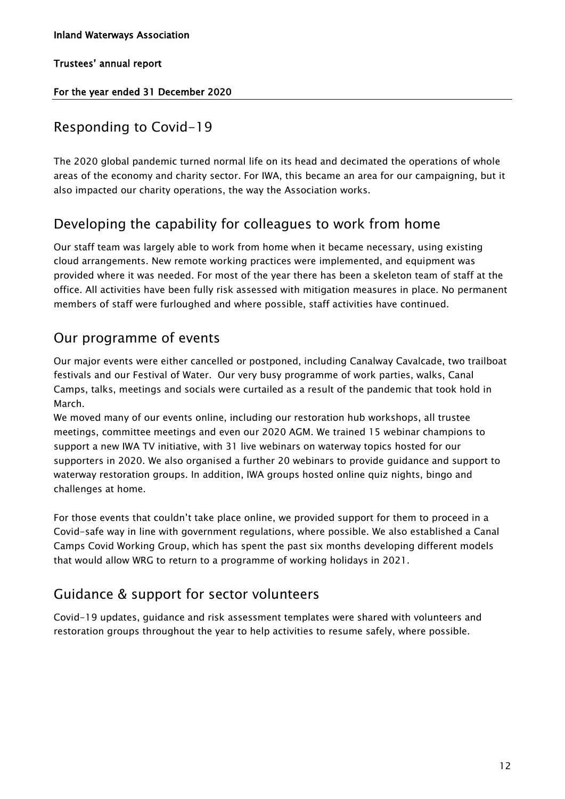#### For the year ended 31 December 2020

### Responding to Covid-19

The 2020 global pandemic turned normal life on its head and decimated the operations of whole areas of the economy and charity sector. For IWA, this became an area for our campaigning, but it also impacted our charity operations, the way the Association works.

### Developing the capability for colleagues to work from home

Our staff team was largely able to work from home when it became necessary, using existing cloud arrangements. New remote working practices were implemented, and equipment was provided where it was needed. For most of the year there has been a skeleton team of staff at the office. All activities have been fully risk assessed with mitigation measures in place. No permanent members of staff were furloughed and where possible, staff activities have continued.

### Our programme of events

Our major events were either cancelled or postponed, including Canalway Cavalcade, two trailboat festivals and our Festival of Water. Our very busy programme of work parties, walks, Canal Camps, talks, meetings and socials were curtailed as a result of the pandemic that took hold in March.

We moved many of our events online, including our restoration hub workshops, all trustee meetings, committee meetings and even our 2020 AGM. We trained 15 webinar champions to support a new IWA TV initiative, with 31 live webinars on waterway topics hosted for our supporters in 2020. We also organised a further 20 webinars to provide guidance and support to waterway restoration groups. In addition, IWA groups hosted online quiz nights, bingo and challenges at home.

For those events that couldn't take place online, we provided support for them to proceed in a Covid-safe way in line with government regulations, where possible. We also established a Canal Camps Covid Working Group, which has spent the past six months developing different models that would allow WRG to return to a programme of working holidays in 2021.

### Guidance & support for sector volunteers

Covid-19 updates, guidance and risk assessment templates were shared with volunteers and restoration groups throughout the year to help activities to resume safely, where possible.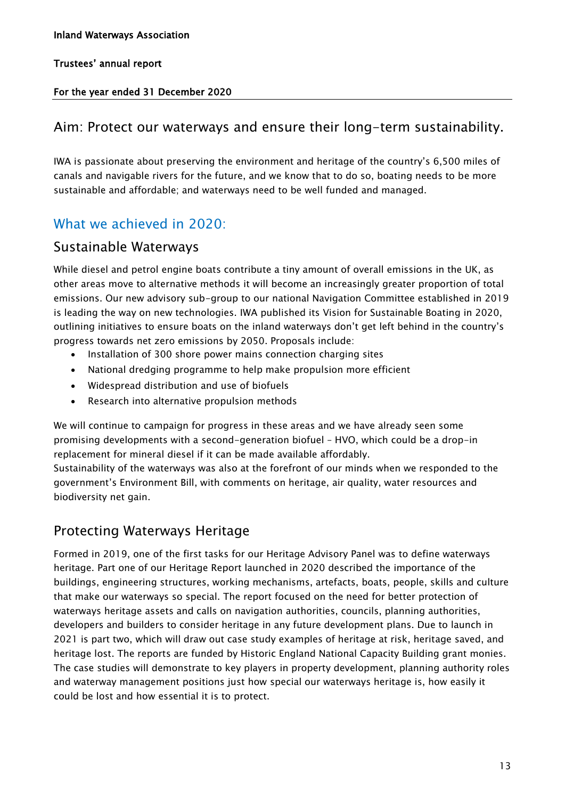#### For the year ended 31 December 2020

### Aim: Protect our waterways and ensure their long-term sustainability.

IWA is passionate about preserving the environment and heritage of the country's 6,500 miles of canals and navigable rivers for the future, and we know that to do so, boating needs to be more sustainable and affordable; and waterways need to be well funded and managed.

### What we achieved in 2020:

### Sustainable Waterways

While diesel and petrol engine boats contribute a tiny amount of overall emissions in the UK, as other areas move to alternative methods it will become an increasingly greater proportion of total emissions. Our new advisory sub-group to our national Navigation Committee established in 2019 is leading the way on new technologies. IWA published its Vision for Sustainable Boating in 2020, outlining initiatives to ensure boats on the inland waterways don't get left behind in the country's progress towards net zero emissions by 2050. Proposals include:

- Installation of 300 shore power mains connection charging sites
- National dredging programme to help make propulsion more efficient
- Widespread distribution and use of biofuels
- Research into alternative propulsion methods

We will continue to campaign for progress in these areas and we have already seen some promising developments with a second-generation biofuel – HVO, which could be a drop-in replacement for mineral diesel if it can be made available affordably.

Sustainability of the waterways was also at the forefront of our minds when we responded to the government's Environment Bill, with comments on heritage, air quality, water resources and biodiversity net gain.

### Protecting Waterways Heritage

Formed in 2019, one of the first tasks for our Heritage Advisory Panel was to define waterways heritage. Part one of our Heritage Report launched in 2020 described the importance of the buildings, engineering structures, working mechanisms, artefacts, boats, people, skills and culture that make our waterways so special. The report focused on the need for better protection of waterways heritage assets and calls on navigation authorities, councils, planning authorities, developers and builders to consider heritage in any future development plans. Due to launch in 2021 is part two, which will draw out case study examples of heritage at risk, heritage saved, and heritage lost. The reports are funded by Historic England National Capacity Building grant monies. The case studies will demonstrate to key players in property development, planning authority roles and waterway management positions just how special our waterways heritage is, how easily it could be lost and how essential it is to protect.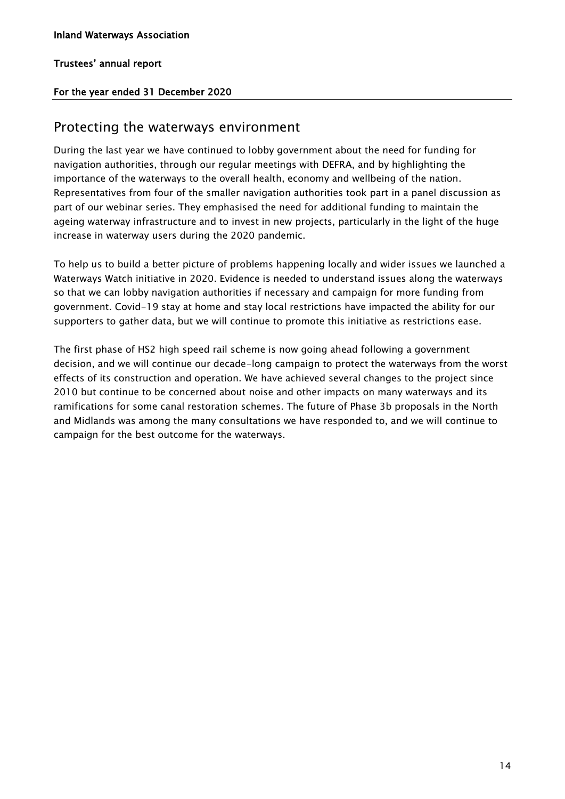#### For the year ended 31 December 2020

### Protecting the waterways environment

During the last year we have continued to lobby government about the need for funding for navigation authorities, through our regular meetings with DEFRA, and by highlighting the importance of the waterways to the overall health, economy and wellbeing of the nation. Representatives from four of the smaller navigation authorities took part in a panel discussion as part of our webinar series. They emphasised the need for additional funding to maintain the ageing waterway infrastructure and to invest in new projects, particularly in the light of the huge increase in waterway users during the 2020 pandemic.

To help us to build a better picture of problems happening locally and wider issues we launched a Waterways Watch initiative in 2020. Evidence is needed to understand issues along the waterways so that we can lobby navigation authorities if necessary and campaign for more funding from government. Covid-19 stay at home and stay local restrictions have impacted the ability for our supporters to gather data, but we will continue to promote this initiative as restrictions ease.

The first phase of HS2 high speed rail scheme is now going ahead following a government decision, and we will continue our decade-long campaign to protect the waterways from the worst effects of its construction and operation. We have achieved several changes to the project since 2010 but continue to be concerned about noise and other impacts on many waterways and its ramifications for some canal restoration schemes. The future of Phase 3b proposals in the North and Midlands was among the many consultations we have responded to, and we will continue to campaign for the best outcome for the waterways.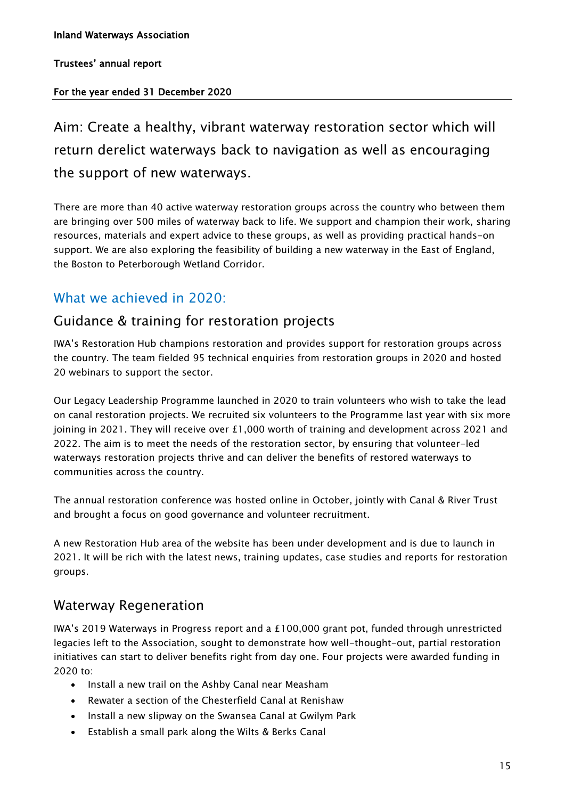#### For the year ended 31 December 2020

Aim: Create a healthy, vibrant waterway restoration sector which will return derelict waterways back to navigation as well as encouraging the support of new waterways.

There are more than 40 active waterway restoration groups across the country who between them are bringing over 500 miles of waterway back to life. We support and champion their work, sharing resources, materials and expert advice to these groups, as well as providing practical hands-on support. We are also exploring the feasibility of building a new waterway in the East of England, the Boston to Peterborough Wetland Corridor.

### What we achieved in 2020:

### Guidance & training for restoration projects

IWA's Restoration Hub champions restoration and provides support for restoration groups across the country. The team fielded 95 technical enquiries from restoration groups in 2020 and hosted 20 webinars to support the sector.

Our Legacy Leadership Programme launched in 2020 to train volunteers who wish to take the lead on canal restoration projects. We recruited six volunteers to the Programme last year with six more joining in 2021. They will receive over  $£1,000$  worth of training and development across 2021 and 2022. The aim is to meet the needs of the restoration sector, by ensuring that volunteer-led waterways restoration projects thrive and can deliver the benefits of restored waterways to communities across the country.

The annual restoration conference was hosted online in October, jointly with Canal & River Trust and brought a focus on good governance and volunteer recruitment.

A new Restoration Hub area of the website has been under development and is due to launch in 2021. It will be rich with the latest news, training updates, case studies and reports for restoration groups.

### Waterway Regeneration

IWA's 2019 Waterways in Progress report and a £100,000 grant pot, funded through unrestricted legacies left to the Association, sought to demonstrate how well-thought-out, partial restoration initiatives can start to deliver benefits right from day one. Four projects were awarded funding in 2020 to:

- Install a new trail on the Ashby Canal near Measham
- Rewater a section of the Chesterfield Canal at Renishaw
- Install a new slipway on the Swansea Canal at Gwilym Park
- Establish a small park along the Wilts & Berks Canal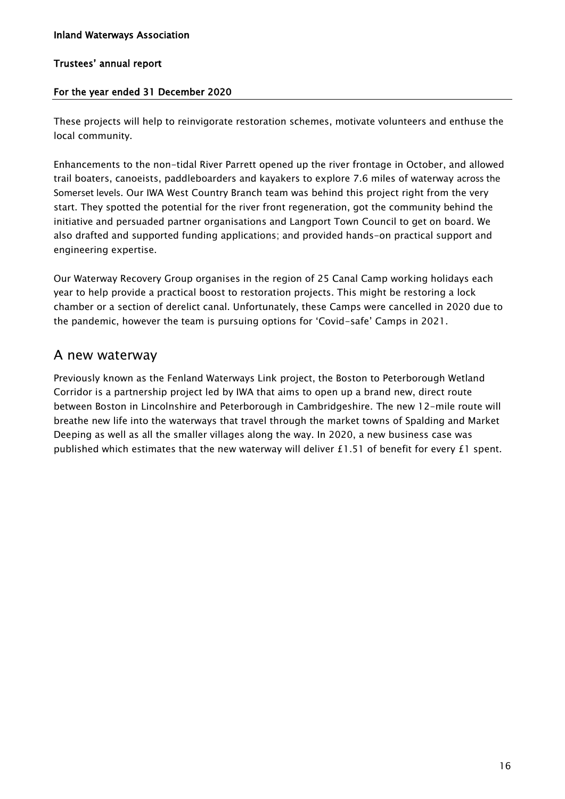#### For the year ended 31 December 2020

These projects will help to reinvigorate restoration schemes, motivate volunteers and enthuse the local community.

Enhancements to the non-tidal River Parrett opened up the river frontage in October, and allowed trail boaters, canoeists, paddleboarders and kayakers to explore 7.6 miles of waterway across the Somerset levels. Our IWA West Country Branch team was behind this project right from the very start. They spotted the potential for the river front regeneration, got the community behind the initiative and persuaded partner organisations and Langport Town Council to get on board. We also drafted and supported funding applications; and provided hands-on practical support and engineering expertise.

Our Waterway Recovery Group organises in the region of 25 Canal Camp working holidays each year to help provide a practical boost to restoration projects. This might be restoring a lock chamber or a section of derelict canal. Unfortunately, these Camps were cancelled in 2020 due to the pandemic, however the team is pursuing options for 'Covid-safe' Camps in 2021.

### A new waterway

Previously known as the Fenland Waterways Link project, the Boston to Peterborough Wetland Corridor is a partnership project led by IWA that aims to open up a brand new, direct route between Boston in Lincolnshire and Peterborough in Cambridgeshire. The new 12-mile route will breathe new life into the waterways that travel through the market towns of Spalding and Market Deeping as well as all the smaller villages along the way. In 2020, a new business case was published which estimates that the new waterway will deliver £1.51 of benefit for every £1 spent.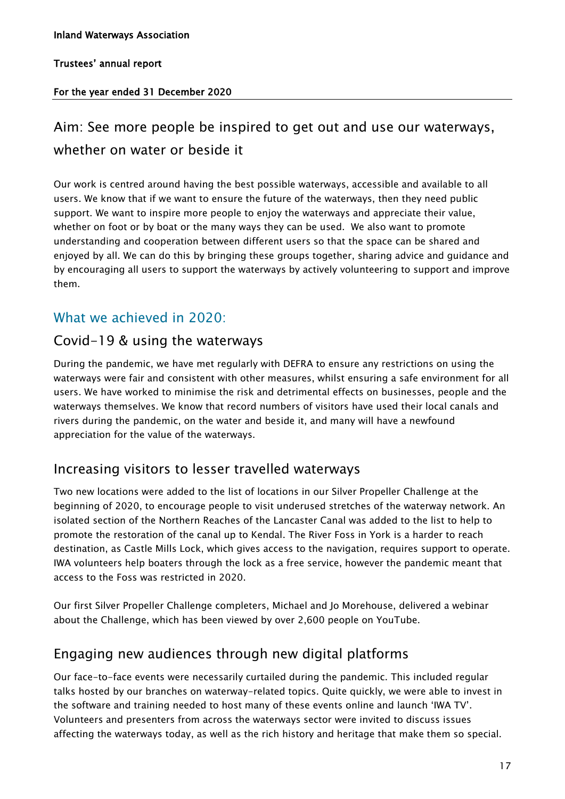#### For the year ended 31 December 2020

### Aim: See more people be inspired to get out and use our waterways, whether on water or beside it

Our work is centred around having the best possible waterways, accessible and available to all users. We know that if we want to ensure the future of the waterways, then they need public support. We want to inspire more people to enjoy the waterways and appreciate their value, whether on foot or by boat or the many ways they can be used. We also want to promote understanding and cooperation between different users so that the space can be shared and enjoyed by all. We can do this by bringing these groups together, sharing advice and guidance and by encouraging all users to support the waterways by actively volunteering to support and improve them.

### What we achieved in 2020:

### Covid-19 & using the waterways

During the pandemic, we have met regularly with DEFRA to ensure any restrictions on using the waterways were fair and consistent with other measures, whilst ensuring a safe environment for all users. We have worked to minimise the risk and detrimental effects on businesses, people and the waterways themselves. We know that record numbers of visitors have used their local canals and rivers during the pandemic, on the water and beside it, and many will have a newfound appreciation for the value of the waterways.

### Increasing visitors to lesser travelled waterways

Two new locations were added to the list of locations in our Silver Propeller Challenge at the beginning of 2020, to encourage people to visit underused stretches of the waterway network. An isolated section of the Northern Reaches of the Lancaster Canal was added to the list to help to promote the restoration of the canal up to Kendal. The River Foss in York is a harder to reach destination, as Castle Mills Lock, which gives access to the navigation, requires support to operate. IWA volunteers help boaters through the lock as a free service, however the pandemic meant that access to the Foss was restricted in 2020.

Our first Silver Propeller Challenge completers, Michael and Jo Morehouse, delivered a webinar about the Challenge, which has been viewed by over 2,600 people on YouTube.

### Engaging new audiences through new digital platforms

Our face-to-face events were necessarily curtailed during the pandemic. This included regular talks hosted by our branches on waterway-related topics. Quite quickly, we were able to invest in the software and training needed to host many of these events online and launch 'IWA TV'. Volunteers and presenters from across the waterways sector were invited to discuss issues affecting the waterways today, as well as the rich history and heritage that make them so special.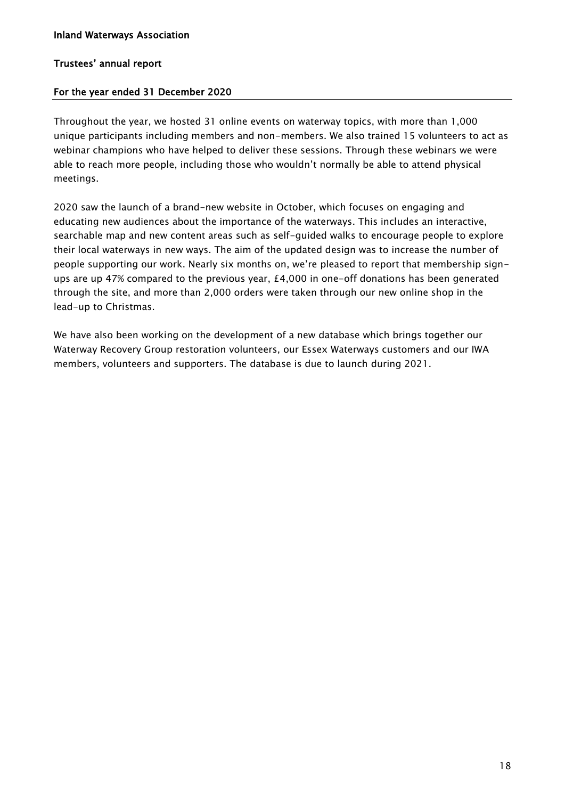#### For the year ended 31 December 2020

Throughout the year, we hosted 31 online events on waterway topics, with more than 1,000 unique participants including members and non-members. We also trained 15 volunteers to act as webinar champions who have helped to deliver these sessions. Through these webinars we were able to reach more people, including those who wouldn't normally be able to attend physical meetings.

2020 saw the launch of a brand-new website in October, which focuses on engaging and educating new audiences about the importance of the waterways. This includes an interactive, searchable map and new content areas such as self-guided walks to encourage people to explore their local waterways in new ways. The aim of the updated design was to increase the number of people supporting our work. Nearly six months on, we're pleased to report that membership signups are up 47% compared to the previous year, £4,000 in one-off donations has been generated through the site, and more than 2,000 orders were taken through our new online shop in the lead-up to Christmas.

We have also been working on the development of a new database which brings together our Waterway Recovery Group restoration volunteers, our Essex Waterways customers and our IWA members, volunteers and supporters. The database is due to launch during 2021.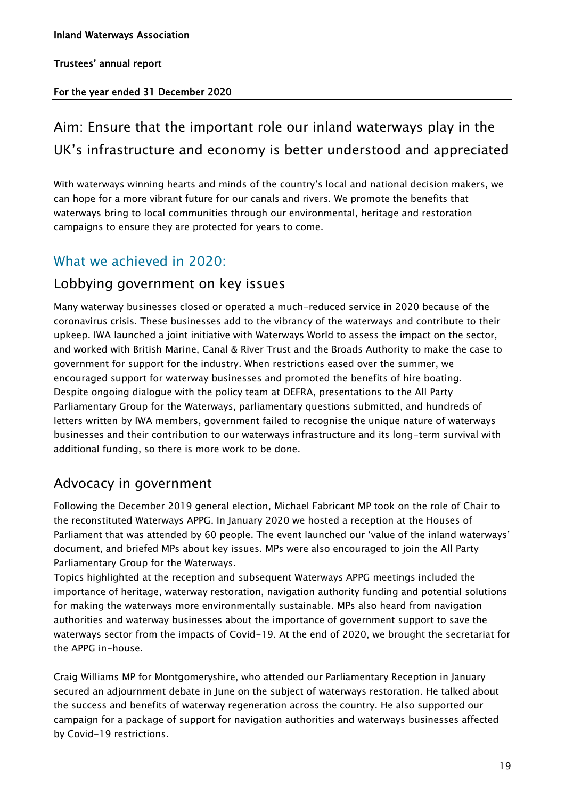#### For the year ended 31 December 2020

### Aim: Ensure that the important role our inland waterways play in the UK's infrastructure and economy is better understood and appreciated

With waterways winning hearts and minds of the country's local and national decision makers, we can hope for a more vibrant future for our canals and rivers. We promote the benefits that waterways bring to local communities through our environmental, heritage and restoration campaigns to ensure they are protected for years to come.

### What we achieved in 2020:

### Lobbying government on key issues

Many waterway businesses closed or operated a much-reduced service in 2020 because of the coronavirus crisis. These businesses add to the vibrancy of the waterways and contribute to their upkeep. IWA launched a joint initiative with Waterways World to assess the impact on the sector, and worked with British Marine, Canal & River Trust and the Broads Authority to make the case to government for support for the industry. When restrictions eased over the summer, we encouraged support for waterway businesses and promoted the benefits of hire boating. Despite ongoing dialogue with the policy team at DEFRA, presentations to the All Party Parliamentary Group for the Waterways, parliamentary questions submitted, and hundreds of letters written by IWA members, government failed to recognise the unique nature of waterways businesses and their contribution to our waterways infrastructure and its long-term survival with additional funding, so there is more work to be done.

### Advocacy in government

Following the December 2019 general election, Michael Fabricant MP took on the role of Chair to the reconstituted Waterways APPG. In January 2020 we hosted a reception at the Houses of Parliament that was attended by 60 people. The event launched our 'value of the inland waterways' document, and briefed MPs about key issues. MPs were also encouraged to join the All Party Parliamentary Group for the Waterways.

Topics highlighted at the reception and subsequent Waterways APPG meetings included the importance of heritage, waterway restoration, navigation authority funding and potential solutions for making the waterways more environmentally sustainable. MPs also heard from navigation authorities and waterway businesses about the importance of government support to save the waterways sector from the impacts of Covid-19. At the end of 2020, we brought the secretariat for the APPG in-house.

Craig Williams MP for Montgomeryshire, who attended our Parliamentary Reception in January secured an adjournment debate in June on the subject of waterways restoration. He talked about the success and benefits of waterway regeneration across the country. He also supported our campaign for a package of support for navigation authorities and waterways businesses affected by Covid-19 restrictions.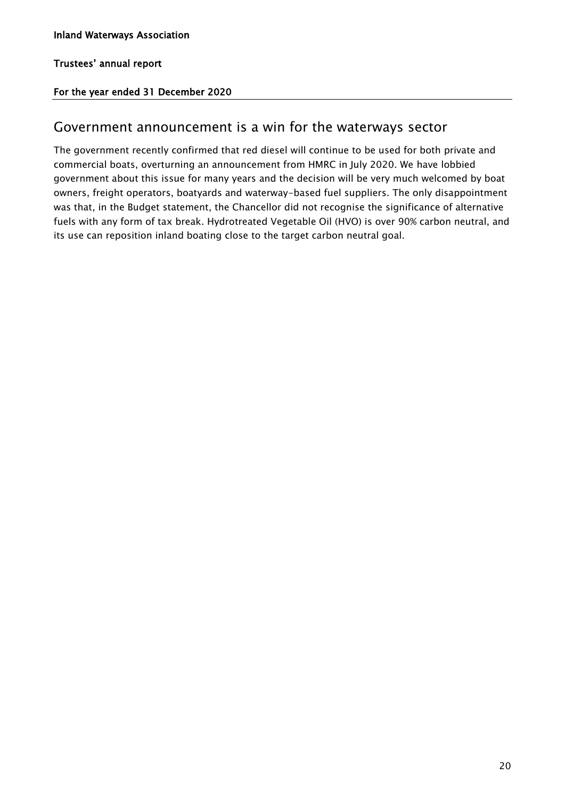#### For the year ended 31 December 2020

### Government announcement is a win for the waterways sector

The government recently confirmed that red diesel will continue to be used for both private and commercial boats, overturning an announcement from HMRC in July 2020. We have lobbied government about this issue for many years and the decision will be very much welcomed by boat owners, freight operators, boatyards and waterway-based fuel suppliers. The only disappointment was that, in the Budget statement, the Chancellor did not recognise the significance of alternative fuels with any form of tax break. Hydrotreated Vegetable Oil (HVO) is over 90% carbon neutral, and its use can reposition inland boating close to the target carbon neutral goal.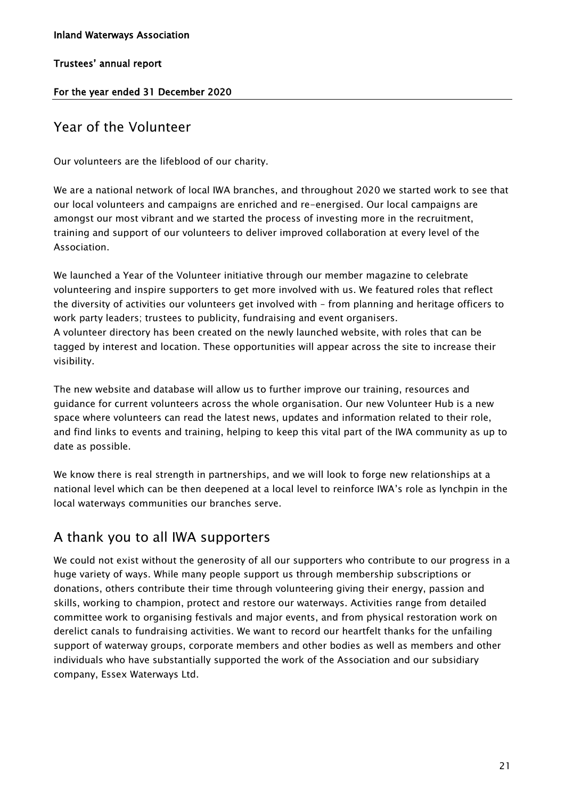#### Inland Waterways Association

#### Trustees' annual report

#### For the year ended 31 December 2020

### Year of the Volunteer

Our volunteers are the lifeblood of our charity.

We are a national network of local IWA branches, and throughout 2020 we started work to see that our local volunteers and campaigns are enriched and re-energised. Our local campaigns are amongst our most vibrant and we started the process of investing more in the recruitment, training and support of our volunteers to deliver improved collaboration at every level of the Association.

We launched a Year of the Volunteer initiative through our member magazine to celebrate volunteering and inspire supporters to get more involved with us. We featured roles that reflect the diversity of activities our volunteers get involved with – from planning and heritage officers to work party leaders; trustees to publicity, fundraising and event organisers. A volunteer directory has been created on the newly launched website, with roles that can be tagged by interest and location. These opportunities will appear across the site to increase their visibility.

The new website and database will allow us to further improve our training, resources and guidance for current volunteers across the whole organisation. Our new Volunteer Hub is a new space where volunteers can read the latest news, updates and information related to their role, and find links to events and training, helping to keep this vital part of the IWA community as up to date as possible.

We know there is real strength in partnerships, and we will look to forge new relationships at a national level which can be then deepened at a local level to reinforce IWA's role as lynchpin in the local waterways communities our branches serve.

### A thank you to all IWA supporters

We could not exist without the generosity of all our supporters who contribute to our progress in a huge variety of ways. While many people support us through membership subscriptions or donations, others contribute their time through volunteering giving their energy, passion and skills, working to champion, protect and restore our waterways. Activities range from detailed committee work to organising festivals and major events, and from physical restoration work on derelict canals to fundraising activities. We want to record our heartfelt thanks for the unfailing support of waterway groups, corporate members and other bodies as well as members and other individuals who have substantially supported the work of the Association and our subsidiary company, Essex Waterways Ltd.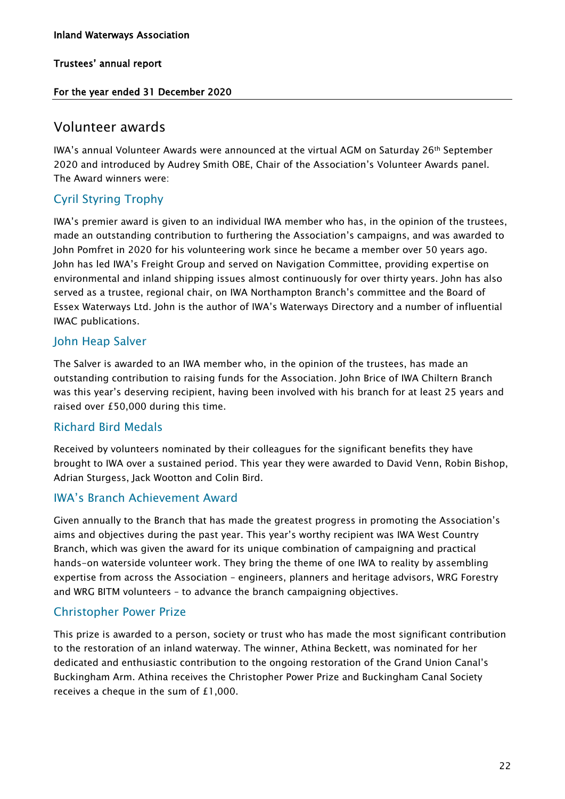#### For the year ended 31 December 2020

### Volunteer awards

IWA's annual Volunteer Awards were announced at the virtual AGM on Saturday 26th September 2020 and introduced by Audrey Smith OBE, Chair of the Association's Volunteer Awards panel. The Award winners were:

### Cyril Styring Trophy

IWA's premier award is given to an individual IWA member who has, in the opinion of the trustees, made an outstanding contribution to furthering the Association's campaigns, and was awarded to John Pomfret in 2020 for his volunteering work since he became a member over 50 years ago. John has led IWA's Freight Group and served on Navigation Committee, providing expertise on environmental and inland shipping issues almost continuously for over thirty years. John has also served as a trustee, regional chair, on IWA Northampton Branch's committee and the Board of Essex Waterways Ltd. John is the author of IWA's Waterways Directory and a number of influential IWAC publications.

#### John Heap Salver

The Salver is awarded to an IWA member who, in the opinion of the trustees, has made an outstanding contribution to raising funds for the Association. John Brice of IWA Chiltern Branch was this year's deserving recipient, having been involved with his branch for at least 25 years and raised over £50,000 during this time.

#### Richard Bird Medals

Received by volunteers nominated by their colleagues for the significant benefits they have brought to IWA over a sustained period. This year they were awarded to David Venn, Robin Bishop, Adrian Sturgess, Jack Wootton and Colin Bird.

#### IWA's Branch Achievement Award

Given annually to the Branch that has made the greatest progress in promoting the Association's aims and objectives during the past year. This year's worthy recipient was IWA West Country Branch, which was given the award for its unique combination of campaigning and practical hands-on waterside volunteer work. They bring the theme of one IWA to reality by assembling expertise from across the Association – engineers, planners and heritage advisors, WRG Forestry and WRG BITM volunteers – to advance the branch campaigning objectives.

#### Christopher Power Prize

This prize is awarded to a person, society or trust who has made the most significant contribution to the restoration of an inland waterway. The winner, Athina Beckett, was nominated for her dedicated and enthusiastic contribution to the ongoing restoration of the Grand Union Canal's Buckingham Arm. Athina receives the Christopher Power Prize and Buckingham Canal Society receives a cheque in the sum of £1,000.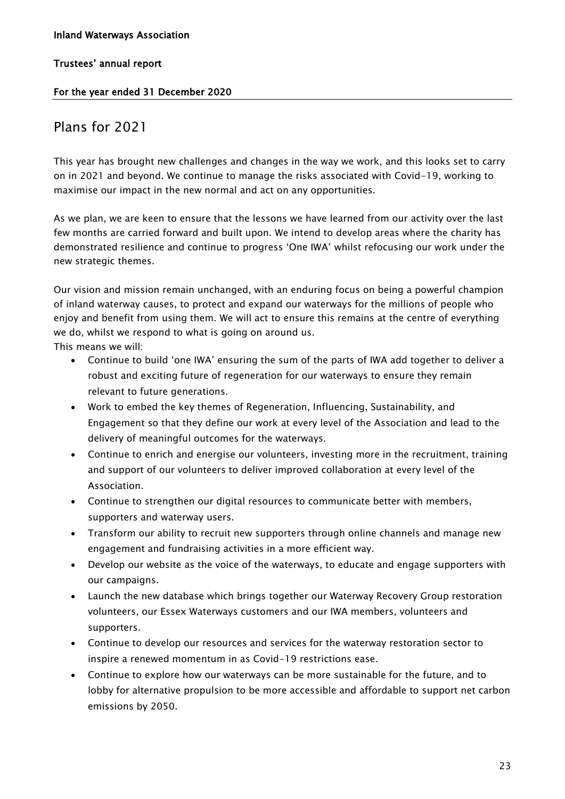#### For the year ended 31 December 2020

### Plans for 2021

This year has brought new challenges and changes in the way we work, and this looks set to carry on in 2021 and beyond. We continue to manage the risks associated with Covid-19, working to maximise our impact in the new normal and act on any opportunities.

As we plan, we are keen to ensure that the lessons we have learned from our activity over the last few months are carried forward and built upon. We intend to develop areas where the charity has demonstrated resilience and continue to progress 'One IWA' whilst refocusing our work under the new strategic themes.

Our vision and mission remain unchanged, with an enduring focus on being a powerful champion of inland waterway causes, to protect and expand our waterways for the millions of people who enjoy and benefit from using them. We will act to ensure this remains at the centre of everything we do, whilst we respond to what is going on around us.

This means we will:

- Continue to build 'one IWA' ensuring the sum of the parts of IWA add together to deliver a robust and exciting future of regeneration for our waterways to ensure they remain relevant to future generations.
- Work to embed the key themes of Regeneration, Influencing, Sustainability, and Engagement so that they define our work at every level of the Association and lead to the delivery of meaningful outcomes for the waterways.
- Continue to enrich and energise our volunteers, investing more in the recruitment, training and support of our volunteers to deliver improved collaboration at every level of the Association.
- Continue to strengthen our digital resources to communicate better with members, supporters and waterway users.
- Transform our ability to recruit new supporters through online channels and manage new engagement and fundraising activities in a more efficient way.
- Develop our website as the voice of the waterways, to educate and engage supporters with our campaigns.
- Launch the new database which brings together our Waterway Recovery Group restoration volunteers, our Essex Waterways customers and our IWA members, volunteers and supporters.
- Continue to develop our resources and services for the waterway restoration sector to inspire a renewed momentum in as Covid-19 restrictions ease.
- Continue to explore how our waterways can be more sustainable for the future, and to lobby for alternative propulsion to be more accessible and affordable to support net carbon emissions by 2050.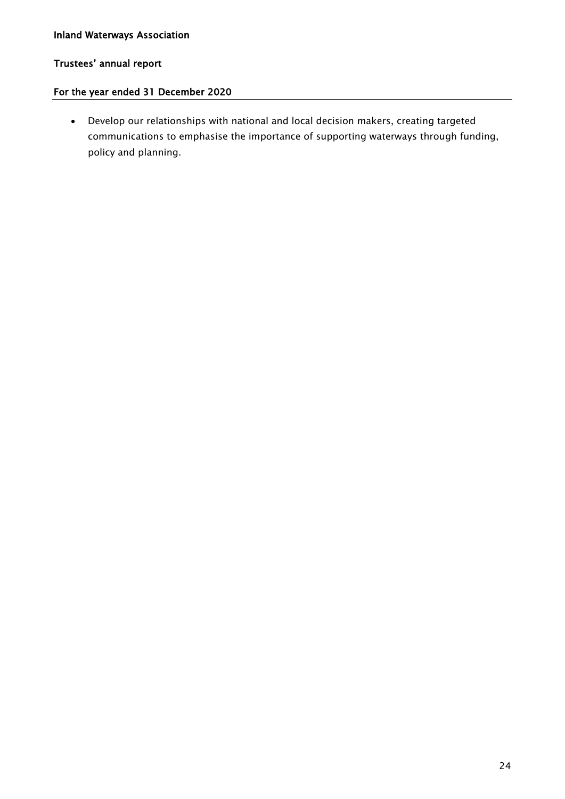#### Inland Waterways Association

#### Trustees' annual report

#### For the year ended 31 December 2020

• Develop our relationships with national and local decision makers, creating targeted communications to emphasise the importance of supporting waterways through funding, policy and planning.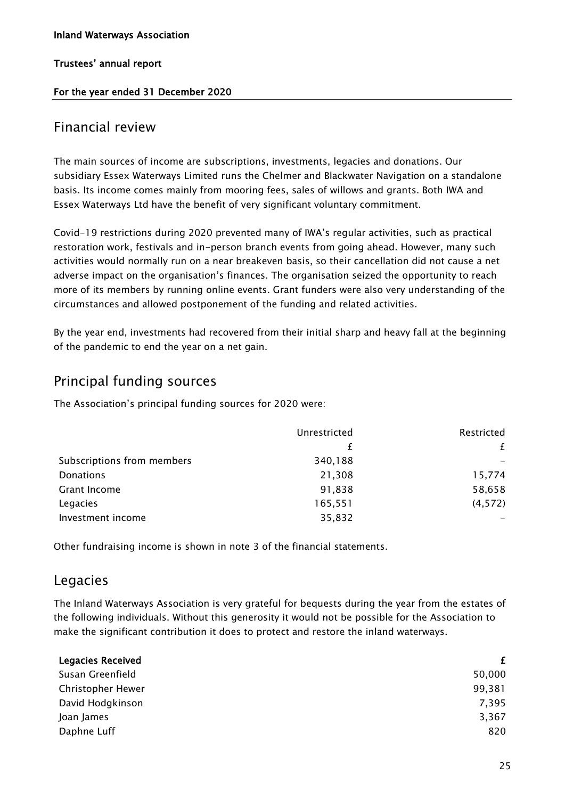#### For the year ended 31 December 2020

### Financial review

The main sources of income are subscriptions, investments, legacies and donations. Our subsidiary Essex Waterways Limited runs the Chelmer and Blackwater Navigation on a standalone basis. Its income comes mainly from mooring fees, sales of willows and grants. Both IWA and Essex Waterways Ltd have the benefit of very significant voluntary commitment.

Covid-19 restrictions during 2020 prevented many of IWA's regular activities, such as practical restoration work, festivals and in-person branch events from going ahead. However, many such activities would normally run on a near breakeven basis, so their cancellation did not cause a net adverse impact on the organisation's finances. The organisation seized the opportunity to reach more of its members by running online events. Grant funders were also very understanding of the circumstances and allowed postponement of the funding and related activities.

By the year end, investments had recovered from their initial sharp and heavy fall at the beginning of the pandemic to end the year on a net gain.

### Principal funding sources

The Association's principal funding sources for 2020 were:

|                            | Unrestricted | Restricted |
|----------------------------|--------------|------------|
|                            |              | £          |
| Subscriptions from members | 340,188      |            |
| Donations                  | 21,308       | 15,774     |
| Grant Income               | 91,838       | 58,658     |
| Legacies                   | 165,551      | (4, 572)   |
| Investment income          | 35,832       |            |

Other fundraising income is shown in note 3 of the financial statements.

### Legacies

The Inland Waterways Association is very grateful for bequests during the year from the estates of the following individuals. Without this generosity it would not be possible for the Association to make the significant contribution it does to protect and restore the inland waterways.

| <b>Legacies Received</b> | £      |
|--------------------------|--------|
| Susan Greenfield         | 50,000 |
| Christopher Hewer        | 99,381 |
| David Hodgkinson         | 7,395  |
| Joan James               | 3,367  |
| Daphne Luff              | 820    |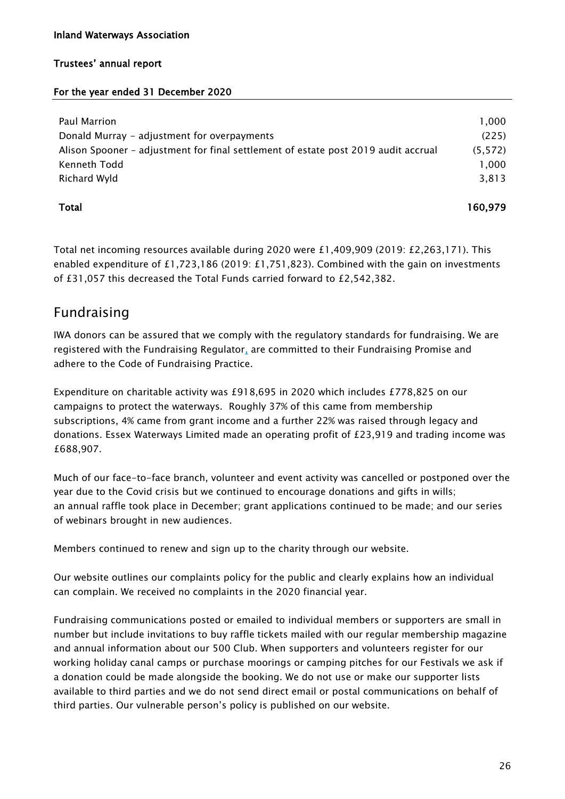#### Inland Waterways Association

#### Trustees' annual report

#### For the year ended 31 December 2020

| Paul Marrion                                                                       | 1.000   |
|------------------------------------------------------------------------------------|---------|
| Donald Murray - adjustment for overpayments                                        | (225)   |
| Alison Spooner - adjustment for final settlement of estate post 2019 audit accrual | (5.572) |
| Kenneth Todd                                                                       | 1,000   |
| Richard Wyld                                                                       | 3.813   |
|                                                                                    |         |

#### Total

160,979

Total net incoming resources available during 2020 were £1,409,909 (2019: £2,263,171). This enabled expenditure of £1,723,186 (2019: £1,751,823). Combined with the gain on investments of £31,057 this decreased the Total Funds carried forward to £2,542,382.

### Fundraising

IWA donors can be assured that we comply with the regulatory standards for fundraising. We are registered with the Fundraising Regulator, are committed to their Fundraising Promise and adhere to the Code of Fundraising Practice.

Expenditure on charitable activity was £918,695 in 2020 which includes £778,825 on our campaigns to protect the waterways. Roughly 37% of this came from membership subscriptions, 4% came from grant income and a further 22% was raised through legacy and donations. Essex Waterways Limited made an operating profit of £23,919 and trading income was £688,907.

Much of our face-to-face branch, volunteer and event activity was cancelled or postponed over the year due to the Covid crisis but we continued to encourage donations and gifts in wills; an annual raffle took place in December; grant applications continued to be made; and our series of webinars brought in new audiences.

Members continued to renew and sign up to the charity through our website.

Our website outlines our complaints policy for the public and clearly explains how an individual can complain. We received no complaints in the 2020 financial year.

Fundraising communications posted or emailed to individual members or supporters are small in number but include invitations to buy raffle tickets mailed with our regular membership magazine and annual information about our 500 Club. When supporters and volunteers register for our working holiday canal camps or purchase moorings or camping pitches for our Festivals we ask if a donation could be made alongside the booking. We do not use or make our supporter lists available to third parties and we do not send direct email or postal communications on behalf of third parties. Our vulnerable person's policy is published on our website.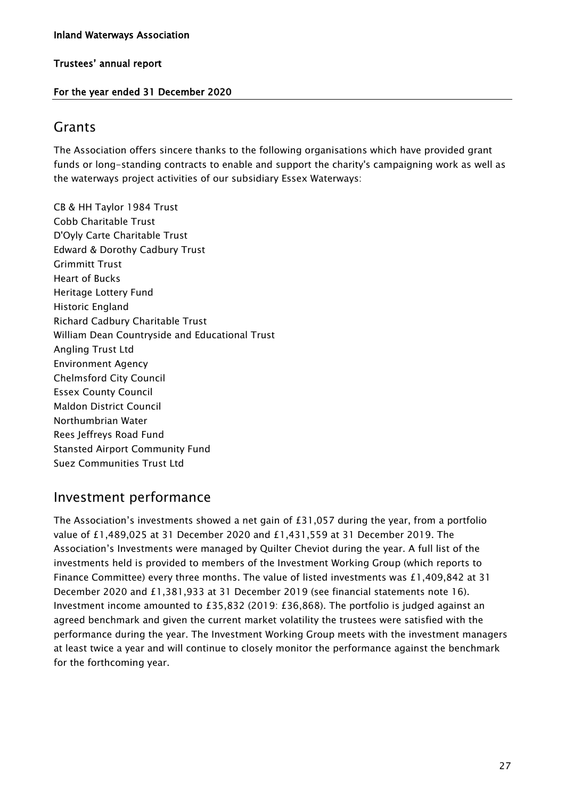#### For the year ended 31 December 2020

#### Grants

The Association offers sincere thanks to the following organisations which have provided grant funds or long-standing contracts to enable and support the charity's campaigning work as well as the waterways project activities of our subsidiary Essex Waterways:

CB & HH Taylor 1984 Trust Cobb Charitable Trust D'Oyly Carte Charitable Trust Edward & Dorothy Cadbury Trust Grimmitt Trust Heart of Bucks Heritage Lottery Fund Historic England Richard Cadbury Charitable Trust William Dean Countryside and Educational Trust Angling Trust Ltd Environment Agency Chelmsford City Council Essex County Council Maldon District Council Northumbrian Water Rees Jeffreys Road Fund Stansted Airport Community Fund Suez Communities Trust Ltd

### Investment performance

The Association's investments showed a net gain of £31,057 during the year, from a portfolio value of £1,489,025 at 31 December 2020 and £1,431,559 at 31 December 2019. The Association's Investments were managed by Quilter Cheviot during the year. A full list of the investments held is provided to members of the Investment Working Group (which reports to Finance Committee) every three months. The value of listed investments was £1,409,842 at 31 December 2020 and £1,381,933 at 31 December 2019 (see financial statements note 16). Investment income amounted to £35,832 (2019: £36,868). The portfolio is judged against an agreed benchmark and given the current market volatility the trustees were satisfied with the performance during the year. The Investment Working Group meets with the investment managers at least twice a year and will continue to closely monitor the performance against the benchmark for the forthcoming year.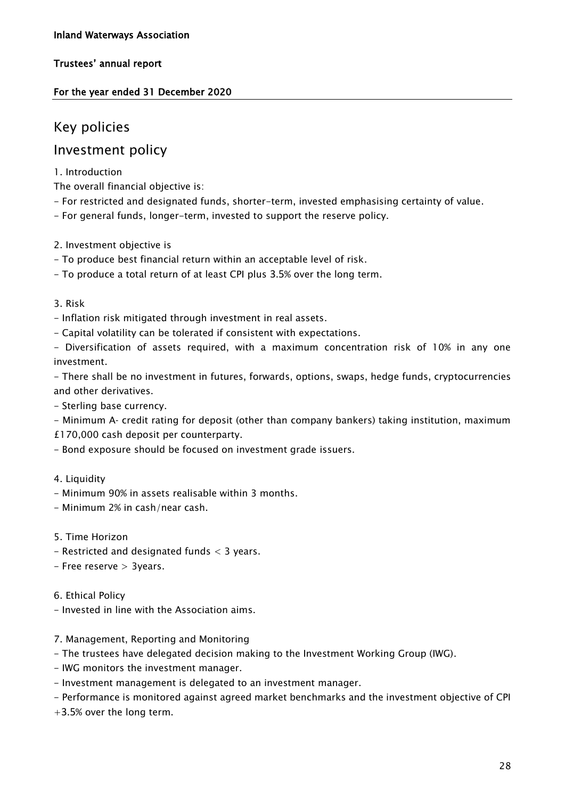#### For the year ended 31 December 2020

### Key policies

### Investment policy

#### 1. Introduction

The overall financial objective is:

- For restricted and designated funds, shorter-term, invested emphasising certainty of value.
- For general funds, longer-term, invested to support the reserve policy.
- 2. Investment objective is
- To produce best financial return within an acceptable level of risk.
- To produce a total return of at least CPI plus 3.5% over the long term.
- 3. Risk
- Inflation risk mitigated through investment in real assets.
- Capital volatility can be tolerated if consistent with expectations.
- Diversification of assets required, with a maximum concentration risk of 10% in any one investment.

- There shall be no investment in futures, forwards, options, swaps, hedge funds, cryptocurrencies and other derivatives.

- Sterling base currency.
- Minimum A‐ credit rating for deposit (other than company bankers) taking institution, maximum
- £170,000 cash deposit per counterparty.
- Bond exposure should be focused on investment grade issuers.
- 4. Liquidity
- Minimum 90% in assets realisable within 3 months.
- Minimum 2% in cash/near cash.
- 5. Time Horizon
- Restricted and designated funds < 3 years.
- Free reserve > 3years.

6. Ethical Policy

- Invested in line with the Association aims.

#### 7. Management, Reporting and Monitoring

- The trustees have delegated decision making to the Investment Working Group (IWG).
- IWG monitors the investment manager.
- Investment management is delegated to an investment manager.
- Performance is monitored against agreed market benchmarks and the investment objective of CPI
- +3.5% over the long term.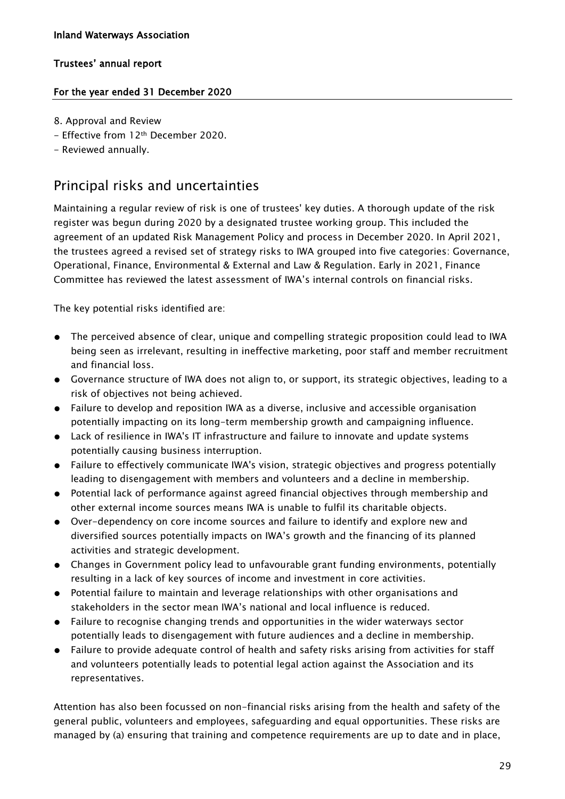#### For the year ended 31 December 2020

- 8. Approval and Review
- Effective from 12<sup>th</sup> December 2020.
- Reviewed annually.

### Principal risks and uncertainties

Maintaining a regular review of risk is one of trustees' key duties. A thorough update of the risk register was begun during 2020 by a designated trustee working group. This included the agreement of an updated Risk Management Policy and process in December 2020. In April 2021, the trustees agreed a revised set of strategy risks to IWA grouped into five categories: Governance, Operational, Finance, Environmental & External and Law & Regulation. Early in 2021, Finance Committee has reviewed the latest assessment of IWA's internal controls on financial risks.

The key potential risks identified are:

- The perceived absence of clear, unique and compelling strategic proposition could lead to IWA being seen as irrelevant, resulting in ineffective marketing, poor staff and member recruitment and financial loss.
- Governance structure of IWA does not align to, or support, its strategic objectives, leading to a risk of objectives not being achieved.
- Failure to develop and reposition IWA as a diverse, inclusive and accessible organisation potentially impacting on its long-term membership growth and campaigning influence.
- Lack of resilience in IWA's IT infrastructure and failure to innovate and update systems potentially causing business interruption.
- Failure to effectively communicate IWA's vision, strategic objectives and progress potentially leading to disengagement with members and volunteers and a decline in membership.
- Potential lack of performance against agreed financial objectives through membership and other external income sources means IWA is unable to fulfil its charitable objects.
- Over-dependency on core income sources and failure to identify and explore new and diversified sources potentially impacts on IWA's growth and the financing of its planned activities and strategic development.
- Changes in Government policy lead to unfavourable grant funding environments, potentially resulting in a lack of key sources of income and investment in core activities.
- Potential failure to maintain and leverage relationships with other organisations and stakeholders in the sector mean IWA's national and local influence is reduced.
- Failure to recognise changing trends and opportunities in the wider waterways sector potentially leads to disengagement with future audiences and a decline in membership.
- Failure to provide adequate control of health and safety risks arising from activities for staff and volunteers potentially leads to potential legal action against the Association and its representatives.

Attention has also been focussed on non-financial risks arising from the health and safety of the general public, volunteers and employees, safeguarding and equal opportunities. These risks are managed by (a) ensuring that training and competence requirements are up to date and in place,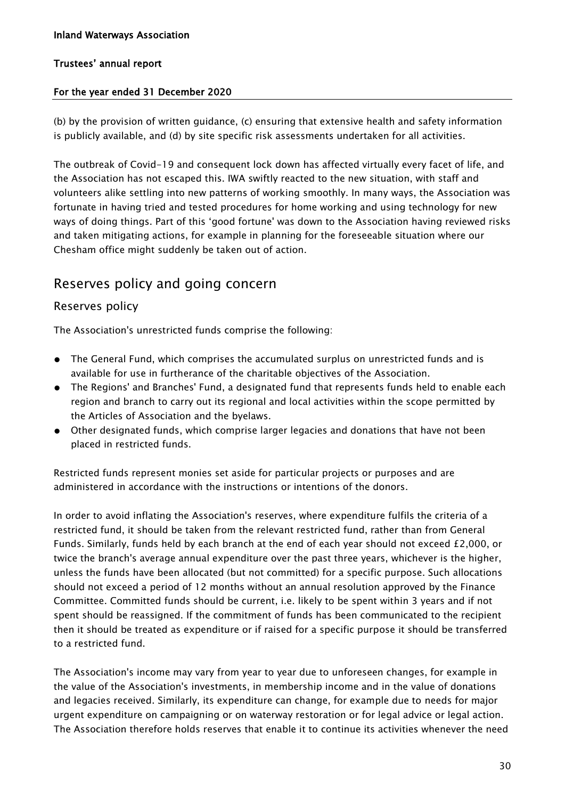#### For the year ended 31 December 2020

(b) by the provision of written guidance, (c) ensuring that extensive health and safety information is publicly available, and (d) by site specific risk assessments undertaken for all activities.

The outbreak of Covid-19 and consequent lock down has affected virtually every facet of life, and the Association has not escaped this. IWA swiftly reacted to the new situation, with staff and volunteers alike settling into new patterns of working smoothly. In many ways, the Association was fortunate in having tried and tested procedures for home working and using technology for new ways of doing things. Part of this 'good fortune' was down to the Association having reviewed risks and taken mitigating actions, for example in planning for the foreseeable situation where our Chesham office might suddenly be taken out of action.

### Reserves policy and going concern

#### Reserves policy

The Association's unrestricted funds comprise the following:

- The General Fund, which comprises the accumulated surplus on unrestricted funds and is available for use in furtherance of the charitable objectives of the Association.
- The Regions' and Branches' Fund, a designated fund that represents funds held to enable each region and branch to carry out its regional and local activities within the scope permitted by the Articles of Association and the byelaws.
- Other designated funds, which comprise larger legacies and donations that have not been placed in restricted funds.

Restricted funds represent monies set aside for particular projects or purposes and are administered in accordance with the instructions or intentions of the donors.

In order to avoid inflating the Association's reserves, where expenditure fulfils the criteria of a restricted fund, it should be taken from the relevant restricted fund, rather than from General Funds. Similarly, funds held by each branch at the end of each year should not exceed £2,000, or twice the branch's average annual expenditure over the past three years, whichever is the higher, unless the funds have been allocated (but not committed) for a specific purpose. Such allocations should not exceed a period of 12 months without an annual resolution approved by the Finance Committee. Committed funds should be current, i.e. likely to be spent within 3 years and if not spent should be reassigned. If the commitment of funds has been communicated to the recipient then it should be treated as expenditure or if raised for a specific purpose it should be transferred to a restricted fund.

The Association's income may vary from year to year due to unforeseen changes, for example in the value of the Association's investments, in membership income and in the value of donations and legacies received. Similarly, its expenditure can change, for example due to needs for major urgent expenditure on campaigning or on waterway restoration or for legal advice or legal action. The Association therefore holds reserves that enable it to continue its activities whenever the need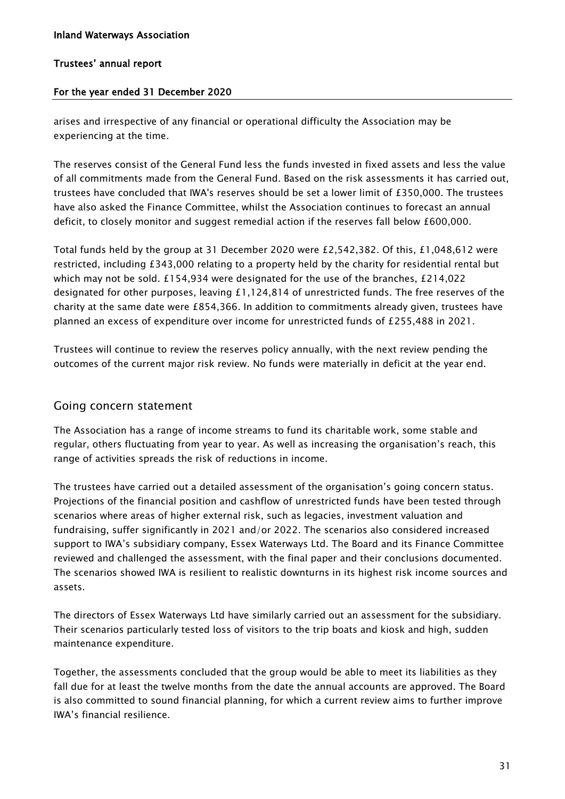#### For the year ended 31 December 2020

arises and irrespective of any financial or operational difficulty the Association may be experiencing at the time.

The reserves consist of the General Fund less the funds invested in fixed assets and less the value of all commitments made from the General Fund. Based on the risk assessments it has carried out, trustees have concluded that IWA's reserves should be set a lower limit of £350,000. The trustees have also asked the Finance Committee, whilst the Association continues to forecast an annual deficit, to closely monitor and suggest remedial action if the reserves fall below £600,000.

Total funds held by the group at 31 December 2020 were £2,542,382. Of this, £1,048,612 were restricted, including £343,000 relating to a property held by the charity for residential rental but which may not be sold. £154,934 were designated for the use of the branches, £214,022 designated for other purposes, leaving £1,124,814 of unrestricted funds. The free reserves of the charity at the same date were £854,366. In addition to commitments already given, trustees have planned an excess of expenditure over income for unrestricted funds of £255,488 in 2021.

Trustees will continue to review the reserves policy annually, with the next review pending the outcomes of the current major risk review. No funds were materially in deficit at the year end.

#### Going concern statement

The Association has a range of income streams to fund its charitable work, some stable and regular, others fluctuating from year to year. As well as increasing the organisation's reach, this range of activities spreads the risk of reductions in income.

The trustees have carried out a detailed assessment of the organisation's going concern status. Projections of the financial position and cashflow of unrestricted funds have been tested through scenarios where areas of higher external risk, such as legacies, investment valuation and fundraising, suffer significantly in 2021 and/or 2022. The scenarios also considered increased support to IWA's subsidiary company, Essex Waterways Ltd. The Board and its Finance Committee reviewed and challenged the assessment, with the final paper and their conclusions documented. The scenarios showed IWA is resilient to realistic downturns in its highest risk income sources and assets.

The directors of Essex Waterways Ltd have similarly carried out an assessment for the subsidiary. Their scenarios particularly tested loss of visitors to the trip boats and kiosk and high, sudden maintenance expenditure.

Together, the assessments concluded that the group would be able to meet its liabilities as they fall due for at least the twelve months from the date the annual accounts are approved. The Board is also committed to sound financial planning, for which a current review aims to further improve IWA's financial resilience.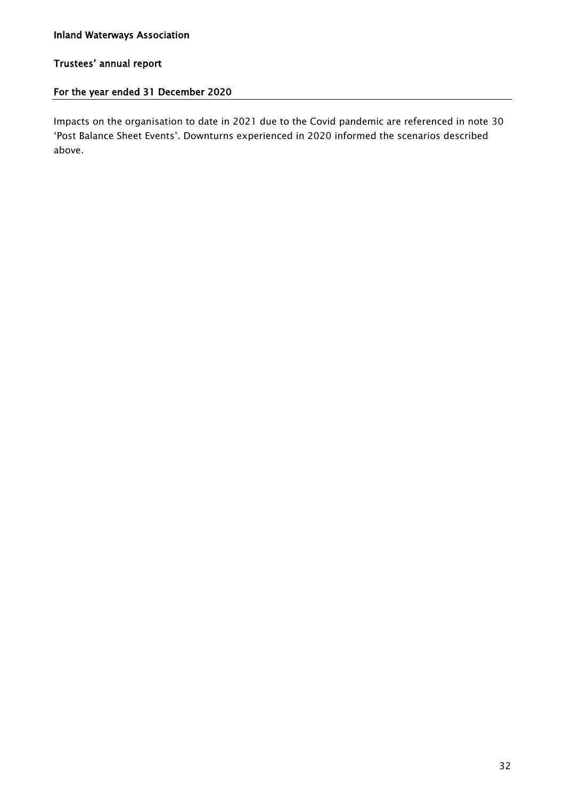#### For the year ended 31 December 2020

Impacts on the organisation to date in 2021 due to the Covid pandemic are referenced in note 30 'Post Balance Sheet Events'. Downturns experienced in 2020 informed the scenarios described above.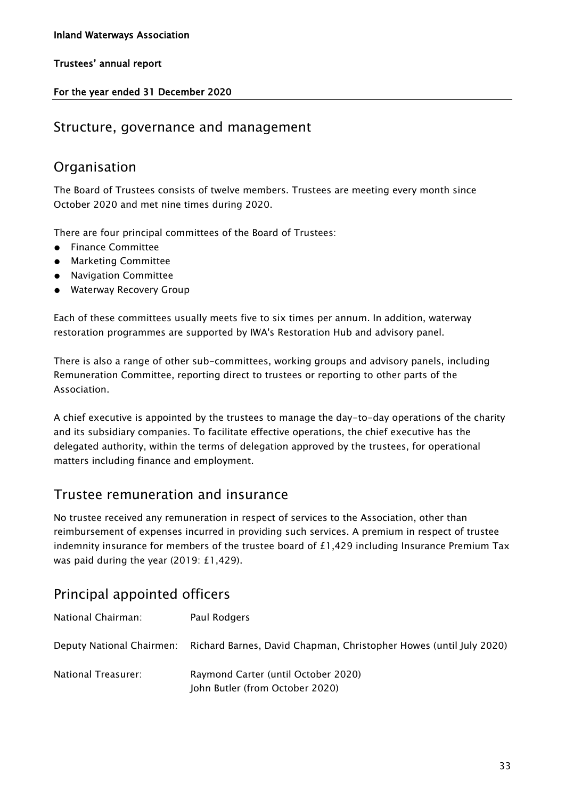#### For the year ended 31 December 2020

### Structure, governance and management

### Organisation

The Board of Trustees consists of twelve members. Trustees are meeting every month since October 2020 and met nine times during 2020.

There are four principal committees of the Board of Trustees:

- Finance Committee
- Marketing Committee
- Navigation Committee
- Waterway Recovery Group

Each of these committees usually meets five to six times per annum. In addition, waterway restoration programmes are supported by IWA's Restoration Hub and advisory panel.

There is also a range of other sub-committees, working groups and advisory panels, including Remuneration Committee, reporting direct to trustees or reporting to other parts of the Association.

A chief executive is appointed by the trustees to manage the day-to-day operations of the charity and its subsidiary companies. To facilitate effective operations, the chief executive has the delegated authority, within the terms of delegation approved by the trustees, for operational matters including finance and employment.

### Trustee remuneration and insurance

No trustee received any remuneration in respect of services to the Association, other than reimbursement of expenses incurred in providing such services. A premium in respect of trustee indemnity insurance for members of the trustee board of £1,429 including Insurance Premium Tax was paid during the year (2019: £1,429).

### Principal appointed officers

| National Chairman:  | Paul Rodgers                                                                                 |
|---------------------|----------------------------------------------------------------------------------------------|
|                     | Deputy National Chairmen: Richard Barnes, David Chapman, Christopher Howes (until July 2020) |
| National Treasurer: | Raymond Carter (until October 2020)<br>John Butler (from October 2020)                       |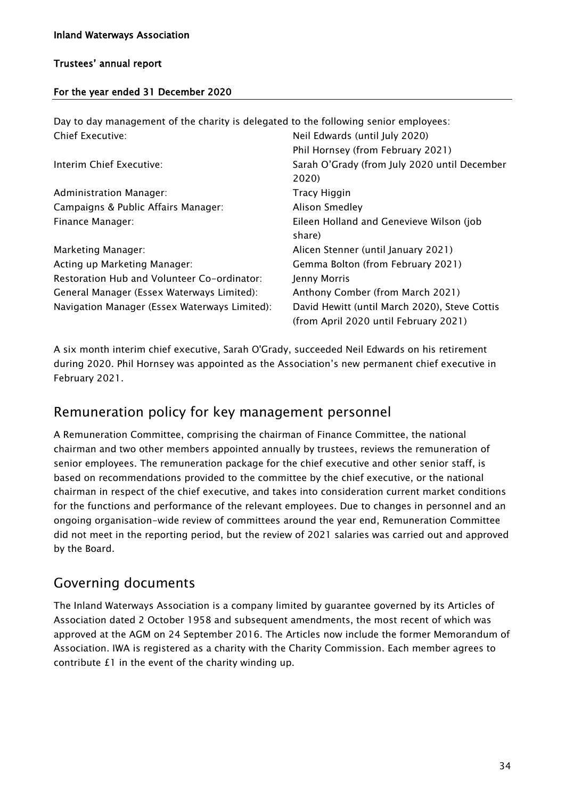#### For the year ended 31 December 2020

| Day to day management of the charity is delegated to the following senior employees: |                                               |
|--------------------------------------------------------------------------------------|-----------------------------------------------|
| Chief Executive:                                                                     | Neil Edwards (until July 2020)                |
|                                                                                      | Phil Hornsey (from February 2021)             |
| Interim Chief Executive:                                                             | Sarah O'Grady (from July 2020 until December  |
|                                                                                      | 2020)                                         |
| Administration Manager:                                                              | Tracy Higgin                                  |
| Campaigns & Public Affairs Manager:                                                  | <b>Alison Smedley</b>                         |
| Finance Manager:                                                                     | Eileen Holland and Genevieve Wilson (job      |
|                                                                                      | share)                                        |
| Marketing Manager:                                                                   | Alicen Stenner (until January 2021)           |
| Acting up Marketing Manager:                                                         | Gemma Bolton (from February 2021)             |
| Restoration Hub and Volunteer Co-ordinator:                                          | Jenny Morris                                  |
| General Manager (Essex Waterways Limited):                                           | Anthony Comber (from March 2021)              |
| Navigation Manager (Essex Waterways Limited):                                        | David Hewitt (until March 2020), Steve Cottis |
|                                                                                      | (from April 2020 until February 2021)         |

A six month interim chief executive, Sarah O'Grady, succeeded Neil Edwards on his retirement during 2020. Phil Hornsey was appointed as the Association's new permanent chief executive in February 2021.

### Remuneration policy for key management personnel

A Remuneration Committee, comprising the chairman of Finance Committee, the national chairman and two other members appointed annually by trustees, reviews the remuneration of senior employees. The remuneration package for the chief executive and other senior staff, is based on recommendations provided to the committee by the chief executive, or the national chairman in respect of the chief executive, and takes into consideration current market conditions for the functions and performance of the relevant employees. Due to changes in personnel and an ongoing organisation-wide review of committees around the year end, Remuneration Committee did not meet in the reporting period, but the review of 2021 salaries was carried out and approved by the Board.

### Governing documents

The Inland Waterways Association is a company limited by guarantee governed by its Articles of Association dated 2 October 1958 and subsequent amendments, the most recent of which was approved at the AGM on 24 September 2016. The Articles now include the former Memorandum of Association. IWA is registered as a charity with the Charity Commission. Each member agrees to contribute £1 in the event of the charity winding up.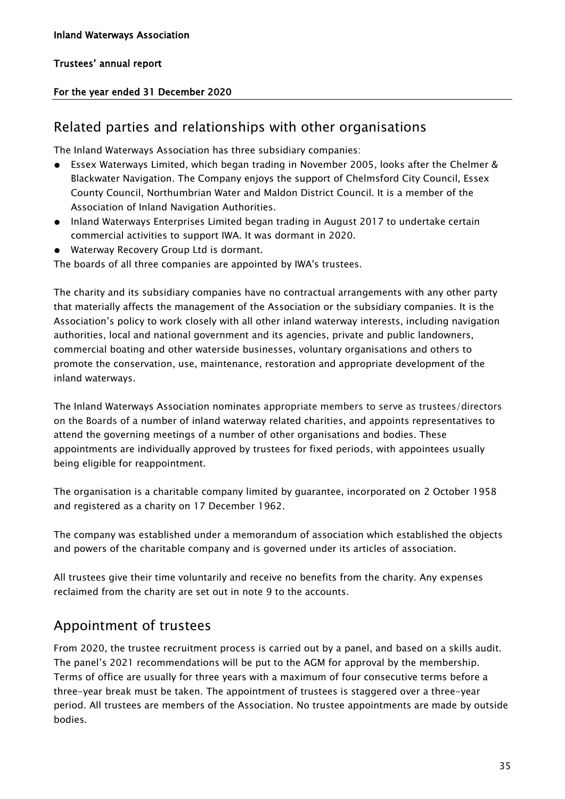## Trustees' annual report

## For the year ended 31 December 2020

# Related parties and relationships with other organisations

The Inland Waterways Association has three subsidiary companies:

- Essex Waterways Limited, which began trading in November 2005, looks after the Chelmer & Blackwater Navigation. The Company enjoys the support of Chelmsford City Council, Essex County Council, Northumbrian Water and Maldon District Council. It is a member of the Association of Inland Navigation Authorities.
- Inland Waterways Enterprises Limited began trading in August 2017 to undertake certain commercial activities to support IWA. It was dormant in 2020.
- Waterway Recovery Group Ltd is dormant.

The boards of all three companies are appointed by IWA's trustees.

The charity and its subsidiary companies have no contractual arrangements with any other party that materially affects the management of the Association or the subsidiary companies. It is the Association's policy to work closely with all other inland waterway interests, including navigation authorities, local and national government and its agencies, private and public landowners, commercial boating and other waterside businesses, voluntary organisations and others to promote the conservation, use, maintenance, restoration and appropriate development of the inland waterways.

The Inland Waterways Association nominates appropriate members to serve as trustees/directors on the Boards of a number of inland waterway related charities, and appoints representatives to attend the governing meetings of a number of other organisations and bodies. These appointments are individually approved by trustees for fixed periods, with appointees usually being eligible for reappointment.

The organisation is a charitable company limited by guarantee, incorporated on 2 October 1958 and registered as a charity on 17 December 1962.

The company was established under a memorandum of association which established the objects and powers of the charitable company and is governed under its articles of association.

All trustees give their time voluntarily and receive no benefits from the charity. Any expenses reclaimed from the charity are set out in note 9 to the accounts.

# Appointment of trustees

From 2020, the trustee recruitment process is carried out by a panel, and based on a skills audit. The panel's 2021 recommendations will be put to the AGM for approval by the membership. Terms of office are usually for three years with a maximum of four consecutive terms before a three-year break must be taken. The appointment of trustees is staggered over a three-year period. All trustees are members of the Association. No trustee appointments are made by outside bodies.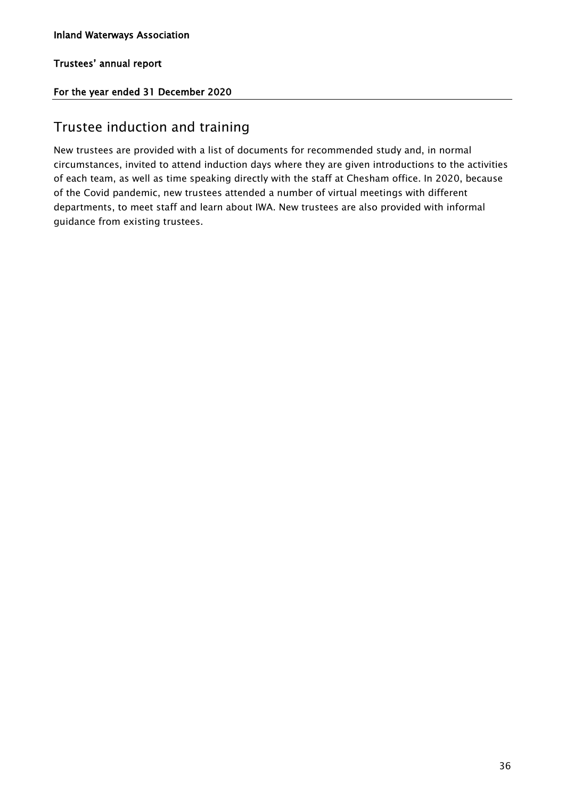Trustees' annual report

## For the year ended 31 December 2020

# Trustee induction and training

New trustees are provided with a list of documents for recommended study and, in normal circumstances, invited to attend induction days where they are given introductions to the activities of each team, as well as time speaking directly with the staff at Chesham office. In 2020, because of the Covid pandemic, new trustees attended a number of virtual meetings with different departments, to meet staff and learn about IWA. New trustees are also provided with informal guidance from existing trustees.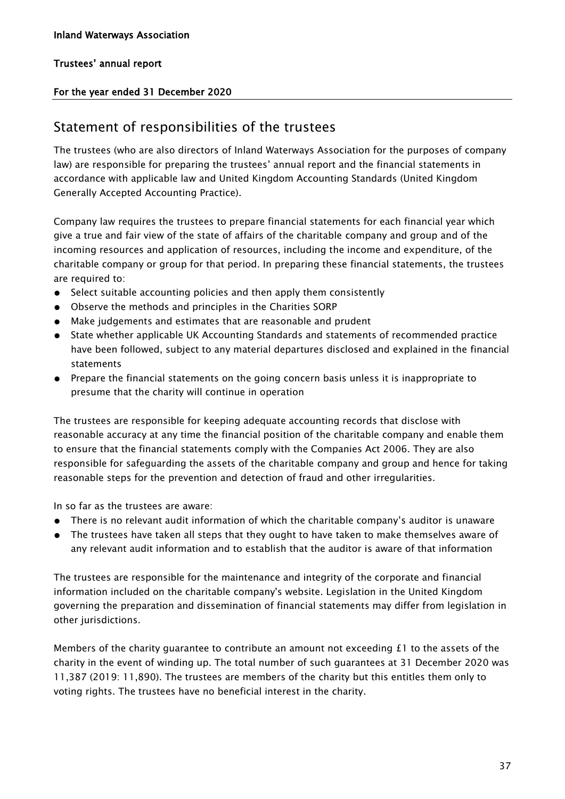## Trustees' annual report

## For the year ended 31 December 2020

# Statement of responsibilities of the trustees

The trustees (who are also directors of Inland Waterways Association for the purposes of company law) are responsible for preparing the trustees' annual report and the financial statements in accordance with applicable law and United Kingdom Accounting Standards (United Kingdom Generally Accepted Accounting Practice).

Company law requires the trustees to prepare financial statements for each financial year which give a true and fair view of the state of affairs of the charitable company and group and of the incoming resources and application of resources, including the income and expenditure, of the charitable company or group for that period. In preparing these financial statements, the trustees are required to:

- Select suitable accounting policies and then apply them consistently
- Observe the methods and principles in the Charities SORP
- Make judgements and estimates that are reasonable and prudent
- State whether applicable UK Accounting Standards and statements of recommended practice have been followed, subject to any material departures disclosed and explained in the financial statements
- Prepare the financial statements on the going concern basis unless it is inappropriate to presume that the charity will continue in operation

The trustees are responsible for keeping adequate accounting records that disclose with reasonable accuracy at any time the financial position of the charitable company and enable them to ensure that the financial statements comply with the Companies Act 2006. They are also responsible for safeguarding the assets of the charitable company and group and hence for taking reasonable steps for the prevention and detection of fraud and other irregularities.

In so far as the trustees are aware:

- There is no relevant audit information of which the charitable company's auditor is unaware
- The trustees have taken all steps that they ought to have taken to make themselves aware of any relevant audit information and to establish that the auditor is aware of that information

The trustees are responsible for the maintenance and integrity of the corporate and financial information included on the charitable company's website. Legislation in the United Kingdom governing the preparation and dissemination of financial statements may differ from legislation in other jurisdictions.

Members of the charity guarantee to contribute an amount not exceeding  $f_1$  to the assets of the charity in the event of winding up. The total number of such guarantees at 31 December 2020 was 11,387 (2019: 11,890). The trustees are members of the charity but this entitles them only to voting rights. The trustees have no beneficial interest in the charity.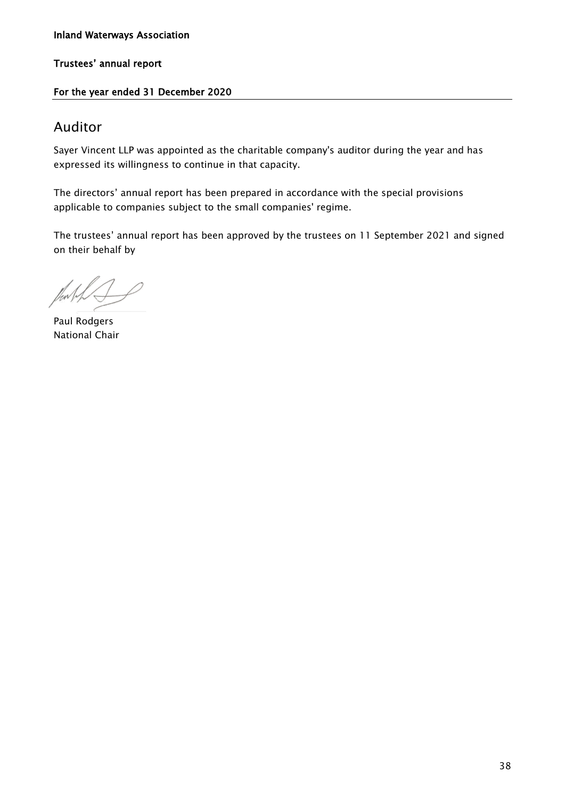### Inland Waterways Association

Trustees' annual report

### For the year ended 31 December 2020

# Auditor

Sayer Vincent LLP was appointed as the charitable company's auditor during the year and has expressed its willingness to continue in that capacity.

The directors' annual report has been prepared in accordance with the special provisions applicable to companies subject to the small companies' regime.

The trustees' annual report has been approved by the trustees on 11 September 2021 and signed on their behalf by

Paul Rodgers National Chair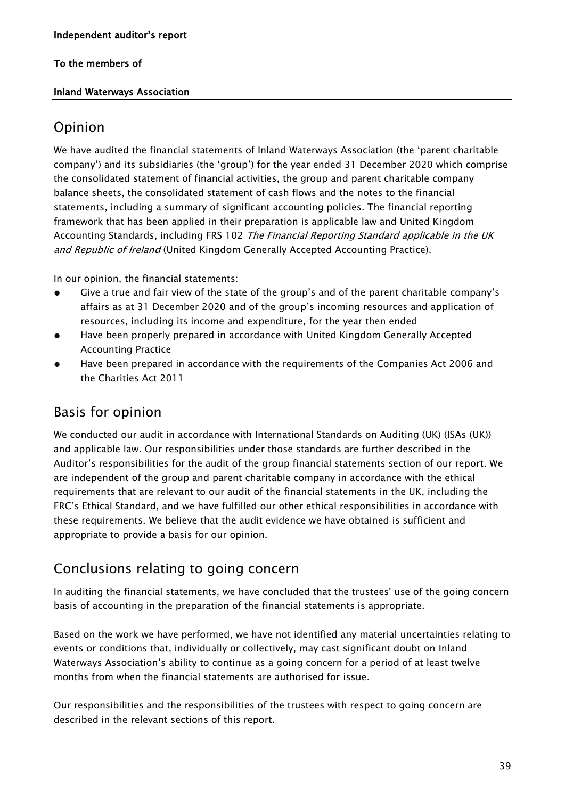### Inland Waterways Association

# Opinion

We have audited the financial statements of Inland Waterways Association (the 'parent charitable company') and its subsidiaries (the 'group') for the year ended 31 December 2020 which comprise the consolidated statement of financial activities, the group and parent charitable company balance sheets, the consolidated statement of cash flows and the notes to the financial statements, including a summary of significant accounting policies. The financial reporting framework that has been applied in their preparation is applicable law and United Kingdom Accounting Standards, including FRS 102 The Financial Reporting Standard applicable in the UK and Republic of Ireland (United Kingdom Generally Accepted Accounting Practice).

In our opinion, the financial statements:

- Give a true and fair view of the state of the group's and of the parent charitable company's affairs as at 31 December 2020 and of the group's incoming resources and application of resources, including its income and expenditure, for the year then ended
- Have been properly prepared in accordance with United Kingdom Generally Accepted Accounting Practice
- Have been prepared in accordance with the requirements of the Companies Act 2006 and the Charities Act 2011

# Basis for opinion

We conducted our audit in accordance with International Standards on Auditing (UK) (ISAs (UK)) and applicable law. Our responsibilities under those standards are further described in the Auditor's responsibilities for the audit of the group financial statements section of our report. We are independent of the group and parent charitable company in accordance with the ethical requirements that are relevant to our audit of the financial statements in the UK, including the FRC's Ethical Standard, and we have fulfilled our other ethical responsibilities in accordance with these requirements. We believe that the audit evidence we have obtained is sufficient and appropriate to provide a basis for our opinion.

# Conclusions relating to going concern

In auditing the financial statements, we have concluded that the trustees' use of the going concern basis of accounting in the preparation of the financial statements is appropriate.

Based on the work we have performed, we have not identified any material uncertainties relating to events or conditions that, individually or collectively, may cast significant doubt on Inland Waterways Association's ability to continue as a going concern for a period of at least twelve months from when the financial statements are authorised for issue.

Our responsibilities and the responsibilities of the trustees with respect to going concern are described in the relevant sections of this report.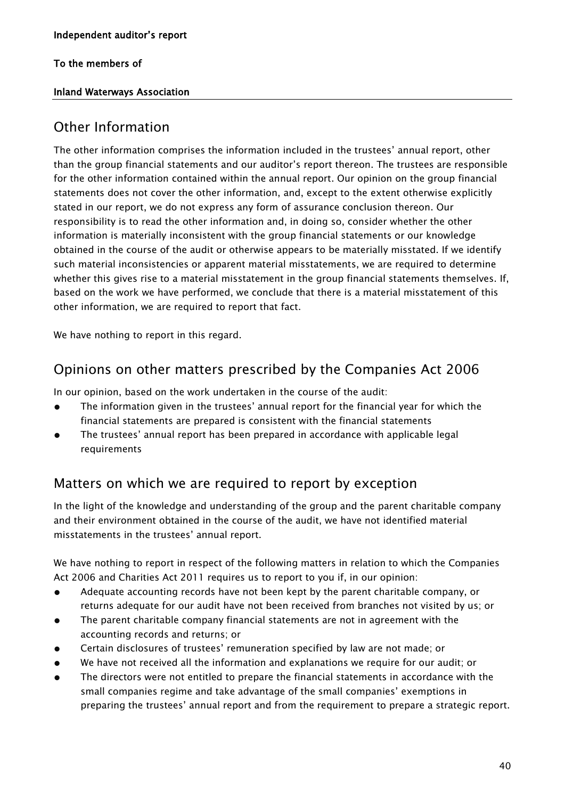## Inland Waterways Association

# Other Information

The other information comprises the information included in the trustees' annual report, other than the group financial statements and our auditor's report thereon. The trustees are responsible for the other information contained within the annual report. Our opinion on the group financial statements does not cover the other information, and, except to the extent otherwise explicitly stated in our report, we do not express any form of assurance conclusion thereon. Our responsibility is to read the other information and, in doing so, consider whether the other information is materially inconsistent with the group financial statements or our knowledge obtained in the course of the audit or otherwise appears to be materially misstated. If we identify such material inconsistencies or apparent material misstatements, we are required to determine whether this gives rise to a material misstatement in the group financial statements themselves. If, based on the work we have performed, we conclude that there is a material misstatement of this other information, we are required to report that fact.

We have nothing to report in this regard.

# Opinions on other matters prescribed by the Companies Act 2006

In our opinion, based on the work undertaken in the course of the audit:

- The information given in the trustees' annual report for the financial year for which the financial statements are prepared is consistent with the financial statements
- The trustees' annual report has been prepared in accordance with applicable legal requirements

# Matters on which we are required to report by exception

In the light of the knowledge and understanding of the group and the parent charitable company and their environment obtained in the course of the audit, we have not identified material misstatements in the trustees' annual report.

We have nothing to report in respect of the following matters in relation to which the Companies Act 2006 and Charities Act 2011 requires us to report to you if, in our opinion:

- Adequate accounting records have not been kept by the parent charitable company, or returns adequate for our audit have not been received from branches not visited by us; or
- The parent charitable company financial statements are not in agreement with the accounting records and returns; or
- Certain disclosures of trustees' remuneration specified by law are not made; or
- We have not received all the information and explanations we require for our audit; or
- The directors were not entitled to prepare the financial statements in accordance with the small companies regime and take advantage of the small companies' exemptions in preparing the trustees' annual report and from the requirement to prepare a strategic report.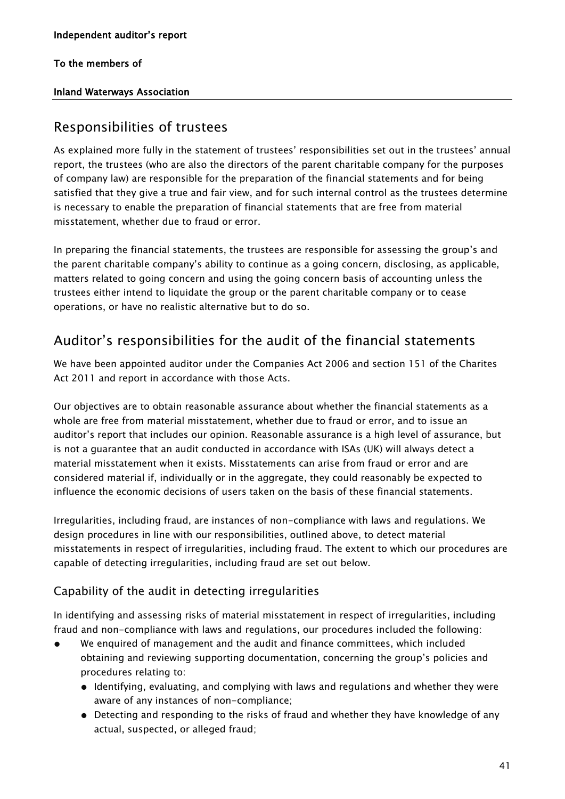## Inland Waterways Association

# Responsibilities of trustees

As explained more fully in the statement of trustees' responsibilities set out in the trustees' annual report, the trustees (who are also the directors of the parent charitable company for the purposes of company law) are responsible for the preparation of the financial statements and for being satisfied that they give a true and fair view, and for such internal control as the trustees determine is necessary to enable the preparation of financial statements that are free from material misstatement, whether due to fraud or error.

In preparing the financial statements, the trustees are responsible for assessing the group's and the parent charitable company's ability to continue as a going concern, disclosing, as applicable, matters related to going concern and using the going concern basis of accounting unless the trustees either intend to liquidate the group or the parent charitable company or to cease operations, or have no realistic alternative but to do so.

# Auditor's responsibilities for the audit of the financial statements

We have been appointed auditor under the Companies Act 2006 and section 151 of the Charites Act 2011 and report in accordance with those Acts.

Our objectives are to obtain reasonable assurance about whether the financial statements as a whole are free from material misstatement, whether due to fraud or error, and to issue an auditor's report that includes our opinion. Reasonable assurance is a high level of assurance, but is not a guarantee that an audit conducted in accordance with ISAs (UK) will always detect a material misstatement when it exists. Misstatements can arise from fraud or error and are considered material if, individually or in the aggregate, they could reasonably be expected to influence the economic decisions of users taken on the basis of these financial statements.

Irregularities, including fraud, are instances of non-compliance with laws and regulations. We design procedures in line with our responsibilities, outlined above, to detect material misstatements in respect of irregularities, including fraud. The extent to which our procedures are capable of detecting irregularities, including fraud are set out below.

# Capability of the audit in detecting irregularities

In identifying and assessing risks of material misstatement in respect of irregularities, including fraud and non-compliance with laws and regulations, our procedures included the following:

- We enquired of management and the audit and finance committees, which included obtaining and reviewing supporting documentation, concerning the group's policies and procedures relating to:
	- Identifying, evaluating, and complying with laws and regulations and whether they were aware of any instances of non-compliance;
	- Detecting and responding to the risks of fraud and whether they have knowledge of any actual, suspected, or alleged fraud;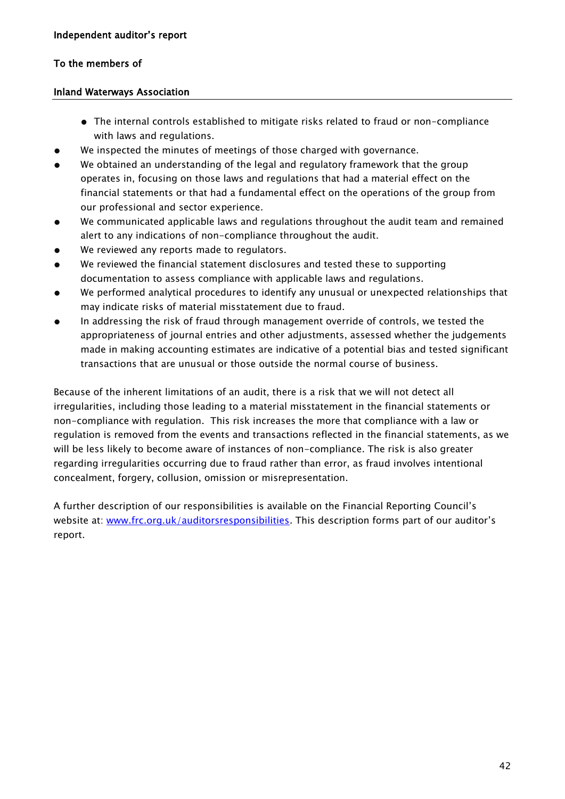### Inland Waterways Association

- The internal controls established to mitigate risks related to fraud or non-compliance with laws and regulations.
- We inspected the minutes of meetings of those charged with governance.
- We obtained an understanding of the legal and regulatory framework that the group operates in, focusing on those laws and regulations that had a material effect on the financial statements or that had a fundamental effect on the operations of the group from our professional and sector experience.
- We communicated applicable laws and regulations throughout the audit team and remained alert to any indications of non-compliance throughout the audit.
- We reviewed any reports made to regulators.
- We reviewed the financial statement disclosures and tested these to supporting documentation to assess compliance with applicable laws and regulations.
- We performed analytical procedures to identify any unusual or unexpected relationships that may indicate risks of material misstatement due to fraud.
- In addressing the risk of fraud through management override of controls, we tested the appropriateness of journal entries and other adjustments, assessed whether the judgements made in making accounting estimates are indicative of a potential bias and tested significant transactions that are unusual or those outside the normal course of business.

Because of the inherent limitations of an audit, there is a risk that we will not detect all irregularities, including those leading to a material misstatement in the financial statements or non-compliance with regulation. This risk increases the more that compliance with a law or regulation is removed from the events and transactions reflected in the financial statements, as we will be less likely to become aware of instances of non-compliance. The risk is also greater regarding irregularities occurring due to fraud rather than error, as fraud involves intentional concealment, forgery, collusion, omission or misrepresentation.

A further description of our responsibilities is available on the Financial Reporting Council's website at: [www.frc.org.uk/auditorsresponsibilities](http://www.frc.org.uk/auditorsresponsibilities). This description forms part of our auditor's report.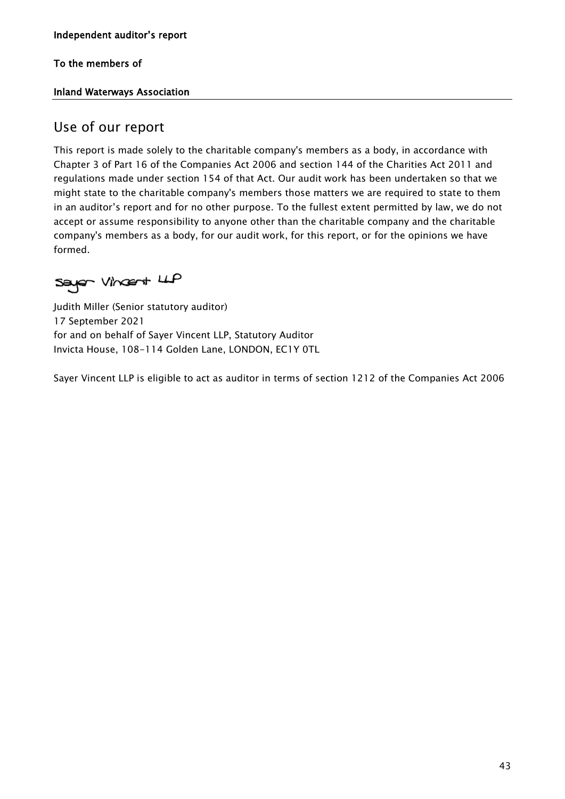## Inland Waterways Association

# Use of our report

This report is made solely to the charitable company's members as a body, in accordance with Chapter 3 of Part 16 of the Companies Act 2006 and section 144 of the Charities Act 2011 and regulations made under section 154 of that Act. Our audit work has been undertaken so that we might state to the charitable company's members those matters we are required to state to them in an auditor's report and for no other purpose. To the fullest extent permitted by law, we do not accept or assume responsibility to anyone other than the charitable company and the charitable company's members as a body, for our audit work, for this report, or for the opinions we have formed.

Sayer Vincent LLP

Judith Miller (Senior statutory auditor) 17 September 2021 for and on behalf of Sayer Vincent LLP, Statutory Auditor Invicta House, 108-114 Golden Lane, LONDON, EC1Y 0TL

Sayer Vincent LLP is eligible to act as auditor in terms of section 1212 of the Companies Act 2006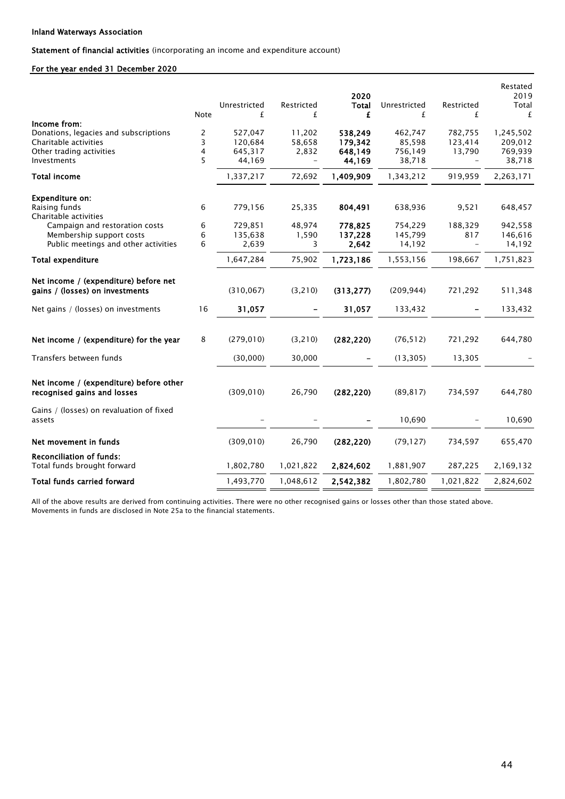Statement of financial activities (incorporating an income and expenditure account)

### For the year ended 31 December 2020

| <b>Note</b> | Unrestricted<br>£          | Restricted<br>£                                                | 2020<br><b>Total</b><br>£                                   | Unrestricted<br>£                                              | Restricted<br>£                                                           | 2019<br>Total<br>£                                                    |
|-------------|----------------------------|----------------------------------------------------------------|-------------------------------------------------------------|----------------------------------------------------------------|---------------------------------------------------------------------------|-----------------------------------------------------------------------|
|             |                            |                                                                |                                                             |                                                                |                                                                           | 1,245,502                                                             |
|             |                            |                                                                |                                                             |                                                                |                                                                           | 209,012                                                               |
|             | 645,317                    |                                                                | 648,149                                                     |                                                                |                                                                           | 769,939                                                               |
| 5           | 44,169                     | $\overline{\phantom{m}}$                                       | 44,169                                                      | 38,718                                                         | $\overline{\phantom{m}}$                                                  | 38,718                                                                |
|             | 1,337,217                  | 72,692                                                         | 1,409,909                                                   | 1,343,212                                                      | 919,959                                                                   | 2,263,171                                                             |
|             |                            |                                                                |                                                             |                                                                |                                                                           |                                                                       |
| 6           | 779,156                    | 25,335                                                         | 804,491                                                     | 638,936                                                        | 9,521                                                                     | 648,457                                                               |
|             |                            |                                                                |                                                             |                                                                |                                                                           |                                                                       |
|             |                            |                                                                |                                                             |                                                                |                                                                           | 942,558                                                               |
|             |                            |                                                                |                                                             |                                                                |                                                                           | 146,616<br>14,192                                                     |
|             |                            |                                                                |                                                             |                                                                |                                                                           |                                                                       |
|             |                            |                                                                |                                                             |                                                                |                                                                           | 1,751,823                                                             |
|             |                            |                                                                |                                                             |                                                                |                                                                           |                                                                       |
|             | (310, 067)                 | (3, 210)                                                       | (313, 277)                                                  | (209, 944)                                                     | 721,292                                                                   | 511,348                                                               |
| 16          | 31,057                     |                                                                | 31,057                                                      | 133,432                                                        |                                                                           | 133,432                                                               |
| 8           | (279, 010)                 | (3, 210)                                                       | (282, 220)                                                  | (76, 512)                                                      | 721,292                                                                   | 644,780                                                               |
|             | (30,000)                   | 30,000                                                         |                                                             | (13, 305)                                                      | 13,305                                                                    |                                                                       |
|             | (309, 010)                 | 26,790                                                         | (282, 220)                                                  | (89, 817)                                                      | 734,597                                                                   | 644,780                                                               |
|             |                            |                                                                |                                                             | 10,690                                                         |                                                                           | 10,690                                                                |
|             | (309, 010)                 | 26,790                                                         | (282, 220)                                                  | (79, 127)                                                      | 734,597                                                                   | 655,470                                                               |
|             | 1,802,780                  | 1,021,822                                                      | 2,824,602                                                   | 1,881,907                                                      | 287,225                                                                   | 2,169,132                                                             |
|             | 1,493,770                  | 1,048,612                                                      | 2,542,382                                                   | 1,802,780                                                      | 1,021,822                                                                 | 2,824,602                                                             |
|             | 2<br>3<br>4<br>6<br>6<br>6 | 527,047<br>120,684<br>729,851<br>135,638<br>2,639<br>1,647,284 | 11,202<br>58,658<br>2,832<br>48,974<br>1,590<br>3<br>75,902 | 538,249<br>179,342<br>778,825<br>137,228<br>2,642<br>1,723,186 | 462,747<br>85,598<br>756,149<br>754,229<br>145,799<br>14,192<br>1,553,156 | 782,755<br>123,414<br>13,790<br>188,329<br>817<br>$\equiv$<br>198,667 |

All of the above results are derived from continuing activities. There were no other recognised gains or losses other than those stated above. Movements in funds are disclosed in Note 25a to the financial statements.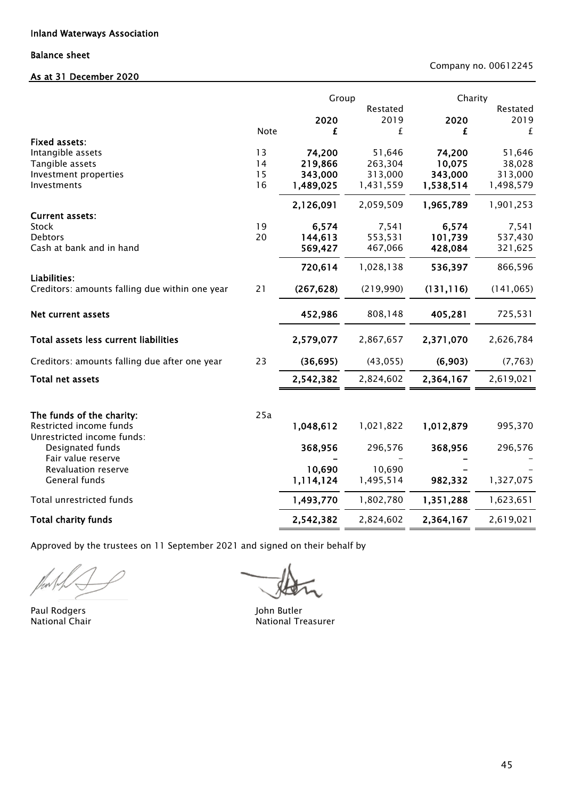### Balance sheet

### As at 31 December 2020

Company no. 00612245

|                                                                |          | Group              |                    | Charity            |                    |
|----------------------------------------------------------------|----------|--------------------|--------------------|--------------------|--------------------|
|                                                                |          | 2020               | Restated<br>2019   | 2020               | Restated<br>2019   |
|                                                                | Note     | £                  | £                  | £                  | £                  |
| <b>Fixed assets:</b>                                           |          |                    |                    |                    |                    |
| Intangible assets                                              | 13       | 74,200             | 51,646             | 74,200             | 51,646             |
| Tangible assets                                                | 14<br>15 | 219,866<br>343,000 | 263,304<br>313,000 | 10,075<br>343,000  | 38,028<br>313,000  |
| Investment properties<br>Investments                           | 16       | 1,489,025          | 1,431,559          | 1,538,514          | 1,498,579          |
|                                                                |          | 2,126,091          | 2,059,509          | 1,965,789          | 1,901,253          |
| <b>Current assets:</b>                                         |          |                    |                    |                    |                    |
| <b>Stock</b>                                                   | 19       | 6,574              | 7,541              | 6,574              | 7,541              |
| <b>Debtors</b><br>Cash at bank and in hand                     | 20       | 144,613<br>569,427 | 553,531<br>467,066 | 101,739<br>428,084 | 537,430<br>321,625 |
|                                                                |          | 720,614            | 1,028,138          | 536,397            | 866,596            |
| Liabilities:<br>Creditors: amounts falling due within one year | 21       | (267, 628)         | (219,990)          | (131, 116)         | (141, 065)         |
|                                                                |          |                    |                    |                    |                    |
| Net current assets                                             |          | 452,986            | 808,148            | 405,281            | 725,531            |
| Total assets less current liabilities                          |          | 2,579,077          | 2,867,657          | 2,371,070          | 2,626,784          |
| Creditors: amounts falling due after one year                  | 23       | (36, 695)          | (43, 055)          | (6,903)            | (7, 763)           |
| Total net assets                                               |          | 2,542,382          | 2,824,602          | 2,364,167          | 2,619,021          |
|                                                                |          |                    |                    |                    |                    |
| The funds of the charity:                                      | 25a      |                    |                    |                    |                    |
| Restricted income funds<br>Unrestricted income funds:          |          | 1,048,612          | 1,021,822          | 1,012,879          | 995,370            |
| Designated funds                                               |          | 368,956            | 296,576            | 368,956            | 296,576            |
| Fair value reserve<br>Revaluation reserve                      |          | 10,690             | 10,690             |                    |                    |
| General funds                                                  |          | 1,114,124          | 1,495,514          | 982,332            | 1,327,075          |
| Total unrestricted funds                                       |          | 1,493,770          | 1,802,780          | 1,351,288          | 1,623,651          |
| <b>Total charity funds</b>                                     |          | 2,542,382          | 2,824,602          | 2,364,167          | 2,619,021          |

Approved by the trustees on 11 September 2021 and signed on their behalf by

.<br>M

Paul Rodgers and The Local Communications of the United States of the United States of the United States of the U

 $\blacksquare$ 

National Chair **National Treasurer** National Treasurer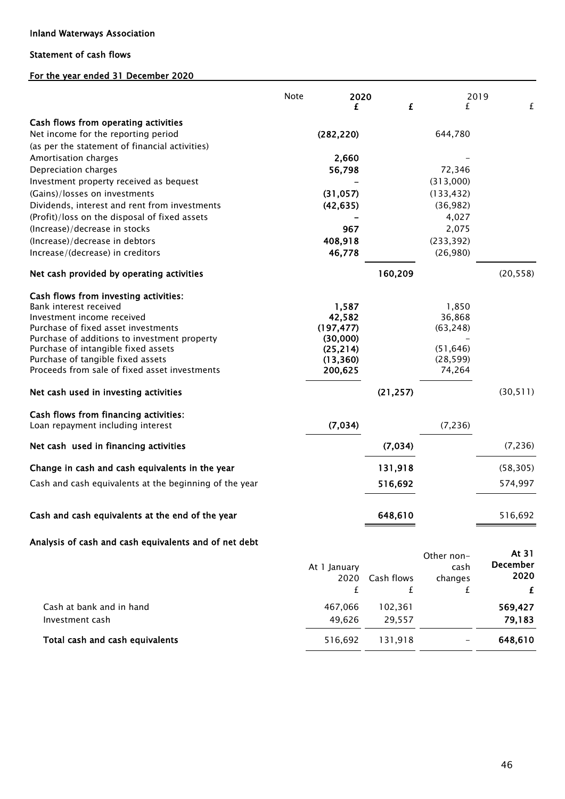### Inland Waterways Association

### Statement of cash flows

### For the year ended 31 December 2020

|                                                        | Note<br>2020 |            |            | 2019      |
|--------------------------------------------------------|--------------|------------|------------|-----------|
|                                                        | £            | £          | £          | £         |
| Cash flows from operating activities                   |              |            |            |           |
| Net income for the reporting period                    | (282, 220)   |            | 644,780    |           |
| (as per the statement of financial activities)         |              |            |            |           |
| Amortisation charges                                   | 2,660        |            |            |           |
| Depreciation charges                                   | 56,798       |            | 72,346     |           |
| Investment property received as bequest                |              |            | (313,000)  |           |
| (Gains)/losses on investments                          | (31, 057)    |            | (133, 432) |           |
| Dividends, interest and rent from investments          | (42, 635)    |            | (36, 982)  |           |
| (Profit)/loss on the disposal of fixed assets          |              |            | 4,027      |           |
| (Increase)/decrease in stocks                          | 967          |            | 2,075      |           |
| (Increase)/decrease in debtors                         | 408,918      |            | (233, 392) |           |
| Increase/(decrease) in creditors                       | 46,778       |            | (26,980)   |           |
| Net cash provided by operating activities              |              | 160,209    |            | (20, 558) |
| Cash flows from investing activities:                  |              |            |            |           |
| Bank interest received                                 | 1,587        |            | 1,850      |           |
| Investment income received                             | 42,582       |            | 36,868     |           |
| Purchase of fixed asset investments                    | (197, 477)   |            | (63, 248)  |           |
| Purchase of additions to investment property           | (30,000)     |            |            |           |
| Purchase of intangible fixed assets                    | (25, 214)    |            | (51, 646)  |           |
| Purchase of tangible fixed assets                      | (13, 360)    |            | (28, 599)  |           |
| Proceeds from sale of fixed asset investments          | 200,625      |            | 74,264     |           |
| Net cash used in investing activities                  |              | (21, 257)  |            | (30, 511) |
| Cash flows from financing activities:                  |              |            |            |           |
| Loan repayment including interest                      | (7,034)      |            | (7, 236)   |           |
| Net cash used in financing activities                  |              | (7,034)    |            | (7, 236)  |
| Change in cash and cash equivalents in the year        |              | 131,918    |            | (58, 305) |
| Cash and cash equivalents at the beginning of the year |              | 516,692    |            | 574,997   |
|                                                        |              |            |            |           |
| Cash and cash equivalents at the end of the year       |              | 648,610    |            | 516,692   |
| Analysis of cash and cash equivalents and of net debt  |              |            |            |           |
|                                                        |              |            | Other non- | At 31     |
|                                                        | At 1 January |            | cash       | December  |
|                                                        | 2020         | Cash flows | changes    | 2020      |
|                                                        | £            | £          | £          | £         |
| Cash at bank and in hand                               | 467,066      | 102,361    |            | 569,427   |
| Investment cash                                        | 49,626       | 29,557     |            | 79,183    |
|                                                        |              |            |            |           |
| Total cash and cash equivalents                        | 516,692      | 131,918    |            | 648,610   |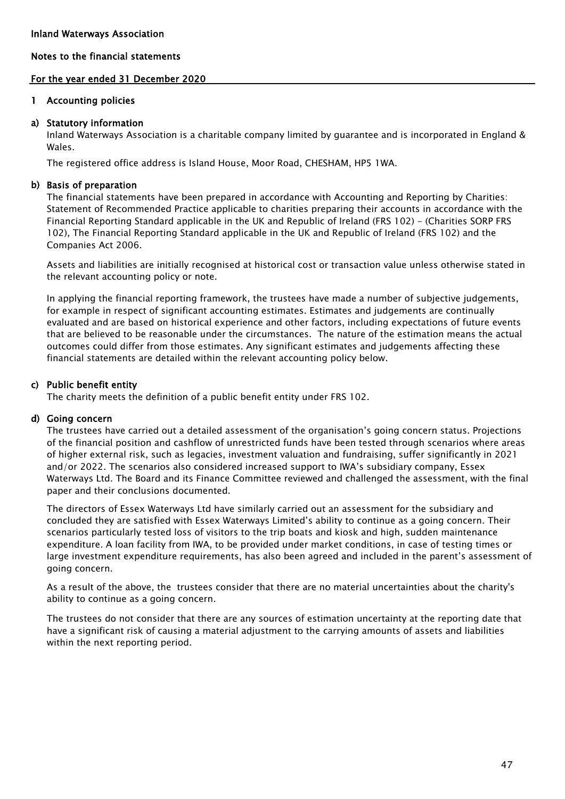### For the year ended 31 December 2020

### 1 Accounting policies

### a) Statutory information

Inland Waterways Association is a charitable company limited by guarantee and is incorporated in England & Wales.

The registered office address is Island House, Moor Road, CHESHAM, HP5 1WA.

### b) Basis of preparation

The financial statements have been prepared in accordance with Accounting and Reporting by Charities: Statement of Recommended Practice applicable to charities preparing their accounts in accordance with the Financial Reporting Standard applicable in the UK and Republic of Ireland (FRS 102) - (Charities SORP FRS 102), The Financial Reporting Standard applicable in the UK and Republic of Ireland (FRS 102) and the Companies Act 2006.

Assets and liabilities are initially recognised at historical cost or transaction value unless otherwise stated in the relevant accounting policy or note.

In applying the financial reporting framework, the trustees have made a number of subjective judgements, for example in respect of significant accounting estimates. Estimates and judgements are continually evaluated and are based on historical experience and other factors, including expectations of future events that are believed to be reasonable under the circumstances. The nature of the estimation means the actual outcomes could differ from those estimates. Any significant estimates and judgements affecting these financial statements are detailed within the relevant accounting policy below.

### c) Public benefit entity

The charity meets the definition of a public benefit entity under FRS 102.

### d) Going concern

The trustees have carried out a detailed assessment of the organisation's going concern status. Projections of the financial position and cashflow of unrestricted funds have been tested through scenarios where areas of higher external risk, such as legacies, investment valuation and fundraising, suffer significantly in 2021 and/or 2022. The scenarios also considered increased support to IWA's subsidiary company, Essex Waterways Ltd. The Board and its Finance Committee reviewed and challenged the assessment, with the final paper and their conclusions documented.

The directors of Essex Waterways Ltd have similarly carried out an assessment for the subsidiary and concluded they are satisfied with Essex Waterways Limited's ability to continue as a going concern. Their scenarios particularly tested loss of visitors to the trip boats and kiosk and high, sudden maintenance expenditure. A loan facility from IWA, to be provided under market conditions, in case of testing times or large investment expenditure requirements, has also been agreed and included in the parent's assessment of going concern.

As a result of the above, the trustees consider that there are no material uncertainties about the charity's ability to continue as a going concern.

The trustees do not consider that there are any sources of estimation uncertainty at the reporting date that have a significant risk of causing a material adjustment to the carrying amounts of assets and liabilities within the next reporting period.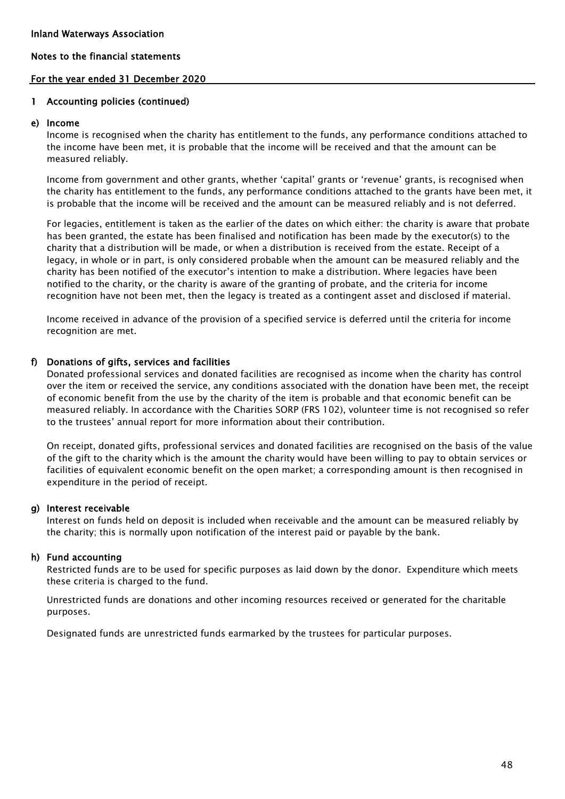### For the year ended 31 December 2020

### 1 Accounting policies (continued)

### e) Income

Income is recognised when the charity has entitlement to the funds, any performance conditions attached to the income have been met, it is probable that the income will be received and that the amount can be measured reliably.

Income from government and other grants, whether 'capital' grants or 'revenue' grants, is recognised when the charity has entitlement to the funds, any performance conditions attached to the grants have been met, it is probable that the income will be received and the amount can be measured reliably and is not deferred.

For legacies, entitlement is taken as the earlier of the dates on which either: the charity is aware that probate has been granted, the estate has been finalised and notification has been made by the executor(s) to the charity that a distribution will be made, or when a distribution is received from the estate. Receipt of a legacy, in whole or in part, is only considered probable when the amount can be measured reliably and the charity has been notified of the executor's intention to make a distribution. Where legacies have been notified to the charity, or the charity is aware of the granting of probate, and the criteria for income recognition have not been met, then the legacy is treated as a contingent asset and disclosed if material.

Income received in advance of the provision of a specified service is deferred until the criteria for income recognition are met.

### f) Donations of gifts, services and facilities

Donated professional services and donated facilities are recognised as income when the charity has control over the item or received the service, any conditions associated with the donation have been met, the receipt of economic benefit from the use by the charity of the item is probable and that economic benefit can be measured reliably. In accordance with the Charities SORP (FRS 102), volunteer time is not recognised so refer to the trustees' annual report for more information about their contribution.

On receipt, donated gifts, professional services and donated facilities are recognised on the basis of the value of the gift to the charity which is the amount the charity would have been willing to pay to obtain services or facilities of equivalent economic benefit on the open market; a corresponding amount is then recognised in expenditure in the period of receipt.

### g) Interest receivable

Interest on funds held on deposit is included when receivable and the amount can be measured reliably by the charity; this is normally upon notification of the interest paid or payable by the bank.

### h) Fund accounting

Restricted funds are to be used for specific purposes as laid down by the donor. Expenditure which meets these criteria is charged to the fund.

Unrestricted funds are donations and other incoming resources received or generated for the charitable purposes.

Designated funds are unrestricted funds earmarked by the trustees for particular purposes.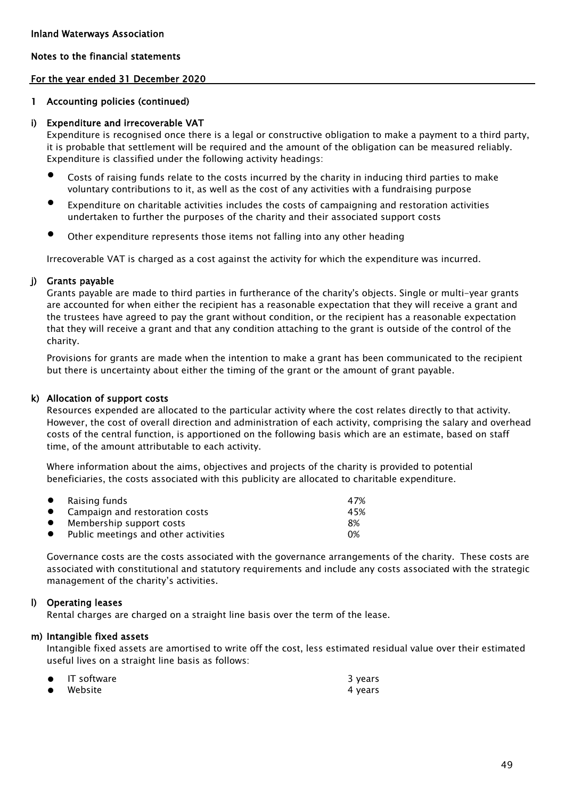### For the year ended 31 December 2020

### 1 Accounting policies (continued)

### i) Expenditure and irrecoverable VAT

Expenditure is recognised once there is a legal or constructive obligation to make a payment to a third party, it is probable that settlement will be required and the amount of the obligation can be measured reliably. Expenditure is classified under the following activity headings:

- $\bullet$ Costs of raising funds relate to the costs incurred by the charity in inducing third parties to make voluntary contributions to it, as well as the cost of any activities with a fundraising purpose
- $\bullet$ Expenditure on charitable activities includes the costs of campaigning and restoration activities undertaken to further the purposes of the charity and their associated support costs
- $\bullet$ Other expenditure represents those items not falling into any other heading

Irrecoverable VAT is charged as a cost against the activity for which the expenditure was incurred.

### j) Grants payable

Grants payable are made to third parties in furtherance of the charity's objects. Single or multi-year grants are accounted for when either the recipient has a reasonable expectation that they will receive a grant and the trustees have agreed to pay the grant without condition, or the recipient has a reasonable expectation that they will receive a grant and that any condition attaching to the grant is outside of the control of the charity.

Provisions for grants are made when the intention to make a grant has been communicated to the recipient but there is uncertainty about either the timing of the grant or the amount of grant payable.

### k) Allocation of support costs

Resources expended are allocated to the particular activity where the cost relates directly to that activity. However, the cost of overall direction and administration of each activity, comprising the salary and overhead costs of the central function, is apportioned on the following basis which are an estimate, based on staff time, of the amount attributable to each activity.

Where information about the aims, objectives and projects of the charity is provided to potential beneficiaries, the costs associated with this publicity are allocated to charitable expenditure.

|           | $\bullet$ Raising funds              | 47% |
|-----------|--------------------------------------|-----|
|           | • Campaign and restoration costs     | 45% |
| $\bullet$ | Membership support costs             | 8%  |
| $\bullet$ | Public meetings and other activities | 0%  |

Governance costs are the costs associated with the governance arrangements of the charity. These costs are associated with constitutional and statutory requirements and include any costs associated with the strategic management of the charity's activities.

### l) Operating leases

Rental charges are charged on a straight line basis over the term of the lease.

### m) Intangible fixed assets

Intangible fixed assets are amortised to write off the cost, less estimated residual value over their estimated useful lives on a straight line basis as follows:

| $\bullet$ IT software | 3 years |
|-----------------------|---------|
| $\bullet$ Website     | 4 years |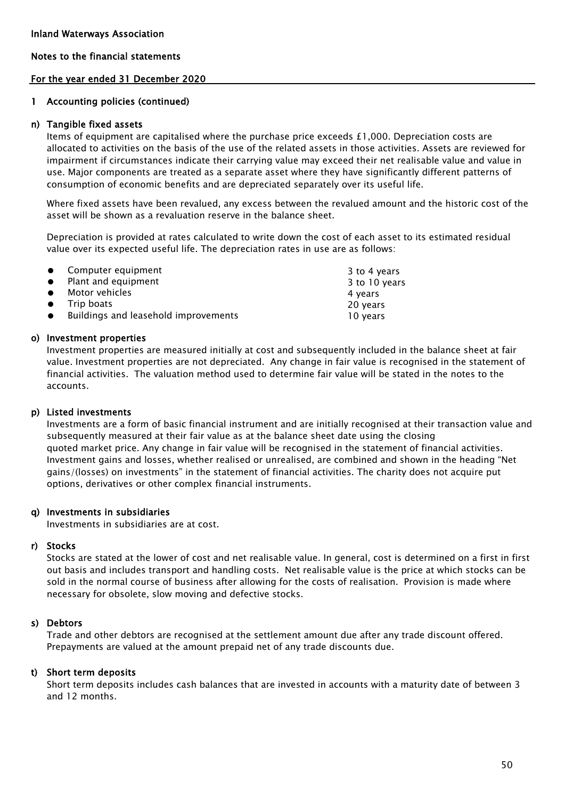### For the year ended 31 December 2020

### 1 Accounting policies (continued)

### n) Tangible fixed assets

Items of equipment are capitalised where the purchase price exceeds  $£1,000$ . Depreciation costs are allocated to activities on the basis of the use of the related assets in those activities. Assets are reviewed for impairment if circumstances indicate their carrying value may exceed their net realisable value and value in use. Major components are treated as a separate asset where they have significantly different patterns of consumption of economic benefits and are depreciated separately over its useful life.

Where fixed assets have been revalued, any excess between the revalued amount and the historic cost of the asset will be shown as a revaluation reserve in the balance sheet.

Depreciation is provided at rates calculated to write down the cost of each asset to its estimated residual value over its expected useful life. The depreciation rates in use are as follows:

| • Computer equipment                   | 3 to 4 years  |
|----------------------------------------|---------------|
| • Plant and equipment                  | 3 to 10 years |
| $\bullet$ Motor vehicles               | 4 years       |
| $\bullet$ Trip boats                   | 20 years      |
| • Buildings and leasehold improvements | 10 years      |

### o) Investment properties

Investment properties are measured initially at cost and subsequently included in the balance sheet at fair value. Investment properties are not depreciated. Any change in fair value is recognised in the statement of financial activities. The valuation method used to determine fair value will be stated in the notes to the accounts.

### p) Listed investments

Investments are a form of basic financial instrument and are initially recognised at their transaction value and subsequently measured at their fair value as at the balance sheet date using the closing quoted market price. Any change in fair value will be recognised in the statement of financial activities. Investment gains and losses, whether realised or unrealised, are combined and shown in the heading "Net gains/(losses) on investments" in the statement of financial activities. The charity does not acquire put options, derivatives or other complex financial instruments.

### q) Investments in subsidiaries

Investments in subsidiaries are at cost.

## r) Stocks

Stocks are stated at the lower of cost and net realisable value. In general, cost is determined on a first in first out basis and includes transport and handling costs. Net realisable value is the price at which stocks can be sold in the normal course of business after allowing for the costs of realisation. Provision is made where necessary for obsolete, slow moving and defective stocks.

### s) Debtors

Trade and other debtors are recognised at the settlement amount due after any trade discount offered. Prepayments are valued at the amount prepaid net of any trade discounts due.

### t) Short term deposits

Short term deposits includes cash balances that are invested in accounts with a maturity date of between 3 and 12 months.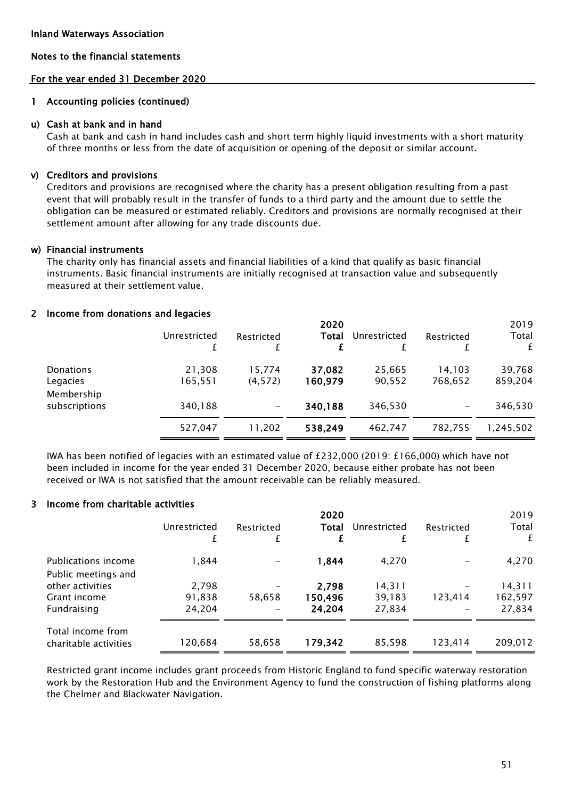### For the year ended 31 December 2020

### 1 Accounting policies (continued)

### u) Cash at bank and in hand

Cash at bank and cash in hand includes cash and short term highly liquid investments with a short maturity of three months or less from the date of acquisition or opening of the deposit or similar account.

## v) Creditors and provisions

Creditors and provisions are recognised where the charity has a present obligation resulting from a past event that will probably result in the transfer of funds to a third party and the amount due to settle the obligation can be measured or estimated reliably. Creditors and provisions are normally recognised at their settlement amount after allowing for any trade discounts due.

### w) Financial instruments

The charity only has financial assets and financial liabilities of a kind that qualify as basic financial instruments. Basic financial instruments are initially recognised at transaction value and subsequently measured at their settlement value.

## 2 Income from donations and legacies

|                             | Unrestricted      | Restricted        | 2020<br>Total     | Unrestricted     | Restricted        | 2019<br>Total<br>£ |
|-----------------------------|-------------------|-------------------|-------------------|------------------|-------------------|--------------------|
| Donations<br>Legacies       | 21,308<br>165,551 | 15.774<br>(4,572) | 37,082<br>160,979 | 25,665<br>90,552 | 14,103<br>768,652 | 39,768<br>859,204  |
| Membership<br>subscriptions | 340,188           |                   | 340,188           | 346,530          |                   | 346,530            |
|                             | 527,047           | 11.202            | 538,249           | 462,747          | 782.755           | 1.245.502          |

IWA has been notified of legacies with an estimated value of £232,000 (2019: £166,000) which have not been included in income for the year ended 31 December 2020, because either probate has not been received or IWA is not satisfied that the amount receivable can be reliably measured.

### 3 Income from charitable activities

|                                            | Unrestricted | Restricted<br>£ | 2020<br>Total | Unrestricted | Restricted | 2019<br>Total<br>£ |
|--------------------------------------------|--------------|-----------------|---------------|--------------|------------|--------------------|
| Publications income                        | 1,844        |                 | 1,844         | 4.270        |            | 4,270              |
| Public meetings and                        |              |                 |               |              |            |                    |
| other activities                           | 2,798        |                 | 2,798         | 14,311       |            | 14,311             |
| Grant income                               | 91,838       | 58,658          | 150,496       | 39,183       | 123,414    | 162,597            |
| Fundraising                                | 24,204       |                 | 24,204        | 27,834       |            | 27,834             |
| Total income from<br>charitable activities | 120,684      | 58,658          | 179,342       | 85,598       | 123,414    | 209,012            |

Restricted grant income includes grant proceeds from Historic England to fund specific waterway restoration work by the Restoration Hub and the Environment Agency to fund the construction of fishing platforms along the Chelmer and Blackwater Navigation.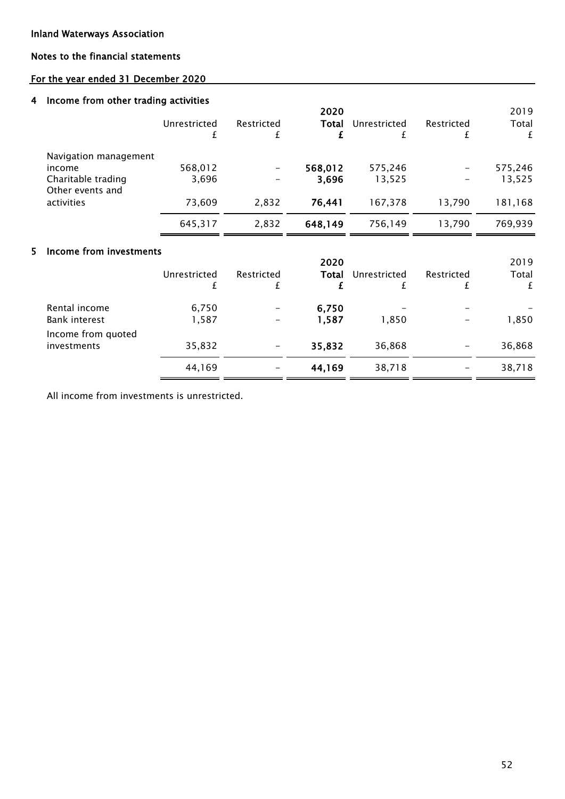### Inland Waterways Association

5

### Notes to the financial statements

## For the year ended 31 December 2020

### 4 Income from other trading activities

|                                                                           | Unrestricted     | Restricted | 2020<br>Total    | Unrestricted      | Restricted<br>±. | 2019<br>Total<br>£            |
|---------------------------------------------------------------------------|------------------|------------|------------------|-------------------|------------------|-------------------------------|
| Navigation management<br>income<br>Charitable trading<br>Other events and | 568,012<br>3,696 |            | 568,012<br>3,696 | 575,246<br>13,525 |                  | 575,246<br>13,525             |
| activities                                                                | 73,609           | 2,832      | 76,441           | 167,378           | 13,790           | 181,168                       |
|                                                                           | 645,317          | 2,832      | 648,149          | 756,149           | 13,790           | 769,939                       |
| Income from investments                                                   | Unrestricted     | Restricted | 2020<br>Total    | Unrestricted      | Restricted       | 2019<br>Total<br>$\mathbf{f}$ |

| 6,750  | -                        | 6,750  | $\overline{\phantom{0}}$ |                          |        |
|--------|--------------------------|--------|--------------------------|--------------------------|--------|
| 1,587  | $\overline{\phantom{m}}$ | 1,587  | 1.850                    | $\overline{\phantom{m}}$ | 1,850  |
|        |                          |        |                          |                          |        |
| 35,832 | $\overline{\phantom{m}}$ | 35,832 | 36,868                   | $\overline{\phantom{m}}$ | 36,868 |
| 44,169 | $\overline{\phantom{0}}$ | 44,169 | 38,718                   | $\overline{\phantom{0}}$ | 38,718 |
|        |                          |        |                          |                          |        |

All income from investments is unrestricted.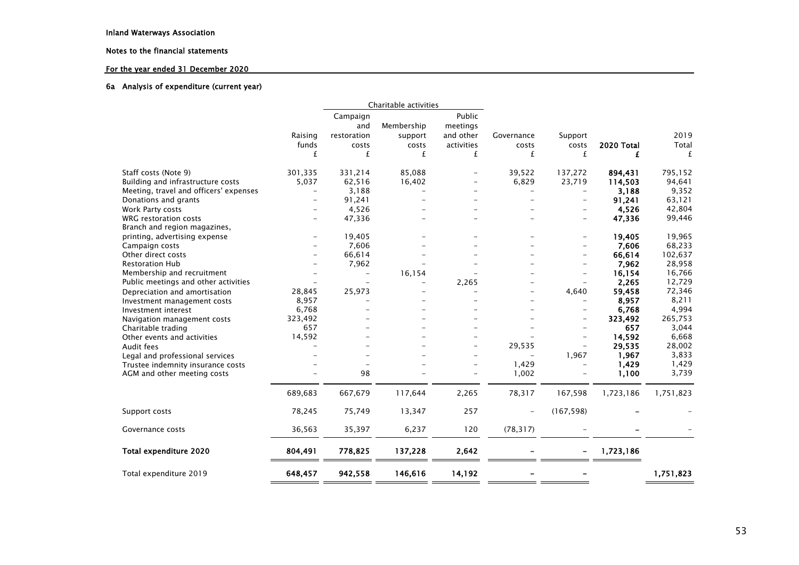### For the year ended 31 December 2020

#### 6a Analysis of expenditure (current year)

|                                        |                          | Charitable activities    |                          |            |                          |                          |            |           |
|----------------------------------------|--------------------------|--------------------------|--------------------------|------------|--------------------------|--------------------------|------------|-----------|
|                                        |                          | Campaign                 |                          | Public     |                          |                          |            |           |
|                                        |                          | and                      | Membership               | meetings   |                          |                          |            |           |
|                                        | Raising                  | restoration              | support                  | and other  | Governance               | Support                  |            | 2019      |
|                                        | funds                    | costs                    | costs                    | activities | costs                    | costs                    | 2020 Total | Total     |
|                                        | £                        | £                        | £                        | £          | £                        | £                        | £          | £         |
|                                        |                          |                          |                          |            |                          |                          |            |           |
| Staff costs (Note 9)                   | 301,335                  | 331,214                  | 85,088                   |            | 39,522                   | 137,272                  | 894,431    | 795,152   |
| Building and infrastructure costs      | 5,037                    | 62,516                   | 16,402                   |            | 6,829                    | 23,719                   | 114,503    | 94,641    |
| Meeting, travel and officers' expenses | $\overline{\phantom{0}}$ | 3,188                    |                          |            |                          | $\overline{\phantom{a}}$ | 3,188      | 9,352     |
| Donations and grants                   |                          | 91,241                   |                          |            |                          |                          | 91,241     | 63,121    |
| Work Party costs                       |                          | 4,526                    |                          |            |                          |                          | 4,526      | 42,804    |
| <b>WRG</b> restoration costs           |                          | 47,336                   |                          |            |                          |                          | 47,336     | 99,446    |
| Branch and region magazines,           |                          |                          |                          |            |                          |                          |            |           |
| printing, advertising expense          | $\overline{\phantom{a}}$ | 19,405                   |                          |            |                          | $\overline{\phantom{a}}$ | 19,405     | 19,965    |
| Campaign costs                         |                          | 7,606                    |                          |            |                          | $=$                      | 7,606      | 68,233    |
| Other direct costs                     |                          | 66,614                   |                          |            |                          |                          | 66,614     | 102,637   |
| <b>Restoration Hub</b>                 |                          | 7,962                    |                          |            |                          | $\overline{\phantom{m}}$ | 7,962      | 28,958    |
| Membership and recruitment             |                          | $\overline{\phantom{a}}$ | 16,154                   |            |                          | $\overline{\phantom{m}}$ | 16,154     | 16,766    |
| Public meetings and other activities   |                          |                          | $\overline{\phantom{0}}$ | 2,265      |                          |                          | 2,265      | 12,729    |
| Depreciation and amortisation          | 28,845                   | 25,973                   |                          |            |                          | 4,640                    | 59,458     | 72,346    |
| Investment management costs            | 8,957                    |                          |                          |            |                          |                          | 8,957      | 8,211     |
| Investment interest                    | 6,768                    |                          |                          |            |                          |                          | 6,768      | 4,994     |
| Navigation management costs            | 323,492                  |                          |                          |            |                          | $\overline{\phantom{a}}$ | 323,492    | 265,753   |
| Charitable trading                     | 657                      |                          |                          |            |                          |                          | 657        | 3,044     |
| Other events and activities            | 14,592                   |                          |                          |            |                          | $\overline{\phantom{m}}$ | 14,592     | 6,668     |
| Audit fees                             |                          |                          |                          |            | 29,535                   | $\overline{\phantom{a}}$ | 29,535     | 28,002    |
| Legal and professional services        |                          |                          |                          |            |                          | 1,967                    | 1,967      | 3,833     |
| Trustee indemnity insurance costs      |                          |                          |                          |            | 1,429                    | $\overline{\phantom{m}}$ | 1,429      | 1,429     |
| AGM and other meeting costs            |                          | 98                       |                          |            | 1,002                    |                          | 1,100      | 3,739     |
|                                        | 689,683                  | 667,679                  | 117,644                  | 2,265      | 78,317                   | 167,598                  | 1,723,186  | 1,751,823 |
| Support costs                          | 78,245                   | 75,749                   | 13,347                   | 257        | $\overline{\phantom{0}}$ | (167, 598)               |            |           |
|                                        |                          |                          |                          |            |                          |                          |            |           |
| Governance costs                       | 36,563                   | 35,397                   | 6,237                    | 120        | (78, 317)                |                          |            |           |
| Total expenditure 2020                 | 804,491                  | 778,825                  | 137,228                  | 2,642      |                          |                          | 1,723,186  |           |
| Total expenditure 2019                 | 648,457                  | 942,558                  | 146,616                  | 14,192     |                          |                          |            | 1,751,823 |
|                                        |                          |                          |                          |            |                          |                          |            |           |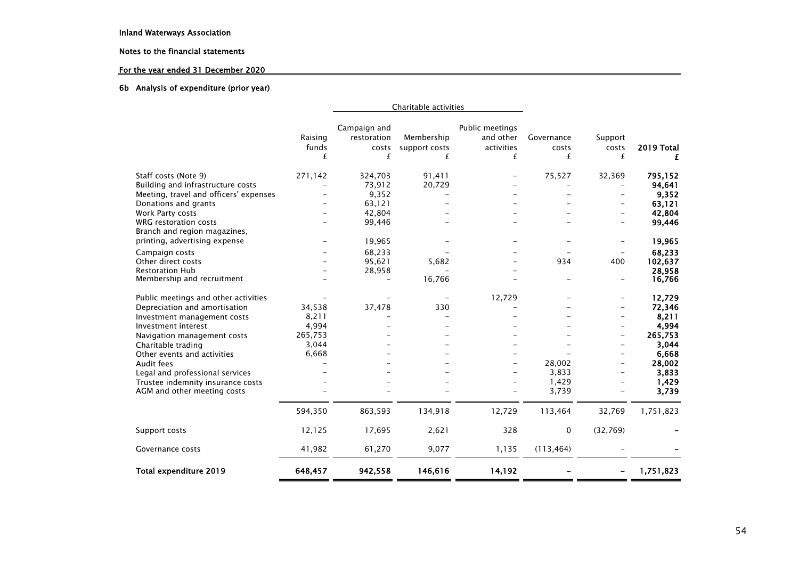### For the year ended 31 December 2020

#### 6b Analysis of expenditure (prior year)

|                                                       |         | Charitable activities |               |                 |            |                          |                   |
|-------------------------------------------------------|---------|-----------------------|---------------|-----------------|------------|--------------------------|-------------------|
|                                                       |         | Campaign and          |               | Public meetings |            |                          |                   |
|                                                       | Raising | restoration           | Membership    | and other       | Governance | Support                  |                   |
|                                                       | funds   | costs                 | support costs | activities      | costs      | costs                    | <b>2019 Total</b> |
|                                                       | £       | £                     | £             | £               | £          | £                        | £                 |
| Staff costs (Note 9)                                  | 271,142 | 324,703               | 91,411        |                 | 75,527     | 32,369                   | 795,152           |
| Building and infrastructure costs                     |         | 73,912                | 20,729        |                 |            |                          | 94.641            |
| Meeting, travel and officers' expenses                |         | 9,352                 |               |                 |            | $\overline{\phantom{0}}$ | 9,352             |
| Donations and grants                                  |         | 63,121                |               |                 |            |                          | 63,121            |
| Work Party costs                                      |         | 42,804                |               |                 |            | $\overline{\phantom{0}}$ | 42,804            |
| WRG restoration costs<br>Branch and region magazines, |         | 99,446                |               |                 |            | ⋍                        | 99,446            |
| printing, advertising expense                         |         | 19,965                |               |                 |            | $\overline{\phantom{0}}$ | 19,965            |
| Campaign costs                                        |         | 68,233                |               |                 |            |                          | 68,233            |
| Other direct costs                                    |         | 95,621                | 5.682         |                 | 934        | 400                      | 102,637           |
| <b>Restoration Hub</b>                                |         | 28,958                |               |                 |            |                          | 28,958            |
| Membership and recruitment                            |         |                       | 16,766        |                 |            | $\overline{\phantom{0}}$ | 16,766            |
| Public meetings and other activities                  |         |                       |               | 12,729          |            | $\overline{\phantom{0}}$ | 12,729            |
| Depreciation and amortisation                         | 34,538  | 37,478                | 330           |                 |            |                          | 72,346            |
| Investment management costs                           | 8,211   |                       |               |                 |            | ⋍                        | 8,211             |
| Investment interest                                   | 4,994   |                       |               |                 |            |                          | 4,994             |
| Navigation management costs                           | 265,753 |                       |               |                 |            | $\overline{\phantom{0}}$ | 265,753           |
| Charitable trading                                    | 3,044   |                       |               |                 |            | $\overline{\phantom{0}}$ | 3,044             |
| Other events and activities                           | 6,668   |                       |               |                 |            |                          | 6,668             |
| Audit fees                                            |         |                       |               |                 | 28,002     | $\overline{\phantom{0}}$ | 28,002            |
| Legal and professional services                       |         |                       |               |                 | 3,833      | $\qquad \qquad -$        | 3,833             |
| Trustee indemnity insurance costs                     |         |                       |               |                 | 1,429      |                          | 1,429             |
| AGM and other meeting costs                           |         |                       |               |                 | 3,739      |                          | 3,739             |
|                                                       | 594,350 | 863,593               | 134,918       | 12,729          | 113,464    | 32,769                   | 1,751,823         |
| Support costs                                         | 12,125  | 17,695                | 2,621         | 328             | $\Omega$   | (32,769)                 |                   |
| Governance costs                                      | 41,982  | 61,270                | 9,077         | 1,135           | (113, 464) |                          |                   |
| Total expenditure 2019                                | 648,457 | 942,558               | 146,616       | 14,192          |            |                          | 1,751,823         |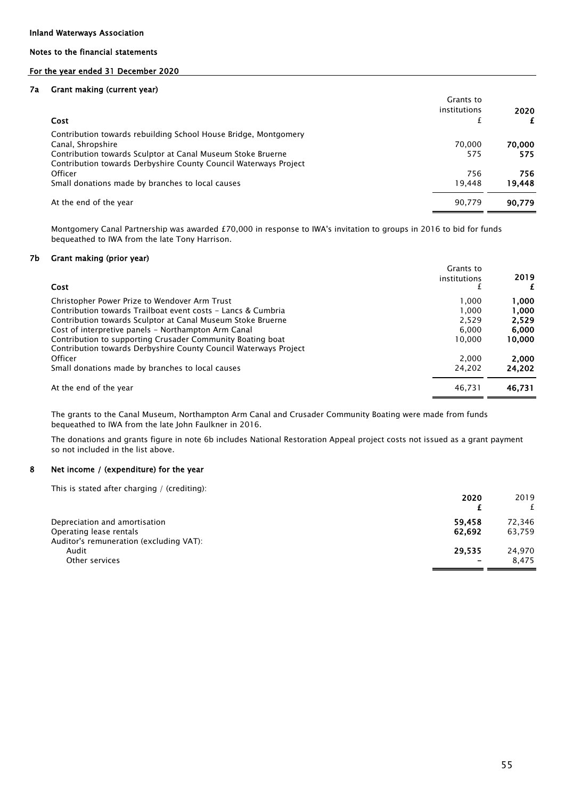### For the year ended 31 December 2020

#### 7a Grant making (current year)

|                                                                  | Grants to    |        |
|------------------------------------------------------------------|--------------|--------|
|                                                                  | institutions | 2020   |
| Cost                                                             | £            |        |
| Contribution towards rebuilding School House Bridge, Montgomery  |              |        |
| Canal, Shropshire                                                | 70.000       | 70,000 |
| Contribution towards Sculptor at Canal Museum Stoke Bruerne      | 575          | 575    |
| Contribution towards Derbyshire County Council Waterways Project |              |        |
| Officer                                                          | 756          | 756    |
| Small donations made by branches to local causes                 | 19.448       | 19.448 |
| At the end of the year                                           | 90.779       | 90.779 |

Montgomery Canal Partnership was awarded £70,000 in response to IWA's invitation to groups in 2016 to bid for funds bequeathed to IWA from the late Tony Harrison.

#### 7b Grant making (prior year)

| Cost                                                                                                                           | Grants to<br>institutions | 2019<br>£ |
|--------------------------------------------------------------------------------------------------------------------------------|---------------------------|-----------|
| Christopher Power Prize to Wendover Arm Trust                                                                                  | 1.000                     | 1.000     |
| Contribution towards Trailboat event costs - Lancs & Cumbria                                                                   | 1.000                     | 1.000     |
| Contribution towards Sculptor at Canal Museum Stoke Bruerne                                                                    | 2.529                     | 2.529     |
| Cost of interpretive panels - Northampton Arm Canal                                                                            | 6.000                     | 6,000     |
| Contribution to supporting Crusader Community Boating boat<br>Contribution towards Derbyshire County Council Waterways Project | 10.000                    | 10,000    |
| Officer                                                                                                                        | 2.000                     | 2,000     |
| Small donations made by branches to local causes                                                                               | 24.202                    | 24,202    |
| At the end of the year                                                                                                         | 46.731                    | 46,731    |

The grants to the Canal Museum, Northampton Arm Canal and Crusader Community Boating were made from funds bequeathed to IWA from the late John Faulkner in 2016.

The donations and grants figure in note 6b includes National Restoration Appeal project costs not issued as a grant payment so not included in the list above.

#### 8 Net income / (expenditure) for the year

This is stated after charging / (crediting):

|                                         | 2020                     | 2019   |
|-----------------------------------------|--------------------------|--------|
|                                         |                          |        |
| Depreciation and amortisation           | 59.458                   | 72.346 |
| Operating lease rentals                 | 62.692                   | 63,759 |
| Auditor's remuneration (excluding VAT): |                          |        |
| Audit                                   | 29.535                   | 24,970 |
| Other services                          | $\overline{\phantom{0}}$ | 8.475  |
|                                         |                          |        |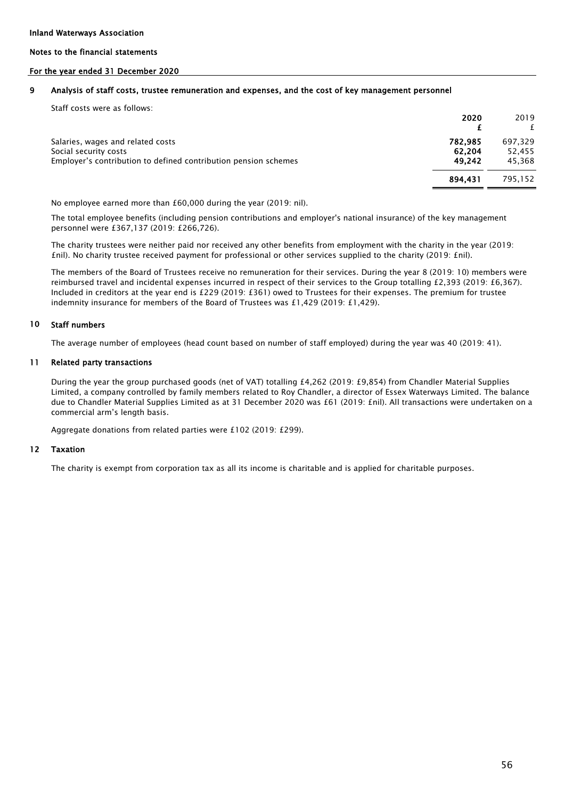### For the year ended 31 December 2020

#### 9 Analysis of staff costs, trustee remuneration and expenses, and the cost of key management personnel

| Staff costs were as follows:                                                                                                  | 2020                        | 2019                        |
|-------------------------------------------------------------------------------------------------------------------------------|-----------------------------|-----------------------------|
| Salaries, wages and related costs<br>Social security costs<br>Employer's contribution to defined contribution pension schemes | 782,985<br>62.204<br>49.242 | 697.329<br>52,455<br>45.368 |
|                                                                                                                               | 894.431                     | 795.152                     |

No employee earned more than £60,000 during the year (2019: nil).

The total employee benefits (including pension contributions and employer's national insurance) of the key management personnel were £367,137 (2019: £266,726).

The charity trustees were neither paid nor received any other benefits from employment with the charity in the year (2019: £nil). No charity trustee received payment for professional or other services supplied to the charity (2019: £nil).

The members of the Board of Trustees receive no remuneration for their services. During the year 8 (2019: 10) members were reimbursed travel and incidental expenses incurred in respect of their services to the Group totalling £2,393 (2019: £6,367). Included in creditors at the year end is £229 (2019: £361) owed to Trustees for their expenses. The premium for trustee indemnity insurance for members of the Board of Trustees was £1,429 (2019: £1,429).

#### 10 Staff numbers

The average number of employees (head count based on number of staff employed) during the year was 40 (2019: 41).

#### 11 Related party transactions

During the year the group purchased goods (net of VAT) totalling £4,262 (2019: £9,854) from Chandler Material Supplies Limited, a company controlled by family members related to Roy Chandler, a director of Essex Waterways Limited. The balance due to Chandler Material Supplies Limited as at 31 December 2020 was £61 (2019: £nil). All transactions were undertaken on a commercial arm's length basis.

Aggregate donations from related parties were £102 (2019: £299).

#### 12 Taxation

The charity is exempt from corporation tax as all its income is charitable and is applied for charitable purposes.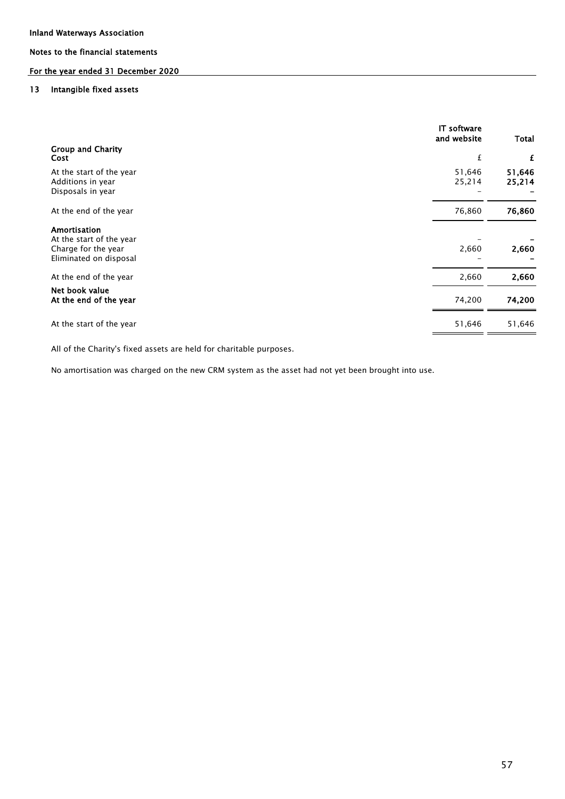## For the year ended 31 December 2020

#### 13 Intangible fixed assets

|                                                                                           | <b>IT</b> software<br>and website | <b>Total</b>     |
|-------------------------------------------------------------------------------------------|-----------------------------------|------------------|
| <b>Group and Charity</b><br>Cost                                                          | £                                 | £                |
| At the start of the year<br>Additions in year<br>Disposals in year                        | 51,646<br>25,214                  | 51,646<br>25,214 |
| At the end of the year                                                                    | 76,860                            | 76,860           |
| Amortisation<br>At the start of the year<br>Charge for the year<br>Eliminated on disposal | 2,660                             | 2,660            |
| At the end of the year                                                                    | 2,660                             | 2,660            |
| Net book value<br>At the end of the year                                                  | 74,200                            | 74,200           |
| At the start of the year                                                                  | 51,646                            | 51,646           |

All of the Charity's fixed assets are held for charitable purposes.

No amortisation was charged on the new CRM system as the asset had not yet been brought into use.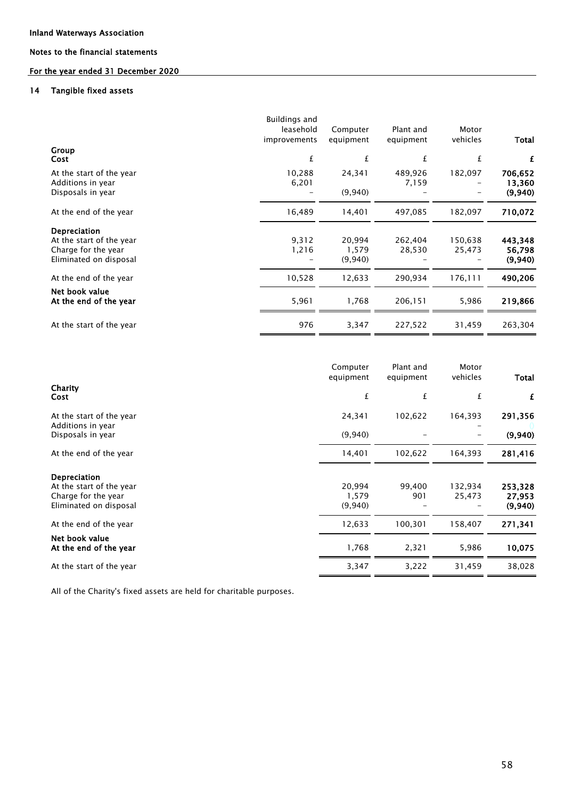### For the year ended 31 December 2020

#### 14 Tangible fixed assets

|                                                                                           | <b>Buildings and</b><br>leasehold<br>improvements | Computer<br>equipment      | Plant and<br>equipment | Motor<br>vehicles | Total                        |
|-------------------------------------------------------------------------------------------|---------------------------------------------------|----------------------------|------------------------|-------------------|------------------------------|
| Group<br>Cost                                                                             | £                                                 | £                          | £                      | £                 | £                            |
| At the start of the year<br>Additions in year<br>Disposals in year                        | 10,288<br>6,201                                   | 24,341<br>(9,940)          | 489,926<br>7,159       | 182,097           | 706,652<br>13,360<br>(9,940) |
| At the end of the year                                                                    | 16,489                                            | 14,401                     | 497,085                | 182,097           | 710,072                      |
| Depreciation<br>At the start of the year<br>Charge for the year<br>Eliminated on disposal | 9,312<br>1,216                                    | 20,994<br>1,579<br>(9,940) | 262,404<br>28,530      | 150,638<br>25,473 | 443,348<br>56,798<br>(9,940) |
| At the end of the year                                                                    | 10,528                                            | 12,633                     | 290,934                | 176,111           | 490,206                      |
| Net book value<br>At the end of the year                                                  | 5,961                                             | 1,768                      | 206,151                | 5,986             | 219,866                      |
| At the start of the year                                                                  | 976                                               | 3,347                      | 227,522                | 31,459            | 263,304                      |

|                                               | Computer<br>equipment | Plant and<br>equipment | Motor<br>vehicles | Total   |
|-----------------------------------------------|-----------------------|------------------------|-------------------|---------|
| Charity<br>Cost                               | £                     | £                      | £                 | £       |
| At the start of the year<br>Additions in year | 24,341                | 102,622                | 164,393           | 291,356 |
| Disposals in year                             | (9,940)               |                        |                   | (9,940) |
| At the end of the year                        | 14,401                | 102,622                | 164,393           | 281,416 |
| Depreciation                                  |                       |                        |                   |         |
| At the start of the year                      | 20,994                | 99,400                 | 132,934           | 253,328 |
| Charge for the year                           | 1,579                 | 901                    | 25,473            | 27,953  |
| Eliminated on disposal                        | (9,940)               |                        |                   | (9,940) |
| At the end of the year                        | 12,633                | 100,301                | 158,407           | 271,341 |
| Net book value<br>At the end of the year      | 1,768                 | 2,321                  | 5,986             | 10,075  |
| At the start of the year                      | 3,347                 | 3,222                  | 31,459            | 38,028  |

All of the Charity's fixed assets are held for charitable purposes.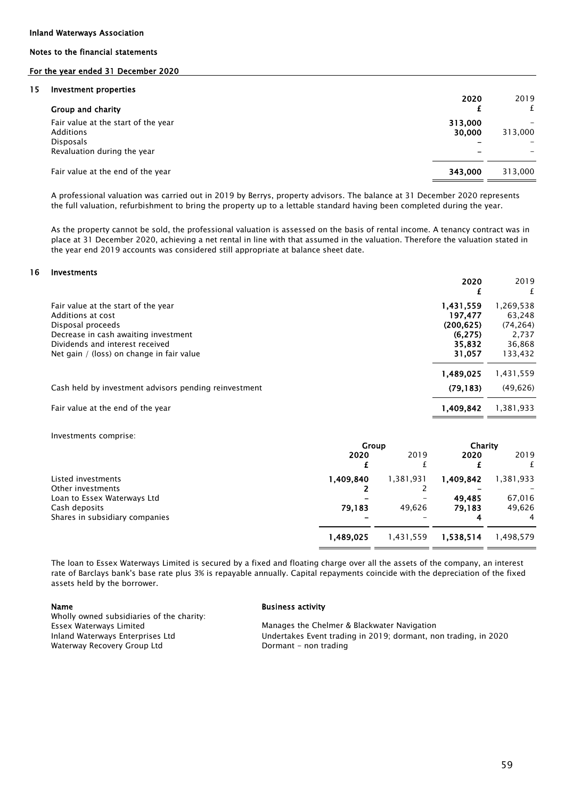#### For the year ended 31 December 2020

#### 15 Investment properties

| <b>INVESTINGIIL PLOPELUES</b><br>Group and charity                                                         | 2020              | 2019<br>f |
|------------------------------------------------------------------------------------------------------------|-------------------|-----------|
| Fair value at the start of the year<br><b>Additions</b><br><b>Disposals</b><br>Revaluation during the year | 313,000<br>30,000 | 313,000   |
| Fair value at the end of the year                                                                          | 343.000           | 313,000   |

A professional valuation was carried out in 2019 by Berrys, property advisors. The balance at 31 December 2020 represents the full valuation, refurbishment to bring the property up to a lettable standard having been completed during the year.

As the property cannot be sold, the professional valuation is assessed on the basis of rental income. A tenancy contract was in place at 31 December 2020, achieving a net rental in line with that assumed in the valuation. Therefore the valuation stated in the year end 2019 accounts was considered still appropriate at balance sheet date.

#### 16 Investments

|                                                                                                                                                                                                       | 2020                                                               | 2019<br>£                                                     |
|-------------------------------------------------------------------------------------------------------------------------------------------------------------------------------------------------------|--------------------------------------------------------------------|---------------------------------------------------------------|
| Fair value at the start of the year<br>Additions at cost<br>Disposal proceeds<br>Decrease in cash awaiting investment<br>Dividends and interest received<br>Net gain / (loss) on change in fair value | 1,431,559<br>197.477<br>(200, 625)<br>(6, 275)<br>35.832<br>31,057 | 1,269,538<br>63.248<br>(74,264)<br>2.737<br>36,868<br>133,432 |
| Cash held by investment advisors pending reinvestment                                                                                                                                                 | 1,489,025<br>(79, 183)                                             | 1,431,559<br>(49, 626)                                        |
| Fair value at the end of the year                                                                                                                                                                     | 1,409,842                                                          | 1,381,933                                                     |

Investments comprise:

|                                | Group     |           | Charity   |           |
|--------------------------------|-----------|-----------|-----------|-----------|
|                                | 2020      | 2019      | 2020      | 2019      |
|                                |           |           |           |           |
| Listed investments             | 1.409.840 | 1,381,931 | 1.409.842 | 1,381,933 |
| Other investments              |           |           |           |           |
| Loan to Essex Waterways Ltd    |           |           | 49,485    | 67,016    |
| Cash deposits                  | 79,183    | 49,626    | 79,183    | 49,626    |
| Shares in subsidiary companies |           |           | 4         | 4         |
|                                | 1,489,025 | 1,431,559 | 1,538,514 | 1,498,579 |
|                                |           |           |           |           |

The loan to Essex Waterways Limited is secured by a fixed and floating charge over all the assets of the company, an interest rate of Barclays bank's base rate plus 3% is repayable annually. Capital repayments coincide with the depreciation of the fixed assets held by the borrower.

Inland Waterways Enterprises Ltd Wholly owned subsidiaries of the charity: Essex Waterways Limited Waterway Recovery Group Ltd

#### Name Business activity

Manages the Chelmer & Blackwater Navigation Dormant - non trading Undertakes Event trading in 2019; dormant, non trading, in 2020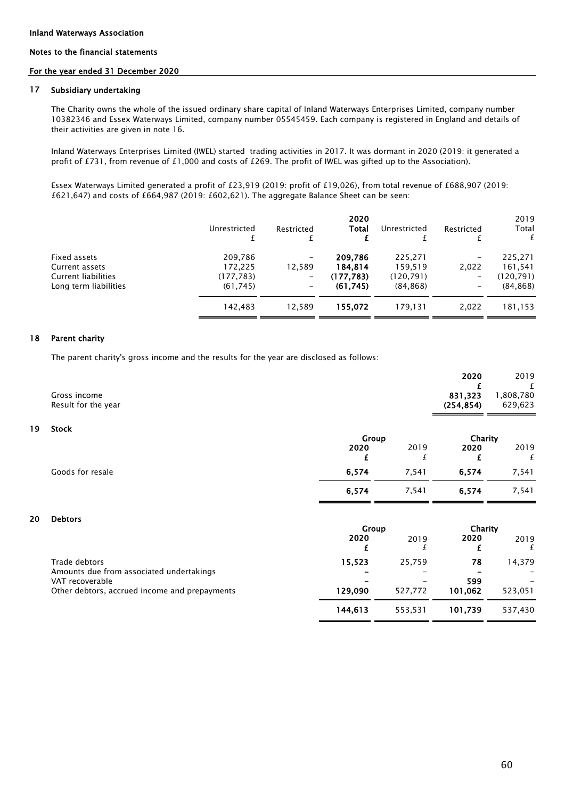#### For the year ended 31 December 2020

#### 17 Subsidiary undertaking

The Charity owns the whole of the issued ordinary share capital of Inland Waterways Enterprises Limited, company number 10382346 and Essex Waterways Limited, company number 05545459. Each company is registered in England and details of their activities are given in note 16.

Inland Waterways Enterprises Limited (IWEL) started trading activities in 2017. It was dormant in 2020 (2019: it generated a profit of £731, from revenue of £1,000 and costs of £269. The profit of IWEL was gifted up to the Association).

Essex Waterways Limited generated a profit of £23,919 (2019: profit of £19,026), from total revenue of £688,907 (2019: £621,647) and costs of £664,987 (2019: £602,621). The aggregate Balance Sheet can be seen:

|                            | Unrestricted | Restricted | 2020<br>Total | Unrestricted | Restricted | 2019<br>Total<br>£ |
|----------------------------|--------------|------------|---------------|--------------|------------|--------------------|
| Fixed assets               | 209.786      | -          | 209,786       | 225.271      | -          | 225,271            |
| Current assets             | 172.225      | 12,589     | 184,814       | 159.519      | 2,022      | 161,541            |
| <b>Current liabilities</b> | (177, 783)   | -          | (177, 783)    | (120, 791)   | -          | (120, 791)         |
| Long term liabilities      | (61, 745)    | -          | (61, 745)     | (84, 868)    | -          | (84, 868)          |
|                            | 142.483      | 12,589     | 155,072       | 179.131      | 2,022      | 181,153            |

#### 18 Parent charity

The parent charity's gross income and the results for the year are disclosed as follows:

| Gross income<br>Result for the year                                                                          |               |           | 2020<br>£<br>831,323<br>(254, 854) | 2019<br>£<br>1,808,780<br>629,623 |
|--------------------------------------------------------------------------------------------------------------|---------------|-----------|------------------------------------|-----------------------------------|
| 19<br><b>Stock</b>                                                                                           | Group         |           | Charity                            |                                   |
|                                                                                                              | 2020<br>£     | 2019<br>£ | 2020<br>£                          | 2019<br>£                         |
| Goods for resale                                                                                             | 6,574         | 7,541     | 6,574                              | 7,541                             |
|                                                                                                              | 6,574         | 7,541     | 6,574                              | 7,541                             |
| 20<br><b>Debtors</b>                                                                                         | Group<br>2020 | 2019<br>f | Charity<br>2020<br>£               | 2019<br>£                         |
| Trade debtors                                                                                                | 15,523        | 25,759    | 78                                 | 14,379                            |
| Amounts due from associated undertakings<br>VAT recoverable<br>Other debtors, accrued income and prepayments | 129,090       | 527,772   | 599<br>101,062                     | 523,051                           |
|                                                                                                              | 144,613       | 553,531   | 101,739                            | 537,430                           |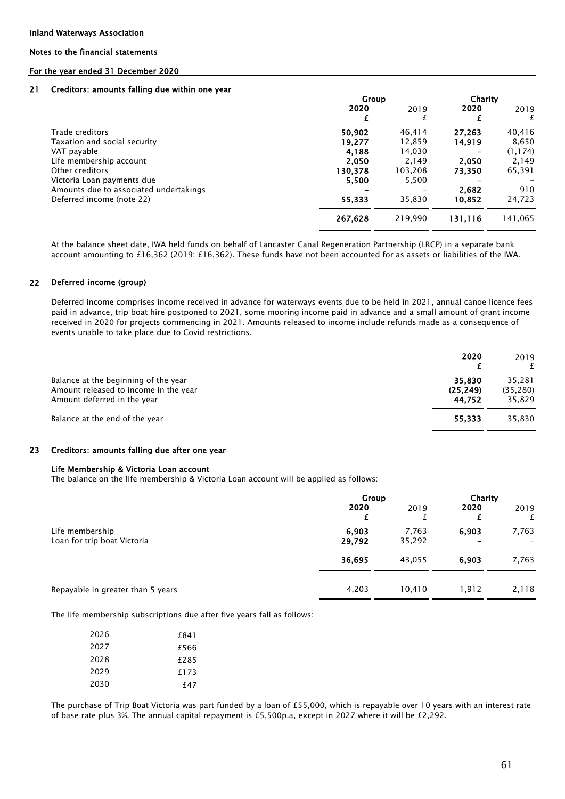#### Inland Waterways Association

### Notes to the financial statements

#### For the year ended 31 December 2020

#### 21 Creditors: amounts falling due within one year

|                                        | Group   |         | Charity |          |  |
|----------------------------------------|---------|---------|---------|----------|--|
|                                        | 2020    | 2019    | 2020    | 2019     |  |
|                                        | £       |         |         | £        |  |
| Trade creditors                        | 50,902  | 46.414  | 27,263  | 40,416   |  |
| Taxation and social security           | 19.277  | 12.859  | 14,919  | 8,650    |  |
| VAT payable                            | 4,188   | 14.030  |         | (1, 174) |  |
| Life membership account                | 2,050   | 2.149   | 2.050   | 2.149    |  |
| Other creditors                        | 130,378 | 103,208 | 73,350  | 65,391   |  |
| Victoria Loan payments due             | 5,500   | 5,500   |         |          |  |
| Amounts due to associated undertakings |         |         | 2,682   | 910      |  |
| Deferred income (note 22)              | 55.333  | 35,830  | 10,852  | 24,723   |  |
|                                        | 267,628 | 219.990 | 131,116 | 141,065  |  |

At the balance sheet date, IWA held funds on behalf of Lancaster Canal Regeneration Partnership (LRCP) in a separate bank account amounting to £16,362 (2019: £16,362). These funds have not been accounted for as assets or liabilities of the IWA.

#### 22 Deferred income (group)

Deferred income comprises income received in advance for waterways events due to be held in 2021, annual canoe licence fees paid in advance, trip boat hire postponed to 2021, some mooring income paid in advance and a small amount of grant income received in 2020 for projects commencing in 2021. Amounts released to income include refunds made as a consequence of events unable to take place due to Covid restrictions.

|                                                                                                              | 2020                          | 2019                          |
|--------------------------------------------------------------------------------------------------------------|-------------------------------|-------------------------------|
| Balance at the beginning of the year<br>Amount released to income in the year<br>Amount deferred in the year | 35,830<br>(25, 249)<br>44.752 | 35,281<br>(35, 280)<br>35.829 |
| Balance at the end of the year                                                                               | 55,333                        | 35,830                        |

#### 23 Creditors: amounts falling due after one year

#### Life Membership & Victoria Loan account

The balance on the life membership & Victoria Loan account will be applied as follows:

|                                                | Group           |                 |           | Charity   |  |
|------------------------------------------------|-----------------|-----------------|-----------|-----------|--|
|                                                | 2020<br>£       | 2019            | 2020<br>£ | 2019<br>£ |  |
| Life membership<br>Loan for trip boat Victoria | 6,903<br>29,792 | 7,763<br>35,292 | 6,903     | 7,763     |  |
|                                                | 36,695          | 43,055          | 6.903     | 7,763     |  |
| Repayable in greater than 5 years              | 4,203           | 10,410          | 1,912     | 2,118     |  |

The life membership subscriptions due after five years fall as follows:

| 2026 | £841 |
|------|------|
| 2027 | £566 |
| 2028 | £285 |
| 2029 | f173 |
| 2030 | f 47 |

The purchase of Trip Boat Victoria was part funded by a loan of £55,000, which is repayable over 10 years with an interest rate of base rate plus 3%. The annual capital repayment is £5,500p.a, except in 2027 where it will be £2,292.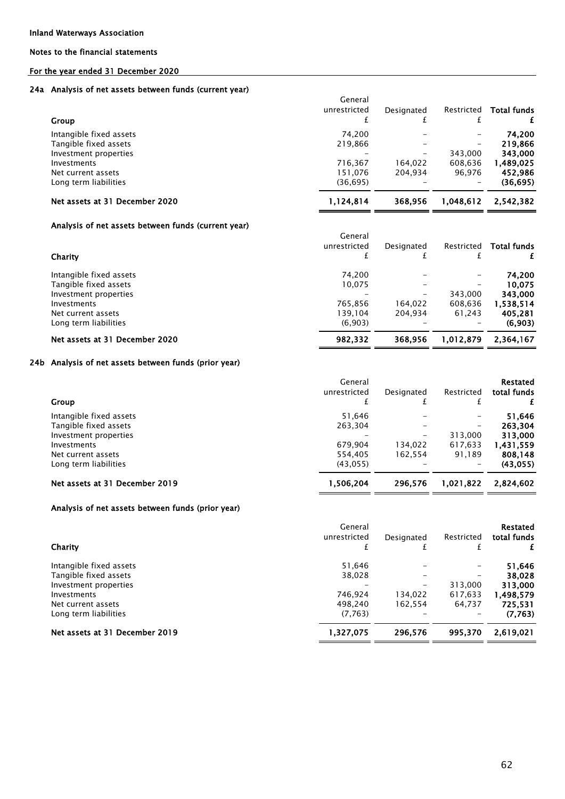### For the year ended 31 December 2020

#### 24a Analysis of net assets between funds (current year)

|                                | General<br>unrestricted | Designated | Restricted        | <b>Total funds</b> |
|--------------------------------|-------------------------|------------|-------------------|--------------------|
| <b>Group</b>                   |                         |            |                   |                    |
| Intangible fixed assets        | 74.200                  |            | -                 | 74.200             |
| Tangible fixed assets          | 219.866                 |            | $\qquad \qquad -$ | 219,866            |
| Investment properties          |                         | -          | 343.000           | 343,000            |
| Investments                    | 716.367                 | 164.022    | 608.636           | 1,489,025          |
| Net current assets             | 151.076                 | 204.934    | 96.976            | 452,986            |
| Long term liabilities          | (36, 695)               |            |                   | (36,695)           |
| Net assets at 31 December 2020 | 1,124,814               | 368.956    | 1.048.612         | 2,542,382          |
|                                |                         |            |                   |                    |

### Analysis of net assets between funds (current year)

| Charity                        | General<br>unrestricted | Designated | Restricted | <b>Total funds</b> |
|--------------------------------|-------------------------|------------|------------|--------------------|
| Intangible fixed assets        | 74.200                  |            | -          | 74.200             |
| Tangible fixed assets          | 10.075                  |            |            | 10.075             |
| Investment properties          |                         |            | 343.000    | 343,000            |
| Investments                    | 765.856                 | 164,022    | 608.636    | 1,538,514          |
| Net current assets             | 139.104                 | 204,934    | 61,243     | 405.281            |
| Long term liabilities          | (6,903)                 |            | -          | (6,903)            |
| Net assets at 31 December 2020 | 982.332                 | 368.956    | 1.012.879  | 2.364.167          |

#### 24b Analysis of net assets between funds (prior year)

|                                | General<br>unrestricted | Designated | Restricted               | Restated<br>total funds |
|--------------------------------|-------------------------|------------|--------------------------|-------------------------|
| <b>Group</b>                   |                         |            |                          |                         |
| Intangible fixed assets        | 51.646                  |            | $\qquad \qquad -$        | 51.646                  |
| Tangible fixed assets          | 263.304                 |            | $\overline{\phantom{m}}$ | 263.304                 |
| Investment properties          |                         | -          | 313,000                  | 313,000                 |
| Investments                    | 679.904                 | 134.022    | 617,633                  | 1.431.559               |
| Net current assets             | 554.405                 | 162.554    | 91.189                   | 808,148                 |
| Long term liabilities          | (43,055)                |            | $\overline{\phantom{m}}$ | (43, 055)               |
| Net assets at 31 December 2019 | 1,506,204               | 296.576    | 1,021,822                | 2,824,602               |

### Analysis of net assets between funds (prior year)

| Charity                        | General<br>unrestricted | Designated | Restricted | Restated<br>total funds |
|--------------------------------|-------------------------|------------|------------|-------------------------|
| Intangible fixed assets        | 51.646                  |            |            | 51,646                  |
| Tangible fixed assets          | 38,028                  |            |            | 38.028                  |
| Investment properties          |                         |            | 313,000    | 313,000                 |
| Investments                    | 746.924                 | 134.022    | 617,633    | 1,498,579               |
| Net current assets             | 498.240                 | 162.554    | 64,737     | 725.531                 |
| Long term liabilities          | (7, 763)                |            |            | (7.763)                 |
| Net assets at 31 December 2019 | 1,327,075               | 296,576    | 995,370    | 2,619,021               |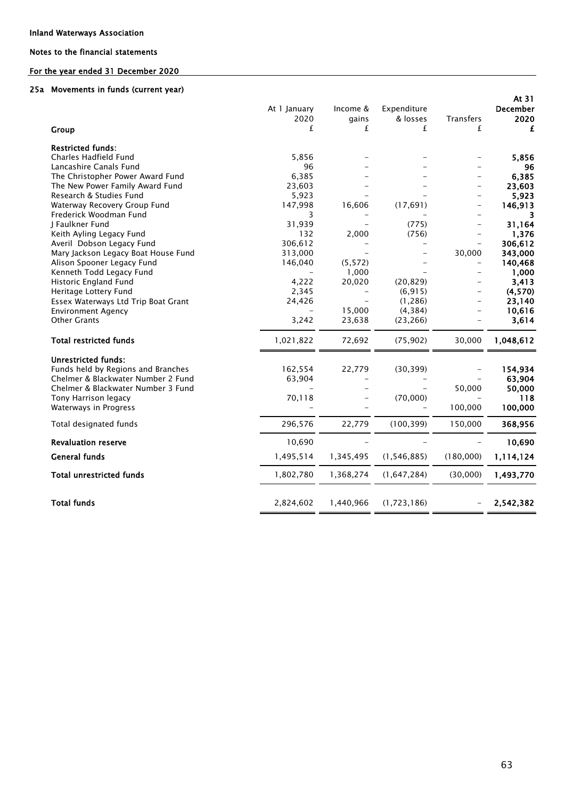### For the year ended 31 December 2020

#### 25a Movements in funds (current year)

| Group                               | At 1 January<br>2020<br>£ | Income &<br>gains<br>£ | Expenditure<br>& losses<br>£ | Transfers<br>£           | At 31<br><b>December</b><br>2020<br>£ |
|-------------------------------------|---------------------------|------------------------|------------------------------|--------------------------|---------------------------------------|
| <b>Restricted funds:</b>            |                           |                        |                              |                          |                                       |
| Charles Hadfield Fund               | 5,856                     |                        |                              |                          | 5,856                                 |
| Lancashire Canals Fund              | 96                        |                        |                              |                          | 96                                    |
| The Christopher Power Award Fund    | 6,385                     |                        |                              | $\equiv$                 | 6,385                                 |
| The New Power Family Award Fund     | 23,603                    |                        |                              |                          | 23,603                                |
| Research & Studies Fund             | 5,923                     |                        |                              |                          | 5,923                                 |
| Waterway Recovery Group Fund        | 147,998                   | 16,606                 | (17, 691)                    | $\equiv$                 | 146,913                               |
| Frederick Woodman Fund              | 3                         |                        |                              | $\overline{\phantom{0}}$ | 3                                     |
| J Faulkner Fund                     | 31,939                    |                        | (775)                        |                          | 31,164                                |
| Keith Ayling Legacy Fund            | 132                       | 2,000                  | (756)                        |                          | 1,376                                 |
| Averil Dobson Legacy Fund           | 306,612                   |                        | $\overline{\phantom{0}}$     | $\equiv$                 | 306,612                               |
| Mary Jackson Legacy Boat House Fund | 313,000                   |                        |                              | 30,000                   | 343,000                               |
| Alison Spooner Legacy Fund          | 146,040                   | (5, 572)               |                              | $\overline{\phantom{m}}$ | 140,468                               |
| Kenneth Todd Legacy Fund            |                           | 1,000                  |                              |                          | 1,000                                 |
| Historic England Fund               | 4,222                     | 20,020                 | (20, 829)                    |                          | 3,413                                 |
| Heritage Lottery Fund               | 2,345                     | $\equiv$               | (6, 915)                     |                          | (4,570)                               |
| Essex Waterways Ltd Trip Boat Grant | 24,426                    |                        | (1, 286)                     |                          | 23,140                                |
| <b>Environment Agency</b>           |                           | 15,000                 | (4, 384)                     |                          | 10,616                                |
| <b>Other Grants</b>                 | 3,242                     | 23,638                 | (23, 266)                    |                          | 3,614                                 |
| <b>Total restricted funds</b>       | 1,021,822                 | 72,692                 | (75, 902)                    | 30,000                   | 1,048,612                             |
| <b>Unrestricted funds:</b>          |                           |                        |                              |                          |                                       |
| Funds held by Regions and Branches  | 162,554                   | 22,779                 | (30, 399)                    |                          | 154,934                               |
| Chelmer & Blackwater Number 2 Fund  | 63,904                    |                        |                              |                          | 63,904                                |
| Chelmer & Blackwater Number 3 Fund  |                           |                        |                              | 50,000                   | 50,000                                |
| Tony Harrison legacy                | 70,118                    |                        | (70,000)                     |                          | 118                                   |
| Waterways in Progress               |                           |                        |                              | 100,000                  | 100,000                               |
| Total designated funds              | 296,576                   | 22,779                 | (100, 399)                   | 150,000                  | 368,956                               |
| <b>Revaluation reserve</b>          | 10,690                    |                        |                              |                          | 10,690                                |
| <b>General funds</b>                | 1,495,514                 | 1,345,495              | (1, 546, 885)                | (180,000)                | 1,114,124                             |
| <b>Total unrestricted funds</b>     | 1,802,780                 | 1,368,274              | (1,647,284)                  | (30,000)                 | 1,493,770                             |
| <b>Total funds</b>                  | 2,824,602                 | 1,440,966              | (1,723,186)                  |                          | 2,542,382                             |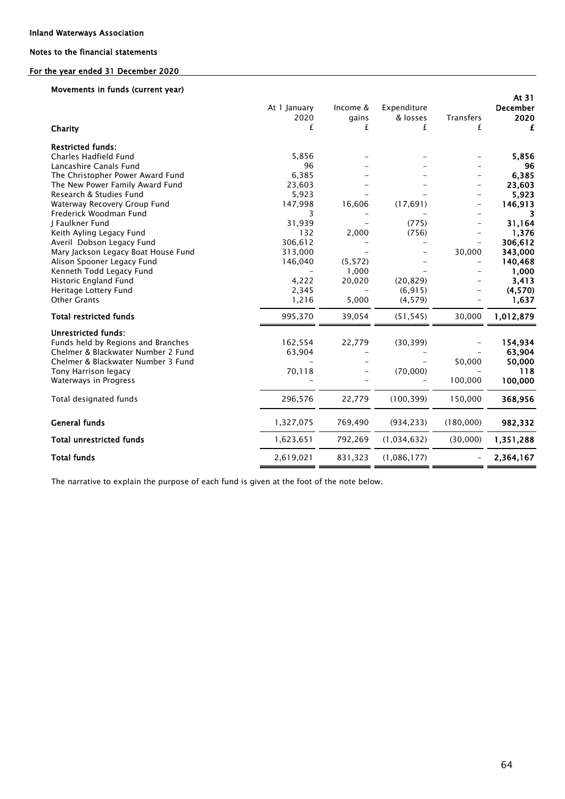### For the year ended 31 December 2020

### Movements in funds (current year)

| Charity<br><b>Restricted funds:</b><br>Charles Hadfield Fund<br>Lancashire Canals Fund<br>The Christopher Power Award Fund                                                                                                                         | At 1 January<br>2020<br>£<br>5,856<br>96<br>6,385                         | Income &<br>gains<br>£                        | Expenditure<br>& losses<br>£                        | <b>Transfers</b><br>£              | At 31<br><b>December</b><br>2020<br>£<br>5,856<br>96<br>6,385                          |
|----------------------------------------------------------------------------------------------------------------------------------------------------------------------------------------------------------------------------------------------------|---------------------------------------------------------------------------|-----------------------------------------------|-----------------------------------------------------|------------------------------------|----------------------------------------------------------------------------------------|
| The New Power Family Award Fund<br>Research & Studies Fund                                                                                                                                                                                         | 23,603<br>5,923                                                           |                                               |                                                     |                                    | 23,603<br>5,923                                                                        |
| Waterway Recovery Group Fund<br>Frederick Woodman Fund                                                                                                                                                                                             | 147,998<br>3                                                              | 16,606                                        | (17, 691)                                           | $\qquad \qquad -$                  | 146,913<br>3                                                                           |
| J Faulkner Fund<br>Keith Ayling Legacy Fund<br>Averil Dobson Legacy Fund<br>Mary Jackson Legacy Boat House Fund<br>Alison Spooner Legacy Fund<br>Kenneth Todd Legacy Fund<br>Historic England Fund<br>Heritage Lottery Fund<br><b>Other Grants</b> | 31,939<br>132<br>306,612<br>313,000<br>146,040<br>4,222<br>2,345<br>1,216 | 2,000<br>(5, 572)<br>1,000<br>20,020<br>5,000 | (775)<br>(756)<br>(20, 829)<br>(6, 915)<br>(4, 579) | $\overline{\phantom{0}}$<br>30,000 | 31,164<br>1,376<br>306,612<br>343,000<br>140,468<br>1,000<br>3,413<br>(4,570)<br>1,637 |
| <b>Total restricted funds</b>                                                                                                                                                                                                                      | 995,370                                                                   | 39,054                                        | (51, 545)                                           | 30,000                             | 1,012,879                                                                              |
| <b>Unrestricted funds:</b><br>Funds held by Regions and Branches<br>Chelmer & Blackwater Number 2 Fund<br>Chelmer & Blackwater Number 3 Fund<br>Tony Harrison legacy<br>Waterways in Progress                                                      | 162,554<br>63,904<br>70,118                                               | 22,779                                        | (30, 399)<br>(70,000)                               | 50,000<br>100,000                  | 154,934<br>63,904<br>50,000<br>118<br>100,000                                          |
| Total designated funds                                                                                                                                                                                                                             | 296,576                                                                   | 22,779                                        | (100, 399)                                          | 150,000                            | 368,956                                                                                |
| <b>General funds</b>                                                                                                                                                                                                                               | 1,327,075                                                                 | 769,490                                       | (934, 233)                                          | (180,000)                          | 982,332                                                                                |
| <b>Total unrestricted funds</b>                                                                                                                                                                                                                    | 1,623,651                                                                 | 792,269                                       | (1,034,632)                                         | (30,000)                           | 1,351,288                                                                              |
| <b>Total funds</b>                                                                                                                                                                                                                                 | 2,619,021                                                                 | 831,323                                       | (1,086,177)                                         |                                    | 2,364,167                                                                              |

The narrative to explain the purpose of each fund is given at the foot of the note below.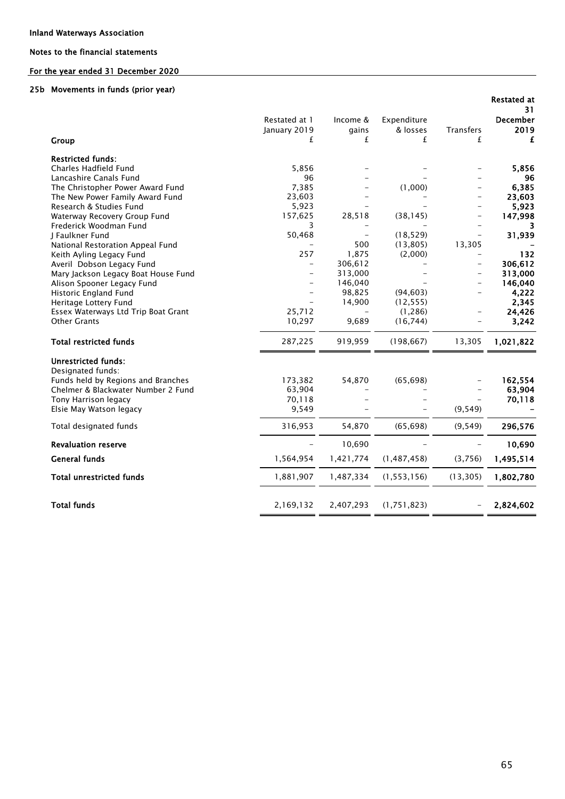### For the year ended 31 December 2020

#### 25b Movements in funds (prior year)

|                                     |               |           |               |                          | <b>Restated at</b><br>31 |
|-------------------------------------|---------------|-----------|---------------|--------------------------|--------------------------|
|                                     | Restated at 1 | Income &  | Expenditure   |                          | <b>December</b>          |
|                                     | January 2019  | gains     | & losses      | Transfers                | 2019                     |
| Group                               | £             | £         | £             | £                        | £                        |
| <b>Restricted funds:</b>            |               |           |               |                          |                          |
| Charles Hadfield Fund               | 5,856         |           |               |                          | 5,856                    |
| Lancashire Canals Fund              | 96            |           |               |                          | 96                       |
| The Christopher Power Award Fund    | 7,385         |           | (1,000)       |                          | 6,385                    |
| The New Power Family Award Fund     | 23,603        |           |               |                          | 23,603                   |
| Research & Studies Fund             | 5,923         |           |               |                          | 5,923                    |
| Waterway Recovery Group Fund        | 157,625       | 28,518    | (38, 145)     |                          | 147,998                  |
| Frederick Woodman Fund              | 3             |           |               |                          |                          |
| J Faulkner Fund                     | 50,468        |           | (18, 529)     |                          | 31,939                   |
| National Restoration Appeal Fund    |               | 500       | (13, 805)     | 13,305                   |                          |
| Keith Ayling Legacy Fund            | 257           | 1,875     | (2,000)       |                          | 132                      |
| Averil Dobson Legacy Fund           |               | 306,612   |               | $\overline{\phantom{0}}$ | 306,612                  |
| Mary Jackson Legacy Boat House Fund |               | 313,000   |               |                          | 313,000                  |
| Alison Spooner Legacy Fund          |               | 146,040   |               | $\overline{\phantom{0}}$ | 146,040                  |
| Historic England Fund               |               | 98,825    | (94, 603)     |                          | 4,222                    |
| Heritage Lottery Fund               |               | 14,900    | (12, 555)     |                          | 2,345                    |
| Essex Waterways Ltd Trip Boat Grant | 25,712        |           | (1, 286)      |                          | 24,426                   |
| <b>Other Grants</b>                 | 10,297        | 9,689     | (16, 744)     |                          | 3,242                    |
| <b>Total restricted funds</b>       | 287,225       | 919,959   | (198, 667)    | 13,305                   | 1,021,822                |
| <b>Unrestricted funds:</b>          |               |           |               |                          |                          |
| Designated funds:                   |               |           |               |                          |                          |
| Funds held by Regions and Branches  | 173,382       | 54,870    | (65, 698)     |                          | 162,554                  |
| Chelmer & Blackwater Number 2 Fund  | 63,904        |           |               |                          | 63,904                   |
| Tony Harrison legacy                | 70,118        |           |               |                          | 70,118                   |
| Elsie May Watson legacy             | 9,549         |           |               | (9, 549)                 |                          |
| Total designated funds              | 316,953       | 54,870    | (65, 698)     | (9, 549)                 | 296,576                  |
| <b>Revaluation reserve</b>          |               | 10,690    |               |                          | 10,690                   |
| <b>General funds</b>                | 1,564,954     | 1,421,774 | (1, 487, 458) | (3,756)                  | 1,495,514                |
| <b>Total unrestricted funds</b>     | 1,881,907     | 1,487,334 | (1, 553, 156) | (13, 305)                | 1,802,780                |
|                                     |               |           |               |                          |                          |
| <b>Total funds</b>                  | 2,169,132     | 2,407,293 | (1, 751, 823) |                          | 2,824,602                |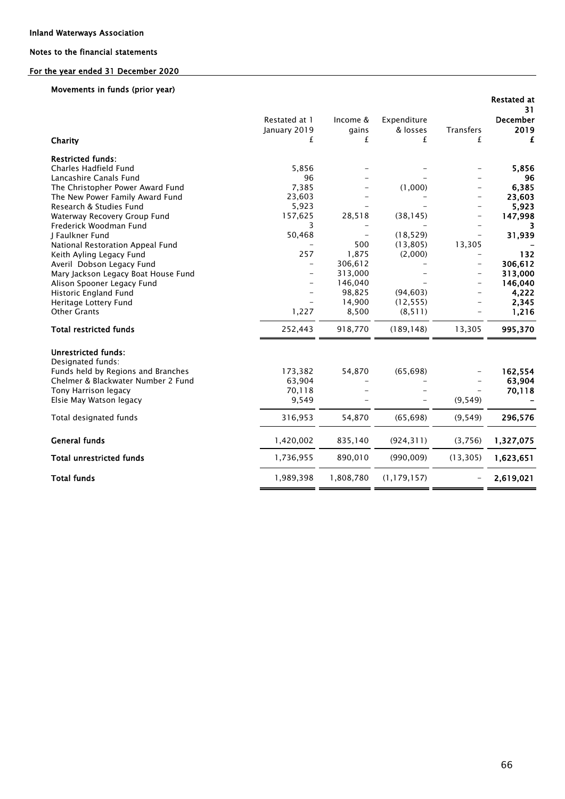### For the year ended 31 December 2020

### Movements in funds (prior year)

|                                                 |                          |           |                        |                          | <b>Restated at</b><br>31 |
|-------------------------------------------------|--------------------------|-----------|------------------------|--------------------------|--------------------------|
|                                                 | Restated at 1            | Income &  | Expenditure            |                          | <b>December</b>          |
|                                                 | January 2019             | gains     | & losses               | <b>Transfers</b>         | 2019                     |
| Charity                                         | £                        | £         | £                      | £                        | £                        |
| <b>Restricted funds:</b>                        |                          |           |                        |                          |                          |
| Charles Hadfield Fund                           | 5,856                    |           |                        |                          | 5,856                    |
| Lancashire Canals Fund                          | 96                       |           |                        |                          | 96                       |
| The Christopher Power Award Fund                | 7,385                    |           | (1,000)                |                          | 6,385                    |
| The New Power Family Award Fund                 | 23,603                   |           |                        |                          | 23,603                   |
| Research & Studies Fund                         | 5,923                    |           |                        |                          | 5,923                    |
| Waterway Recovery Group Fund                    | 157,625                  | 28,518    | (38, 145)              |                          | 147,998                  |
| Frederick Woodman Fund<br>I Faulkner Fund       | 3                        |           |                        |                          |                          |
| National Restoration Appeal Fund                | 50,468                   | 500       | (18, 529)<br>(13, 805) | 13,305                   | 31,939                   |
| Keith Ayling Legacy Fund                        | 257                      | 1,875     | (2,000)                |                          | 132                      |
| Averil Dobson Legacy Fund                       | $\overline{\phantom{0}}$ | 306,612   |                        | $\overline{\phantom{0}}$ | 306,612                  |
| Mary Jackson Legacy Boat House Fund             |                          | 313,000   |                        |                          | 313,000                  |
| Alison Spooner Legacy Fund                      |                          | 146,040   |                        |                          | 146,040                  |
| Historic England Fund                           |                          | 98,825    | (94, 603)              |                          | 4,222                    |
| Heritage Lottery Fund                           |                          | 14,900    | (12, 555)              |                          | 2,345                    |
| <b>Other Grants</b>                             | 1,227                    | 8,500     | (8, 511)               |                          | 1,216                    |
| <b>Total restricted funds</b>                   | 252,443                  | 918,770   | (189, 148)             | 13,305                   | 995,370                  |
| <b>Unrestricted funds:</b><br>Designated funds: |                          |           |                        |                          |                          |
| Funds held by Regions and Branches              | 173,382                  | 54,870    | (65, 698)              |                          | 162,554                  |
| Chelmer & Blackwater Number 2 Fund              | 63,904                   |           |                        |                          | 63,904                   |
| Tony Harrison legacy                            | 70,118                   |           |                        |                          | 70,118                   |
| Elsie May Watson legacy                         | 9,549                    |           |                        | (9, 549)                 |                          |
| Total designated funds                          | 316,953                  | 54,870    | (65, 698)              | (9, 549)                 | 296,576                  |
| <b>General funds</b>                            | 1,420,002                | 835,140   | (924, 311)             | (3,756)                  | 1,327,075                |
| <b>Total unrestricted funds</b>                 | 1,736,955                | 890,010   | (990, 009)             | (13, 305)                | 1,623,651                |
| <b>Total funds</b>                              | 1,989,398                | 1,808,780 | (1, 179, 157)          |                          | 2,619,021                |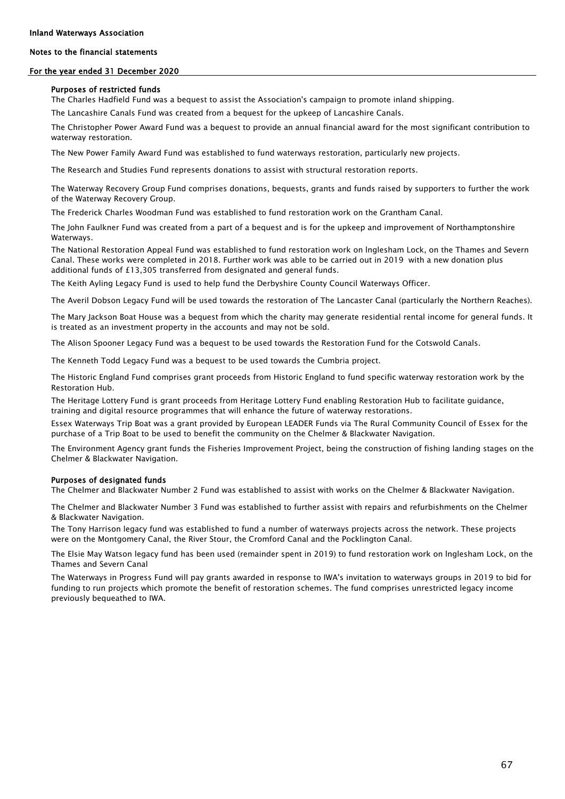#### Inland Waterways Association

### Notes to the financial statements

#### For the year ended 31 December 2020

#### Purposes of restricted funds

The Charles Hadfield Fund was a bequest to assist the Association's campaign to promote inland shipping.

The Lancashire Canals Fund was created from a bequest for the upkeep of Lancashire Canals.

The Christopher Power Award Fund was a bequest to provide an annual financial award for the most significant contribution to waterway restoration.

The New Power Family Award Fund was established to fund waterways restoration, particularly new projects.

The Research and Studies Fund represents donations to assist with structural restoration reports.

The Waterway Recovery Group Fund comprises donations, bequests, grants and funds raised by supporters to further the work of the Waterway Recovery Group.

The Frederick Charles Woodman Fund was established to fund restoration work on the Grantham Canal.

The John Faulkner Fund was created from a part of a bequest and is for the upkeep and improvement of Northamptonshire **Waterways** 

The National Restoration Appeal Fund was established to fund restoration work on lnglesham Lock, on the Thames and Severn Canal. These works were completed in 2018. Further work was able to be carried out in 2019 with a new donation plus additional funds of £13,305 transferred from designated and general funds.

The Keith Ayling Legacy Fund is used to help fund the Derbyshire County Council Waterways Officer.

The Averil Dobson Legacy Fund will be used towards the restoration of The Lancaster Canal (particularly the Northern Reaches).

The Mary Jackson Boat House was a bequest from which the charity may generate residential rental income for general funds. It is treated as an investment property in the accounts and may not be sold.

The Alison Spooner Legacy Fund was a bequest to be used towards the Restoration Fund for the Cotswold Canals.

The Kenneth Todd Legacy Fund was a bequest to be used towards the Cumbria project.

The Historic England Fund comprises grant proceeds from Historic England to fund specific waterway restoration work by the Restoration Hub.

The Heritage Lottery Fund is grant proceeds from Heritage Lottery Fund enabling Restoration Hub to facilitate guidance, training and digital resource programmes that will enhance the future of waterway restorations.

Essex Waterways Trip Boat was a grant provided by European LEADER Funds via The Rural Community Council of Essex for the purchase of a Trip Boat to be used to benefit the community on the Chelmer & Blackwater Navigation.

The Environment Agency grant funds the Fisheries Improvement Project, being the construction of fishing landing stages on the Chelmer & Blackwater Navigation.

#### Purposes of designated funds

The Chelmer and Blackwater Number 2 Fund was established to assist with works on the Chelmer & Blackwater Navigation.

The Chelmer and Blackwater Number 3 Fund was established to further assist with repairs and refurbishments on the Chelmer & Blackwater Navigation.

The Tony Harrison legacy fund was established to fund a number of waterways projects across the network. These projects were on the Montgomery Canal, the River Stour, the Cromford Canal and the Pocklington Canal.

The Elsie May Watson legacy fund has been used (remainder spent in 2019) to fund restoration work on lnglesham Lock, on the Thames and Severn Canal

The Waterways in Progress Fund will pay grants awarded in response to IWA's invitation to waterways groups in 2019 to bid for funding to run projects which promote the benefit of restoration schemes. The fund comprises unrestricted legacy income previously bequeathed to IWA.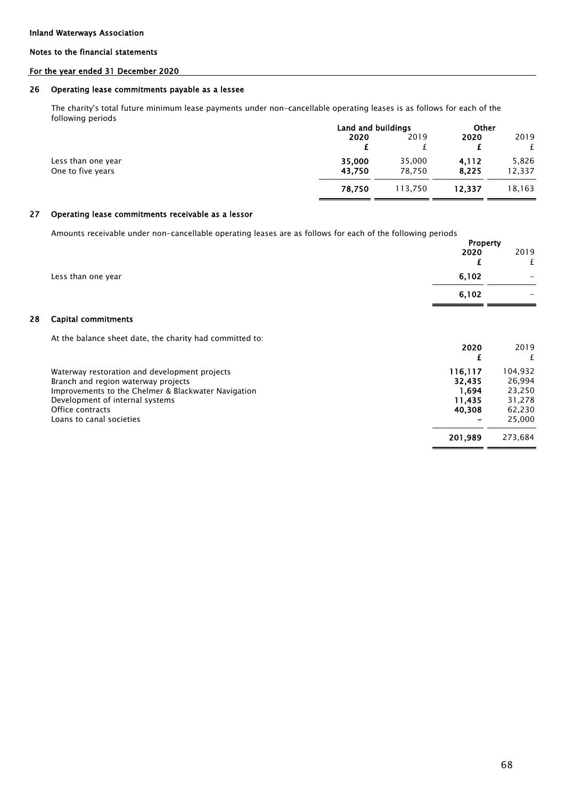28

### Notes to the financial statements

### For the year ended 31 December 2020

#### 26 Operating lease commitments payable as a lessee

The charity's total future minimum lease payments under non-cancellable operating leases is as follows for each of the following periods

|                    | Land and buildings |         | Other  |        |
|--------------------|--------------------|---------|--------|--------|
|                    | 2020               | 2019    | 2020   | 2019   |
|                    |                    |         |        |        |
| Less than one year | 35,000             | 35,000  | 4.112  | 5,826  |
| One to five years  | 43.750             | 78.750  | 8,225  | 12,337 |
|                    | 78.750             | 113.750 | 12.337 | 18,163 |

#### 27 Operating lease commitments receivable as a lessor

Amounts receivable under non-cancellable operating leases are as follows for each of the following periods

|                                                                                                                                                                                                                                | <b>Property</b><br>2020<br>£                   | 2019<br>£                                                 |
|--------------------------------------------------------------------------------------------------------------------------------------------------------------------------------------------------------------------------------|------------------------------------------------|-----------------------------------------------------------|
| Less than one year                                                                                                                                                                                                             | 6,102                                          |                                                           |
|                                                                                                                                                                                                                                | 6,102                                          |                                                           |
| Capital commitments                                                                                                                                                                                                            |                                                |                                                           |
| At the balance sheet date, the charity had committed to:                                                                                                                                                                       | 2020                                           | 2019<br>£                                                 |
| Waterway restoration and development projects<br>Branch and region waterway projects<br>Improvements to the Chelmer & Blackwater Navigation<br>Development of internal systems<br>Office contracts<br>Loans to canal societies | 116,117<br>32,435<br>1,694<br>11,435<br>40,308 | 104,932<br>26,994<br>23,250<br>31,278<br>62,230<br>25,000 |
|                                                                                                                                                                                                                                | 201,989                                        | 273,684                                                   |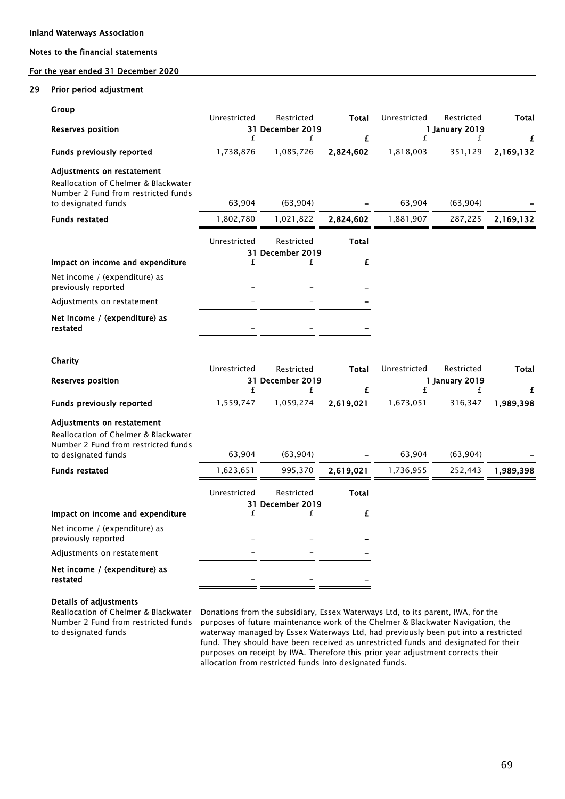### For the year ended 31 December 2020

#### 29 Prior period adjustment

| Group<br><b>Reserves position</b>                                                                                                | Unrestricted<br>£ | Restricted<br>31 December 2019<br>£ | Total<br>£        | Unrestricted<br>£ | Restricted<br>1 January 2019<br>£ | Total<br>£ |
|----------------------------------------------------------------------------------------------------------------------------------|-------------------|-------------------------------------|-------------------|-------------------|-----------------------------------|------------|
| <b>Funds previously reported</b>                                                                                                 | 1,738,876         | 1,085,726                           | 2,824,602         | 1,818,003         | 351,129                           | 2,169,132  |
| Adjustments on restatement<br>Reallocation of Chelmer & Blackwater<br>Number 2 Fund from restricted funds<br>to designated funds | 63,904            | (63,904)                            |                   | 63,904            | (63,904)                          |            |
| <b>Funds restated</b>                                                                                                            | 1,802,780         | 1,021,822                           | 2,824,602         | 1,881,907         | 287,225                           | 2,169,132  |
|                                                                                                                                  | Unrestricted      | Restricted<br>31 December 2019      | Total<br>£        |                   |                                   |            |
| Impact on income and expenditure                                                                                                 | £                 | £                                   |                   |                   |                                   |            |
| Net income / (expenditure) as<br>previously reported                                                                             |                   |                                     |                   |                   |                                   |            |
| Adjustments on restatement                                                                                                       |                   |                                     |                   |                   |                                   |            |
| Net income / (expenditure) as<br>restated                                                                                        |                   |                                     |                   |                   |                                   |            |
| Charity<br><b>Reserves position</b>                                                                                              | Unrestricted      | Restricted<br>31 December 2019      | Total             | Unrestricted      | Restricted<br>1 January 2019      | Total      |
|                                                                                                                                  | £                 | £                                   | £                 | £                 | £                                 | £          |
| <b>Funds previously reported</b>                                                                                                 | 1,559,747         | 1,059,274                           | 2,619,021         | 1,673,051         | 316,347                           | 1,989,398  |
| Adjustments on restatement<br>Reallocation of Chelmer & Blackwater<br>Number 2 Fund from restricted funds<br>to designated funds | 63,904            | (63,904)                            |                   | 63,904            | (63,904)                          |            |
| <b>Funds restated</b>                                                                                                            | 1,623,651         | 995,370                             | 2,619,021         | 1,736,955         | 252,443                           | 1,989,398  |
| Impact on income and expenditure                                                                                                 | Unrestricted<br>£ | Restricted<br>31 December 2019<br>£ | <b>Total</b><br>£ |                   |                                   |            |
| Net income / (expenditure) as<br>previously reported                                                                             |                   |                                     |                   |                   |                                   |            |
| Adjustments on restatement                                                                                                       |                   |                                     |                   |                   |                                   |            |
| Net income / (expenditure) as<br>restated                                                                                        |                   |                                     |                   |                   |                                   |            |

#### Details of adjustments

Reallocation of Chelmer & Blackwater Number 2 Fund from restricted funds to designated funds

Donations from the subsidiary, Essex Waterways Ltd, to its parent, IWA, for the purposes of future maintenance work of the Chelmer & Blackwater Navigation, the waterway managed by Essex Waterways Ltd, had previously been put into a restricted fund. They should have been received as unrestricted funds and designated for their purposes on receipt by IWA. Therefore this prior year adjustment corrects their allocation from restricted funds into designated funds.